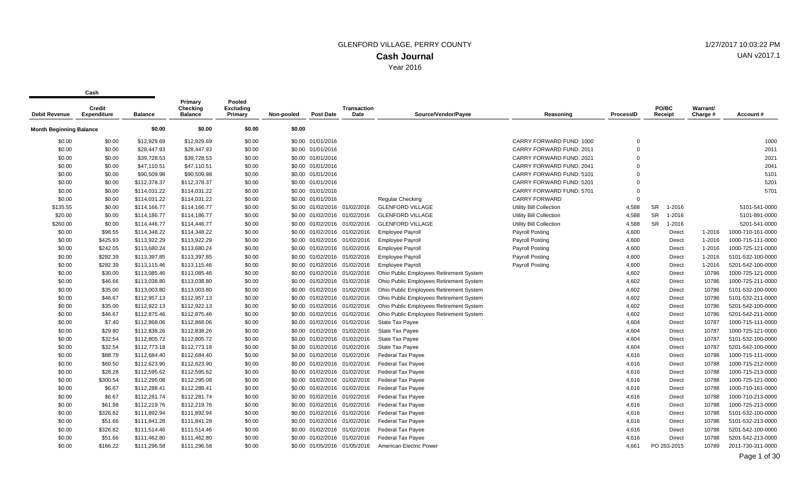Year 2016

**Cash**

| Debit Revenue                  | <b>Credit</b><br><b>Expenditure</b> | <b>Balance</b> | Primary<br><b>Checking</b><br><b>Balance</b> | Pooled<br><b>Excluding</b><br>Primary | Non-pooled | <b>Post Date</b>             | Transaction<br>Date          | Source/Vendor/Payee                     | Reasoning                       | <b>ProcessID</b> | PO/BC<br>Receipt    | <b>Warrant/</b><br>Charge # | Account#          |
|--------------------------------|-------------------------------------|----------------|----------------------------------------------|---------------------------------------|------------|------------------------------|------------------------------|-----------------------------------------|---------------------------------|------------------|---------------------|-----------------------------|-------------------|
| <b>Month Beginning Balance</b> |                                     | \$0.00         | \$0.00                                       | \$0.00                                | \$0.00     |                              |                              |                                         |                                 |                  |                     |                             |                   |
| \$0.00                         | \$0.00                              | \$12,929.69    | \$12,929.69                                  | \$0.00                                |            | \$0.00 01/01/2016            |                              |                                         | CARRY FORWARD FUND: 1000        | $\mathbf 0$      |                     |                             | 1000              |
| \$0.00                         | \$0.00                              | \$28,447.93    | \$28,447.93                                  | \$0.00                                |            | \$0.00 01/01/2016            |                              |                                         | <b>CARRY FORWARD FUND: 2011</b> | $\Omega$         |                     |                             | 2011              |
| \$0.00                         | \$0.00                              | \$39,728.53    | \$39,728.53                                  | \$0.00                                |            | \$0.00 01/01/2016            |                              |                                         | CARRY FORWARD FUND: 2021        | $\Omega$         |                     |                             | 2021              |
| \$0.00                         | \$0.00                              | \$47,110.51    | \$47,110.51                                  | \$0.00                                |            | \$0.00 01/01/2016            |                              |                                         | CARRY FORWARD FUND: 2041        | $\Omega$         |                     |                             | 2041              |
| \$0.00                         | \$0.00                              | \$90,509.98    | \$90,509.98                                  | \$0.00                                |            | \$0.00 01/01/2016            |                              |                                         | CARRY FORWARD FUND: 5101        | $\Omega$         |                     |                             | 5101              |
| \$0.00                         | \$0.00                              | \$112,378.37   | \$112,378.37                                 | \$0.00                                |            | \$0.00 01/01/2016            |                              |                                         | CARRY FORWARD FUND: 5201        | $\Omega$         |                     |                             | 5201              |
| \$0.00                         | \$0.00                              | \$114,031.22   | \$114,031.22                                 | \$0.00                                |            | \$0.00 01/01/2016            |                              |                                         | CARRY FORWARD FUND: 5701        | $\mathbf 0$      |                     |                             | 5701              |
| \$0.00                         | \$0.00                              | \$114,031.22   | \$114,031.22                                 | \$0.00                                |            | \$0.00 01/01/2016            |                              | <b>Regular Checking</b>                 | <b>CARRY FORWARD</b>            | $\Omega$         |                     |                             |                   |
| \$135.55                       | \$0.00                              | \$114,166.77   | \$114,166.77                                 | \$0.00                                |            | \$0.00 01/02/2016 01/02/2016 |                              | <b>GLENFORD VILLAGE</b>                 | Utility Bill Collection         | 4,588            | <b>SR</b><br>1-2016 |                             | 5101-541-0000     |
| \$20.00                        | \$0.00                              | \$114,186.77   | \$114,186.77                                 | \$0.00                                |            | \$0.00 01/02/2016 01/02/2016 |                              | <b>GLENFORD VILLAGE</b>                 | Utility Bill Collection         | 4,588            | SR<br>1-2016        |                             | 5101-891-0000     |
| \$260.00                       | \$0.00                              | \$114,446.77   | \$114,446.77                                 | \$0.00                                |            | \$0.00 01/02/2016 01/02/2016 |                              | <b>GLENFORD VILLAGE</b>                 | Utility Bill Collection         | 4,588            | SR<br>1-2016        |                             | 5201-541-0000     |
| \$0.00                         | \$98.55                             | \$114,348.22   | \$114,348.22                                 | \$0.00                                |            | \$0.00 01/02/2016 01/02/2016 |                              | <b>Employee Payroll</b>                 | <b>Payroll Posting</b>          | 4,600            | Direct              | 1-2016                      | 1000-710-161-0000 |
| \$0.00                         | \$425.93                            | \$113,922.29   | \$113,922.29                                 | \$0.00                                |            | \$0.00 01/02/2016 01/02/2016 |                              | <b>Employee Payroll</b>                 | <b>Payroll Posting</b>          | 4,600            | Direct              | 1-2016                      | 1000-715-111-0000 |
| \$0.00                         | \$242.05                            | \$113,680.24   | \$113,680.24                                 | \$0.00                                |            | \$0.00 01/02/2016 01/02/2016 |                              | <b>Employee Payroll</b>                 | <b>Payroll Posting</b>          | 4,600            | Direct              | 1-2016                      | 1000-725-121-0000 |
| \$0.00                         | \$282.39                            | \$113,397.85   | \$113,397.85                                 | \$0.00                                |            | \$0.00 01/02/2016 01/02/2016 |                              | <b>Employee Payroll</b>                 | <b>Payroll Posting</b>          | 4,600            | Direct              | 1-2016                      | 5101-532-100-0000 |
| \$0.00                         | \$282.39                            | \$113,115.46   | \$113,115.46                                 | \$0.00                                |            | \$0.00 01/02/2016 01/02/2016 |                              | <b>Employee Payroll</b>                 | <b>Payroll Posting</b>          | 4,600            | Direct              | 1-2016                      | 5201-542-100-0000 |
| \$0.00                         | \$30.00                             | \$113,085.46   | \$113,085.46                                 | \$0.00                                |            | \$0.00 01/02/2016 01/02/2016 |                              | Ohio Public Employees Retirement System |                                 | 4,602            | Direct              | 10786                       | 1000-725-121-0000 |
| \$0.00                         | \$46.66                             | \$113,038.80   | \$113,038.80                                 | \$0.00                                |            | \$0.00 01/02/2016 01/02/2016 |                              | Ohio Public Employees Retirement System |                                 | 4,602            | Direct              | 10786                       | 1000-725-211-0000 |
| \$0.00                         | \$35.00                             | \$113,003.80   | \$113,003.80                                 | \$0.00                                |            |                              | \$0.00 01/02/2016 01/02/2016 | Ohio Public Employees Retirement System |                                 | 4,602            | Direct              | 10786                       | 5101-532-100-0000 |
| \$0.00                         | \$46.67                             | \$112,957.13   | \$112,957.13                                 | \$0.00                                |            |                              | \$0.00 01/02/2016 01/02/2016 | Ohio Public Employees Retirement System |                                 | 4,602            | Direct              | 10786                       | 5101-532-211-0000 |
| \$0.00                         | \$35.00                             | \$112,922.13   | \$112,922.13                                 | \$0.00                                |            |                              | \$0.00 01/02/2016 01/02/2016 | Ohio Public Employees Retirement System |                                 | 4,602            | Direct              | 10786                       | 5201-542-100-0000 |
| \$0.00                         | \$46.67                             | \$112,875.46   | \$112,875.46                                 | \$0.00                                |            | \$0.00 01/02/2016 01/02/2016 |                              | Ohio Public Employees Retirement System |                                 | 4,602            | Direct              | 10786                       | 5201-542-211-0000 |
| \$0.00                         | \$7.40                              | \$112,868.06   | \$112,868.06                                 | \$0.00                                |            | \$0.00 01/02/2016 01/02/2016 |                              | <b>State Tax Payee</b>                  |                                 | 4,604            | Direct              | 10787                       | 1000-715-111-0000 |
| \$0.00                         | \$29.80                             | \$112,838.26   | \$112,838.26                                 | \$0.00                                |            | \$0.00 01/02/2016 01/02/2016 |                              | <b>State Tax Payee</b>                  |                                 | 4,604            | Direct              | 10787                       | 1000-725-121-0000 |
| \$0.00                         | \$32.54                             | \$112,805.72   | \$112,805.72                                 | \$0.00                                |            | \$0.00 01/02/2016 01/02/2016 |                              | State Tax Payee                         |                                 | 4,604            | Direct              | 10787                       | 5101-532-100-0000 |
| \$0.00                         | \$32.54                             | \$112,773.18   | \$112,773.18                                 | \$0.00                                |            | \$0.00 01/02/2016 01/02/2016 |                              | <b>State Tax Payee</b>                  |                                 | 4,604            | Direct              | 10787                       | 5201-542-100-0000 |
| \$0.00                         | \$88.78                             | \$112,684.40   | \$112,684.40                                 | \$0.00                                |            |                              | \$0.00 01/02/2016 01/02/2016 | Federal Tax Payee                       |                                 | 4,616            | Direct              | 10788                       | 1000-715-111-0000 |
| \$0.00                         | \$60.50                             | \$112,623.90   | \$112,623.90                                 | \$0.00                                |            | \$0.00 01/02/2016 01/02/2016 |                              | <b>Federal Tax Payee</b>                |                                 | 4,616            | Direct              | 10788                       | 1000-715-212-0000 |
| \$0.00                         | \$28.28                             | \$112,595.62   | \$112,595.62                                 | \$0.00                                |            | \$0.00 01/02/2016 01/02/2016 |                              | <b>Federal Tax Payee</b>                |                                 | 4,616            | Direct              | 10788                       | 1000-715-213-0000 |
| \$0.00                         | \$300.54                            | \$112,295.08   | \$112,295.08                                 | \$0.00                                |            | \$0.00 01/02/2016 01/02/2016 |                              | <b>Federal Tax Payee</b>                |                                 | 4,616            | Direct              | 10788                       | 1000-725-121-0000 |
| \$0.00                         | \$6.67                              | \$112,288.41   | \$112,288.41                                 | \$0.00                                |            |                              | \$0.00 01/02/2016 01/02/2016 | <b>Federal Tax Payee</b>                |                                 | 4,616            | Direct              | 10788                       | 1000-710-161-0000 |
| \$0.00                         | \$6.67                              | \$112,281.74   | \$112,281.74                                 | \$0.00                                |            | \$0.00 01/02/2016 01/02/2016 |                              | <b>Federal Tax Payee</b>                |                                 | 4,616            | <b>Direct</b>       | 10788                       | 1000-710-213-0000 |
| \$0.00                         | \$61.98                             | \$112,219.76   | \$112,219.76                                 | \$0.00                                |            | \$0.00 01/02/2016 01/02/2016 |                              | <b>Federal Tax Payee</b>                |                                 | 4,616            | Direct              | 10788                       | 1000-725-213-0000 |
| \$0.00                         | \$326.82                            | \$111,892.94   | \$111,892.94                                 | \$0.00                                |            | \$0.00 01/02/2016 01/02/2016 |                              | <b>Federal Tax Payee</b>                |                                 | 4,616            | Direct              | 10788                       | 5101-532-100-0000 |
| \$0.00                         | \$51.66                             | \$111,841.28   | \$111,841.28                                 | \$0.00                                |            | \$0.00 01/02/2016 01/02/2016 |                              | Federal Tax Payee                       |                                 | 4,616            | Direct              | 10788                       | 5101-532-213-0000 |
| \$0.00                         | \$326.82                            | \$111,514.46   | \$111,514.46                                 | \$0.00                                |            | \$0.00 01/02/2016 01/02/2016 |                              | Federal Tax Payee                       |                                 | 4,616            | Direct              | 10788                       | 5201-542-100-0000 |
| \$0.00                         | \$51.66                             | \$111,462.80   | \$111,462.80                                 | \$0.00                                |            | \$0.00 01/02/2016 01/02/2016 |                              | <b>Federal Tax Payee</b>                |                                 | 4,616            | Direct              | 10788                       | 5201-542-213-0000 |
| \$0.00                         | \$166.22                            | \$111,296.58   | \$111,296.58                                 | \$0.00                                |            | \$0.00 01/05/2016 01/05/2016 |                              | American Electric Power                 |                                 | 4,661            | PO 263-2015         | 10789                       | 2011-730-311-0000 |

# UAN v2017.1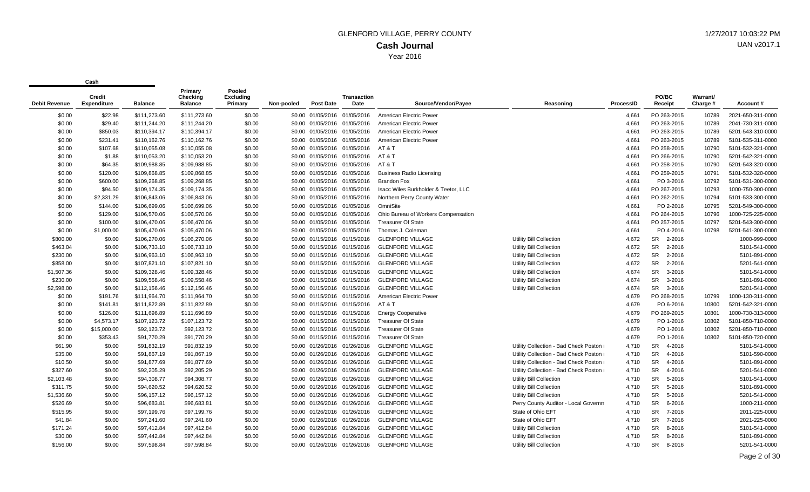| Debit Revenue | <b>Credit</b><br><b>Expenditure</b> | <b>Balance</b> | Primary<br>Checkina<br><b>Balance</b> | Pooled<br><b>Excluding</b><br>Primary | Non-pooled | <b>Post Date</b>             | Transaction<br>Date          | Source/Vendor/Payee                  | Reasoning                               | ProcessID | PO/BC<br>Receipt    | <b>Warrant/</b><br>Charge # | Account#          |
|---------------|-------------------------------------|----------------|---------------------------------------|---------------------------------------|------------|------------------------------|------------------------------|--------------------------------------|-----------------------------------------|-----------|---------------------|-----------------------------|-------------------|
| \$0.00        | \$22.98                             | \$111,273.60   | \$111,273.60                          | \$0.00                                |            | \$0.00 01/05/2016            | 01/05/2016                   | American Electric Power              |                                         | 4,661     | PO 263-2015         | 10789                       | 2021-650-311-0000 |
| \$0.00        | \$29.40                             | \$111,244.20   | \$111.244.20                          | \$0.00                                |            | \$0.00 01/05/2016 01/05/2016 |                              | American Electric Power              |                                         | 4,661     | PO 263-2015         | 10789                       | 2041-730-311-0000 |
| \$0.00        | \$850.03                            | \$110,394.17   | \$110,394.17                          | \$0.00                                |            | \$0.00 01/05/2016 01/05/2016 |                              | American Electric Power              |                                         | 4,661     | PO 263-2015         | 10789                       | 5201-543-310-0000 |
| \$0.00        | \$231.41                            | \$110,162.76   | \$110,162.76                          | \$0.00                                |            |                              | \$0.00 01/05/2016 01/05/2016 | American Electric Power              |                                         | 4,661     | PO 263-2015         | 10789                       | 5101-535-311-0000 |
| \$0.00        | \$107.68                            | \$110,055.08   | \$110,055.08                          | \$0.00                                |            |                              | \$0.00 01/05/2016 01/05/2016 | AT & T                               |                                         | 4,661     | PO 258-2015         | 10790                       | 5101-532-321-0000 |
| \$0.00        | \$1.88                              | \$110,053.20   | \$110,053.20                          | \$0.00                                |            |                              | \$0.00 01/05/2016 01/05/2016 | AT & T                               |                                         | 4,661     | PO 266-2015         | 10790                       | 5201-542-321-0000 |
| \$0.00        | \$64.35                             | \$109,988.85   | \$109,988.85                          | \$0.00                                |            |                              | \$0.00 01/05/2016 01/05/2016 | AT&T                                 |                                         | 4,661     | PO 258-2015         | 10790                       | 5201-543-320-0000 |
| \$0.00        | \$120.00                            | \$109,868.85   | \$109,868.85                          | \$0.00                                |            | \$0.00 01/05/2016 01/05/2016 |                              | <b>Business Radio Licensing</b>      |                                         | 4,661     | PO 259-2015         | 10791                       | 5101-532-320-0000 |
| \$0.00        | \$600.00                            | \$109,268.85   | \$109,268.85                          | \$0.00                                |            | \$0.00 01/05/2016 01/05/2016 |                              | <b>Brandon Fox</b>                   |                                         | 4,661     | PO 3-2016           | 10792                       | 5101-531-300-0000 |
| \$0.00        | \$94.50                             | \$109,174.35   | \$109,174.35                          | \$0.00                                |            | \$0.00 01/05/2016 01/05/2016 |                              | Isacc Wiles Burkholder & Teetor, LLC |                                         | 4,661     | PO 267-2015         | 10793                       | 1000-750-300-0000 |
| \$0.00        | \$2,331.29                          | \$106,843.06   | \$106,843.06                          | \$0.00                                |            | \$0.00 01/05/2016 01/05/2016 |                              | Northern Perry County Water          |                                         | 4,661     | PO 262-2015         | 10794                       | 5101-533-300-0000 |
| \$0.00        | \$144.00                            | \$106,699.06   | \$106,699.06                          | \$0.00                                |            | \$0.00 01/05/2016 01/05/2016 |                              | OmniSite                             |                                         | 4,661     | PO 2-2016           | 10795                       | 5201-549-300-0000 |
| \$0.00        | \$129.00                            | \$106,570.06   | \$106,570.06                          | \$0.00                                |            | \$0.00 01/05/2016 01/05/2016 |                              | Ohio Bureau of Workers Compensation  |                                         | 4,661     | PO 264-2015         | 10796                       | 1000-725-225-0000 |
| \$0.00        | \$100.00                            | \$106,470.06   | \$106,470.06                          | \$0.00                                |            | \$0.00 01/05/2016 01/05/2016 |                              | <b>Treasurer Of State</b>            |                                         | 4,661     | PO 257-2015         | 10797                       | 5201-543-300-0000 |
| \$0.00        | \$1,000.00                          | \$105,470.06   | \$105,470.06                          | \$0.00                                |            | \$0.00 01/05/2016 01/05/2016 |                              | Thomas J. Coleman                    |                                         | 4,661     | PO 4-2016           | 10798                       | 5201-541-300-0000 |
| \$800.00      | \$0.00                              | \$106,270.06   | \$106,270.06                          | \$0.00                                |            | \$0.00 01/15/2016 01/15/2016 |                              | <b>GLENFORD VILLAGE</b>              | Utility Bill Collection                 | 4,672     | SR 2-2016           |                             | 1000-999-0000     |
| \$463.04      | \$0.00                              | \$106,733.10   | \$106,733.10                          | \$0.00                                |            | \$0.00 01/15/2016 01/15/2016 |                              | <b>GLENFORD VILLAGE</b>              | Utility Bill Collection                 | 4,672     | SR<br>2-2016        |                             | 5101-541-0000     |
| \$230.00      | \$0.00                              | \$106,963.10   | \$106,963.10                          | \$0.00                                |            | \$0.00 01/15/2016 01/15/2016 |                              | <b>GLENFORD VILLAGE</b>              | Utility Bill Collection                 | 4,672     | SR<br>2-2016        |                             | 5101-891-0000     |
| \$858.00      | \$0.00                              | \$107,821.10   | \$107,821.10                          | \$0.00                                |            | \$0.00 01/15/2016 01/15/2016 |                              | <b>GLENFORD VILLAGE</b>              | Utility Bill Collection                 | 4,672     | SR<br>2-2016        |                             | 5201-541-0000     |
| \$1,507.36    | \$0.00                              | \$109,328.46   | \$109,328.46                          | \$0.00                                |            | \$0.00 01/15/2016 01/15/2016 |                              | <b>GLENFORD VILLAGE</b>              | Utility Bill Collection                 | 4,674     | <b>SR</b><br>3-2016 |                             | 5101-541-0000     |
| \$230.00      | \$0.00                              | \$109,558.46   | \$109,558.46                          | \$0.00                                |            | \$0.00 01/15/2016 01/15/2016 |                              | <b>GLENFORD VILLAGE</b>              | Utility Bill Collection                 | 4,674     | <b>SR</b><br>3-2016 |                             | 5101-891-0000     |
| \$2,598.00    | \$0.00                              | \$112,156.46   | \$112,156.46                          | \$0.00                                |            | \$0.00 01/15/2016 01/15/2016 |                              | <b>GLENFORD VILLAGE</b>              | Utility Bill Collection                 | 4,674     | <b>SR</b><br>3-2016 |                             | 5201-541-0000     |
| \$0.00        | \$191.76                            | \$111,964.70   | \$111,964.70                          | \$0.00                                |            | \$0.00 01/15/2016 01/15/2016 |                              | American Electric Power              |                                         | 4,679     | PO 268-2015         | 10799                       | 1000-130-311-0000 |
| \$0.00        | \$141.81                            | \$111,822.89   | \$111,822.89                          | \$0.00                                |            |                              | \$0.00 01/15/2016 01/15/2016 | AT&T                                 |                                         | 4,679     | PO 6-2016           | 10800                       | 5201-542-321-0000 |
| \$0.00        | \$126.00                            | \$111,696.89   | \$111,696.89                          | \$0.00                                |            | \$0.00 01/15/2016 01/15/2016 |                              | <b>Energy Cooperative</b>            |                                         | 4,679     | PO 269-2015         | 10801                       | 1000-730-313-0000 |
| \$0.00        | \$4,573.17                          | \$107,123.72   | \$107,123.72                          | \$0.00                                |            | \$0.00 01/15/2016 01/15/2016 |                              | <b>Treasurer Of State</b>            |                                         | 4,679     | PO 1-2016           | 10802                       | 5101-850-710-0000 |
| \$0.00        | \$15,000.00                         | \$92,123.72    | \$92,123.72                           | \$0.00                                |            | \$0.00 01/15/2016 01/15/2016 |                              | <b>Treasurer Of State</b>            |                                         | 4,679     | PO 1-2016           | 10802                       | 5201-850-710-0000 |
| \$0.00        | \$353.43                            | \$91,770.29    | \$91,770.29                           | \$0.00                                |            | \$0.00 01/15/2016 01/15/2016 |                              | <b>Treasurer Of State</b>            |                                         | 4,679     | PO 1-2016           | 10802                       | 5101-850-720-0000 |
| \$61.90       | \$0.00                              | \$91,832.19    | \$91,832.19                           | \$0.00                                |            | \$0.00 01/26/2016 01/26/2016 |                              | <b>GLENFORD VILLAGE</b>              | Utility Collection - Bad Check Poston I | 4,710     | 4-2016<br><b>SR</b> |                             | 5101-541-0000     |
| \$35.00       | \$0.00                              | \$91,867.19    | \$91,867.19                           | \$0.00                                |            | \$0.00 01/26/2016 01/26/2016 |                              | <b>GLENFORD VILLAGE</b>              | Utility Collection - Bad Check Poston I | 4,710     | <b>SR</b><br>4-2016 |                             | 5101-590-0000     |
| \$10.50       | \$0.00                              | \$91,877.69    | \$91,877.69                           | \$0.00                                |            | \$0.00 01/26/2016 01/26/2016 |                              | <b>GLENFORD VILLAGE</b>              | Utility Collection - Bad Check Poston I | 4,710     | <b>SR</b><br>4-2016 |                             | 5101-891-0000     |
| \$327.60      | \$0.00                              | \$92,205.29    | \$92,205.29                           | \$0.00                                |            | \$0.00 01/26/2016 01/26/2016 |                              | <b>GLENFORD VILLAGE</b>              | Utility Collection - Bad Check Poston I | 4,710     | <b>SR</b><br>4-2016 |                             | 5201-541-0000     |
| \$2,103.48    | \$0.00                              | \$94,308.77    | \$94,308.77                           | \$0.00                                |            | \$0.00 01/26/2016 01/26/2016 |                              | <b>GLENFORD VILLAGE</b>              | Utility Bill Collection                 | 4,710     | <b>SR</b><br>5-2016 |                             | 5101-541-0000     |
| \$311.75      | \$0.00                              | \$94,620.52    | \$94,620.52                           | \$0.00                                |            | \$0.00 01/26/2016 01/26/2016 |                              | <b>GLENFORD VILLAGE</b>              | <b>Utility Bill Collection</b>          | 4,710     | <b>SR</b><br>5-2016 |                             | 5101-891-0000     |
| \$1,536.60    | \$0.00                              | \$96,157.12    | \$96,157.12                           | \$0.00                                |            |                              | \$0.00 01/26/2016 01/26/2016 | <b>GLENFORD VILLAGE</b>              | Utility Bill Collection                 | 4,710     | <b>SR</b><br>5-2016 |                             | 5201-541-0000     |
| \$526.69      | \$0.00                              | \$96,683.81    | \$96,683.81                           | \$0.00                                |            | \$0.00 01/26/2016 01/26/2016 |                              | <b>GLENFORD VILLAGE</b>              | Perry County Auditor - Local Governm    | 4,710     | <b>SR</b><br>6-2016 |                             | 1000-211-0000     |
| \$515.95      | \$0.00                              | \$97,199.76    | \$97,199.76                           | \$0.00                                |            | \$0.00 01/26/2016 01/26/2016 |                              | <b>GLENFORD VILLAGE</b>              | State of Ohio EFT                       | 4,710     | <b>SR</b><br>7-2016 |                             | 2011-225-0000     |
| \$41.84       | \$0.00                              | \$97,241.60    | \$97,241.60                           | \$0.00                                |            | \$0.00 01/26/2016 01/26/2016 |                              | <b>GLENFORD VILLAGE</b>              | State of Ohio EFT                       | 4,710     | SR<br>7-2016        |                             | 2021-225-0000     |
| \$171.24      | \$0.00                              | \$97,412.84    | \$97,412.84                           | \$0.00                                |            | \$0.00 01/26/2016 01/26/2016 |                              | <b>GLENFORD VILLAGE</b>              | Utility Bill Collection                 | 4,710     | 8-2016<br><b>SR</b> |                             | 5101-541-0000     |
| \$30.00       | \$0.00                              | \$97,442.84    | \$97,442.84                           | \$0.00                                |            | \$0.00 01/26/2016 01/26/2016 |                              | <b>GLENFORD VILLAGE</b>              | Utility Bill Collection                 | 4,710     | SR<br>8-2016        |                             | 5101-891-0000     |
| \$156.00      | \$0.00                              | \$97,598.84    | \$97,598.84                           | \$0.00                                |            |                              | \$0.00 01/26/2016 01/26/2016 | <b>GLENFORD VILLAGE</b>              | Utility Bill Collection                 | 4,710     | <b>SR</b><br>8-2016 |                             | 5201-541-0000     |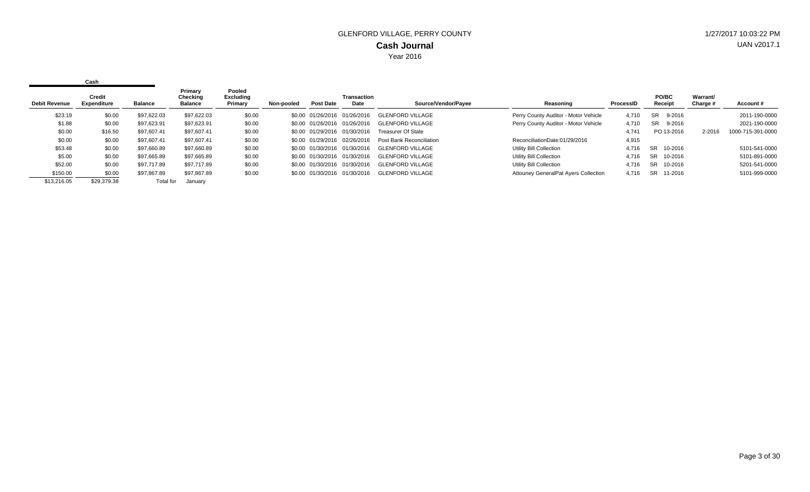|                      | Cash                  |             |                                       |                                       |            |                              |                              |                           |                                             |           |                         |                             |                   |
|----------------------|-----------------------|-------------|---------------------------------------|---------------------------------------|------------|------------------------------|------------------------------|---------------------------|---------------------------------------------|-----------|-------------------------|-----------------------------|-------------------|
| <b>Debit Revenue</b> | Credit<br>Expenditure | Balance     | Primary<br>Checking<br><b>Balance</b> | Pooled<br><b>Excluding</b><br>Primary | Non-pooled | <b>Post Date</b>             | Transaction<br>Date          | Source/Vendor/Payee       | Reasoning                                   | ProcessID | <b>PO/BC</b><br>Receipt | <b>Warrant/</b><br>Charge # | Account#          |
| \$23.19              | \$0.00                | \$97.622.03 | \$97,622.03                           | \$0.00                                |            | \$0.00 01/26/2016            | 01/26/2016                   | <b>GLENFORD VILLAGE</b>   | Perry County Auditor - Motor Vehicle        | 4.710     | 9-2016<br>SR.           |                             | 2011-190-0000     |
| \$1.88               | \$0.00                | \$97.623.91 | \$97,623.91                           | \$0.00                                |            | \$0.00 01/26/2016            | 01/26/2016                   | <b>GLENFORD VILLAGE</b>   | Perry County Auditor - Motor Vehicle        | 4.710     | <b>SR</b><br>9-2016     |                             | 2021-190-0000     |
| \$0.00               | \$16.50               | \$97.607.41 | \$97,607.41                           | \$0.00                                |            | \$0.00 01/29/2016 01/30/2016 |                              | <b>Treasurer Of State</b> |                                             | 4.741     | PO 13-2016              | 2-2016                      | 1000-715-391-0000 |
| \$0.00               | \$0.00                | \$97.607.41 | \$97.607.41                           | \$0.00                                |            |                              | \$0.00 01/29/2016 02/26/2016 | Post Bank Reconciliation  | ReconciliationDate:01/29/2016               | 4,915     |                         |                             |                   |
| \$53.48              | \$0.00                | \$97,660.89 | \$97,660.89                           | \$0.00                                |            |                              | \$0.00 01/30/2016 01/30/2016 | <b>GLENFORD VILLAGE</b>   | Utility Bill Collection                     | 4.716     | SR 10-2016              |                             | 5101-541-0000     |
| \$5.00               | \$0.00                | \$97,665.89 | \$97,665.89                           | \$0.00                                |            |                              | \$0.00 01/30/2016 01/30/2016 | <b>GLENFORD VILLAGE</b>   | Utility Bill Collection                     | 4,716     | SR<br>10-2016           |                             | 5101-891-0000     |
| \$52.00              | \$0.00                | \$97.717.89 | \$97,717.89                           | \$0.00                                |            | \$0.00 01/30/2016 01/30/2016 |                              | <b>GLENFORD VILLAGE</b>   | Utility Bill Collection                     | 4.716     | SR<br>10-2016           |                             | 5201-541-0000     |
| \$150.00             | \$0.00                | \$97,867.89 | \$97,867.89                           | \$0.00                                |            | \$0.00 01/30/2016            | 01/30/2016                   | <b>GLENFORD VILLAGE</b>   | <b>Attouney GeneralPat Ayers Collection</b> | 4.716     | SR<br>11-2016           |                             | 5101-999-0000     |
| \$13,216.05          | \$29,379.38           | Total for   | January                               |                                       |            |                              |                              |                           |                                             |           |                         |                             |                   |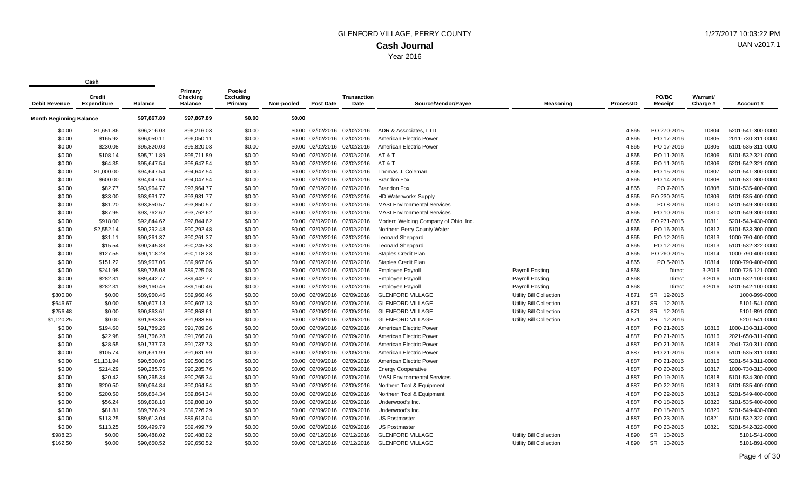|                                | vu sı ı                      |                |                                       |                                       |            |                              |                              |                                      |                         |                  |                      |                      |                   |
|--------------------------------|------------------------------|----------------|---------------------------------------|---------------------------------------|------------|------------------------------|------------------------------|--------------------------------------|-------------------------|------------------|----------------------|----------------------|-------------------|
| <b>Debit Revenue</b>           | Credit<br><b>Expenditure</b> | <b>Balance</b> | Primary<br>Checking<br><b>Balance</b> | Pooled<br><b>Excluding</b><br>Primary | Non-pooled | <b>Post Date</b>             | <b>Transaction</b><br>Date   | Source/Vendor/Payee                  | Reasoning               | <b>ProcessID</b> | PO/BC<br>Receipt     | Warrant/<br>Charge # | Account#          |
| <b>Month Beginning Balance</b> |                              | \$97,867.89    | \$97,867.89                           | \$0.00                                | \$0.00     |                              |                              |                                      |                         |                  |                      |                      |                   |
| \$0.00                         | \$1,651.86                   | \$96,216.03    | \$96,216.03                           | \$0.00                                |            | \$0.00 02/02/2016 02/02/2016 |                              | ADR & Associates, LTD                |                         | 4,865            | PO 270-2015          | 10804                | 5201-541-300-0000 |
| \$0.00                         | \$165.92                     | \$96,050.11    | \$96,050.11                           | \$0.00                                |            | \$0.00 02/02/2016 02/02/2016 |                              | American Electric Power              |                         | 4,865            | PO 17-2016           | 10805                | 2011-730-311-0000 |
| \$0.00                         | \$230.08                     | \$95,820.03    | \$95,820.03                           | \$0.00                                |            |                              | \$0.00 02/02/2016 02/02/2016 | American Electric Power              |                         | 4,865            | PO 17-2016           | 10805                | 5101-535-311-0000 |
| \$0.00                         | \$108.14                     | \$95,711.89    | \$95,711.89                           | \$0.00                                |            |                              | \$0.00 02/02/2016 02/02/2016 | AT&T                                 |                         | 4,865            | PO 11-2016           | 10806                | 5101-532-321-0000 |
| \$0.00                         | \$64.35                      | \$95,647.54    | \$95,647.54                           | \$0.00                                |            |                              | \$0.00 02/02/2016 02/02/2016 | AT & T                               |                         | 4,865            | PO 11-2016           | 10806                | 5201-542-321-0000 |
| \$0.00                         | \$1,000.00                   | \$94,647.54    | \$94,647.54                           | \$0.00                                |            |                              | \$0.00 02/02/2016 02/02/2016 | Thomas J. Coleman                    |                         | 4,865            | PO 15-2016           | 10807                | 5201-541-300-0000 |
| \$0.00                         | \$600.00                     | \$94,047.54    | \$94,047.54                           | \$0.00                                |            | \$0.00 02/02/2016 02/02/2016 |                              | <b>Brandon Fox</b>                   |                         | 4,865            | PO 14-2016           | 10808                | 5101-531-300-0000 |
| \$0.00                         | \$82.77                      | \$93,964.77    | \$93,964.77                           | \$0.00                                |            | \$0.00 02/02/2016 02/02/2016 |                              | <b>Brandon Fox</b>                   |                         | 4,865            | PO 7-2016            | 10808                | 5101-535-400-0000 |
| \$0.00                         | \$33.00                      | \$93,931.77    | \$93,931.77                           | \$0.00                                |            | \$0.00 02/02/2016 02/02/2016 |                              | <b>HD Waterworks Supply</b>          |                         | 4,865            | PO 230-2015          | 10809                | 5101-535-400-0000 |
| \$0.00                         | \$81.20                      | \$93,850.57    | \$93,850.57                           | \$0.00                                |            | \$0.00 02/02/2016 02/02/2016 |                              | <b>MASI Environmental Services</b>   |                         | 4,865            | PO 8-2016            | 10810                | 5201-549-300-0000 |
| \$0.00                         | \$87.95                      | \$93,762.62    | \$93,762.62                           | \$0.00                                |            | \$0.00 02/02/2016 02/02/2016 |                              | <b>MASI Environmental Services</b>   |                         | 4,865            | PO 10-2016           | 10810                | 5201-549-300-0000 |
| \$0.00                         | \$918.00                     | \$92,844.62    | \$92,844.62                           | \$0.00                                |            | \$0.00 02/02/2016 02/02/2016 |                              | Modern Welding Company of Ohio, Inc. |                         | 4,865            | PO 271-2015          | 10811                | 5201-543-430-0000 |
| \$0.00                         | \$2,552.14                   | \$90,292.48    | \$90,292.48                           | \$0.00                                |            | \$0.00 02/02/2016 02/02/2016 |                              | Northern Perry County Water          |                         | 4,865            | PO 16-2016           | 10812                | 5101-533-300-0000 |
| \$0.00                         | \$31.11                      | \$90,261.37    | \$90,261.37                           | \$0.00                                |            | \$0.00 02/02/2016            | 02/02/2016                   | <b>Leonard Sheppard</b>              |                         | 4,865            | PO 12-2016           | 10813                | 1000-790-400-0000 |
| \$0.00                         | \$15.54                      | \$90,245.83    | \$90,245.83                           | \$0.00                                |            | \$0.00 02/02/2016 02/02/2016 |                              | <b>Leonard Sheppard</b>              |                         | 4,865            | PO 12-2016           | 10813                | 5101-532-322-0000 |
| \$0.00                         | \$127.55                     | \$90,118.28    | \$90,118.28                           | \$0.00                                |            | \$0.00 02/02/2016 02/02/2016 |                              | <b>Staples Credit Plan</b>           |                         | 4,865            | PO 260-2015          | 10814                | 1000-790-400-0000 |
| \$0.00                         | \$151.22                     | \$89,967.06    | \$89,967.06                           | \$0.00                                |            | \$0.00 02/02/2016 02/02/2016 |                              | <b>Staples Credit Plan</b>           |                         | 4,865            | PO 5-2016            | 10814                | 1000-790-400-0000 |
| \$0.00                         | \$241.98                     | \$89,725.08    | \$89,725.08                           | \$0.00                                |            | \$0.00 02/02/2016 02/02/2016 |                              | <b>Employee Payroll</b>              | <b>Payroll Posting</b>  | 4,868            | Direct               | 3-2016               | 1000-725-121-0000 |
| \$0.00                         | \$282.31                     | \$89,442.77    | \$89,442.77                           | \$0.00                                |            | \$0.00 02/02/2016 02/02/2016 |                              | <b>Employee Payroll</b>              | <b>Payroll Posting</b>  | 4,868            | <b>Direct</b>        | 3-2016               | 5101-532-100-0000 |
| \$0.00                         | \$282.31                     | \$89,160.46    | \$89,160.46                           | \$0.00                                |            | \$0.00 02/02/2016            | 02/02/2016                   | <b>Employee Payroll</b>              | <b>Payroll Posting</b>  | 4,868            | Direct               | $3 - 2016$           | 5201-542-100-0000 |
| \$800.00                       | \$0.00                       | \$89,960.46    | \$89,960.46                           | \$0.00                                |            | \$0.00 02/09/2016 02/09/2016 |                              | <b>GLENFORD VILLAGE</b>              | Utility Bill Collection | 4,871            | 12-2016<br><b>SR</b> |                      | 1000-999-0000     |
| \$646.67                       | \$0.00                       | \$90,607.13    | \$90,607.13                           | \$0.00                                |            | \$0.00 02/09/2016 02/09/2016 |                              | <b>GLENFORD VILLAGE</b>              | Utility Bill Collection | 4,871            | 12-2016<br>SR        |                      | 5101-541-0000     |
| \$256.48                       | \$0.00                       | \$90,863.61    | \$90,863.61                           | \$0.00                                |            | \$0.00 02/09/2016 02/09/2016 |                              | <b>GLENFORD VILLAGE</b>              | Utility Bill Collection | 4,871            | SR 12-2016           |                      | 5101-891-0000     |
| \$1,120.25                     | \$0.00                       | \$91,983.86    | \$91,983.86                           | \$0.00                                |            | \$0.00 02/09/2016            | 02/09/2016                   | <b>GLENFORD VILLAGE</b>              | Utility Bill Collection | 4,871            | SR 12-2016           |                      | 5201-541-0000     |
| \$0.00                         | \$194.60                     | \$91,789.26    | \$91,789.26                           | \$0.00                                |            | \$0.00 02/09/2016 02/09/2016 |                              | American Electric Power              |                         | 4,887            | PO 21-2016           | 10816                | 1000-130-311-0000 |
| \$0.00                         | \$22.98                      | \$91,766.28    | \$91,766.28                           | \$0.00                                |            | \$0.00 02/09/2016 02/09/2016 |                              | American Electric Power              |                         | 4,887            | PO 21-2016           | 10816                | 2021-650-311-0000 |
| \$0.00                         | \$28.55                      | \$91,737.73    | \$91,737.73                           | \$0.00                                |            | \$0.00 02/09/2016            | 02/09/2016                   | American Electric Power              |                         | 4,887            | PO 21-2016           | 10816                | 2041-730-311-0000 |
| \$0.00                         | \$105.74                     | \$91,631.99    | \$91,631.99                           | \$0.00                                |            | \$0.00 02/09/2016 02/09/2016 |                              | American Electric Power              |                         | 4,887            | PO 21-2016           | 10816                | 5101-535-311-0000 |
| \$0.00                         | \$1,131.94                   | \$90,500.05    | \$90,500.05                           | \$0.00                                |            | \$0.00 02/09/2016 02/09/2016 |                              | American Electric Power              |                         | 4,887            | PO 21-2016           | 10816                | 5201-543-311-0000 |
| \$0.00                         | \$214.29                     | \$90,285.76    | \$90,285.76                           | \$0.00                                |            | \$0.00 02/09/2016 02/09/2016 |                              | <b>Energy Cooperative</b>            |                         | 4,887            | PO 20-2016           | 10817                | 1000-730-313-0000 |
| \$0.00                         | \$20.42                      | \$90,265.34    | \$90,265.34                           | \$0.00                                |            | \$0.00 02/09/2016 02/09/2016 |                              | <b>MASI Environmental Services</b>   |                         | 4,887            | PO 19-2016           | 10818                | 5101-534-300-0000 |
| \$0.00                         | \$200.50                     | \$90,064.84    | \$90,064.84                           | \$0.00                                |            | \$0.00 02/09/2016 02/09/2016 |                              | Northern Tool & Equipment            |                         | 4,887            | PO 22-2016           | 10819                | 5101-535-400-0000 |
| \$0.00                         | \$200.50                     | \$89,864.34    | \$89,864.34                           | \$0.00                                |            | \$0.00 02/09/2016            | 02/09/2016                   | Northern Tool & Equipment            |                         | 4,887            | PO 22-2016           | 10819                | 5201-549-400-0000 |
| \$0.00                         | \$56.24                      | \$89,808.10    | \$89,808.10                           | \$0.00                                |            | \$0.00 02/09/2016 02/09/2016 |                              | Underwood's Inc.                     |                         | 4,887            | PO 18-2016           | 10820                | 5101-535-400-0000 |
| \$0.00                         | \$81.81                      | \$89,726.29    | \$89,726.29                           | \$0.00                                |            | \$0.00 02/09/2016 02/09/2016 |                              | Underwood's Inc.                     |                         | 4,887            | PO 18-2016           | 10820                | 5201-549-430-0000 |
| \$0.00                         | \$113.25                     | \$89,613.04    | \$89,613.04                           | \$0.00                                |            | \$0.00 02/09/2016 02/09/2016 |                              | <b>US Postmaster</b>                 |                         | 4,887            | PO 23-2016           | 10821                | 5101-532-322-0000 |
| \$0.00                         | \$113.25                     | \$89,499.79    | \$89,499.79                           | \$0.00                                |            | \$0.00 02/09/2016            | 02/09/2016                   | <b>US Postmaster</b>                 |                         | 4,887            | PO 23-2016           | 10821                | 5201-542-322-0000 |
| \$988.23                       | \$0.00                       | \$90,488.02    | \$90,488.02                           | \$0.00                                |            | \$0.00 02/12/2016 02/12/2016 |                              | <b>GLENFORD VILLAGE</b>              | Utility Bill Collection | 4,890            | SR 13-2016           |                      | 5101-541-0000     |
| \$162.50                       | \$0.00                       | \$90.650.52    | \$90.650.52                           | \$0.00                                |            |                              | \$0.00 02/12/2016 02/12/2016 | <b>GLENFORD VILLAGE</b>              | Utility Bill Collection | 4,890            | SR 13-2016           |                      | 5101-891-0000     |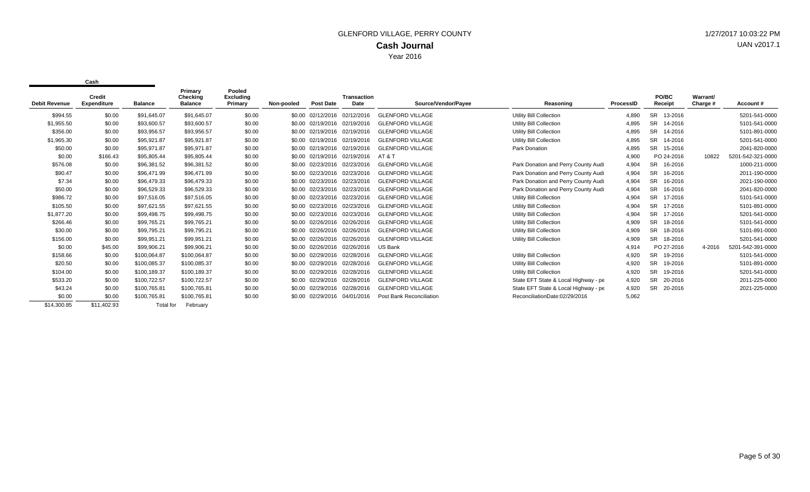|                      | <b>Credit</b>      |                  | Primary<br>Checking | Pooled<br><b>Excluding</b> |            |                              | <b>Transaction</b> |                                 |                                      |           | PO/BC                | Warrant/ |                   |
|----------------------|--------------------|------------------|---------------------|----------------------------|------------|------------------------------|--------------------|---------------------------------|--------------------------------------|-----------|----------------------|----------|-------------------|
| <b>Debit Revenue</b> | <b>Expenditure</b> | <b>Balance</b>   | <b>Balance</b>      | Primary                    | Non-pooled | <b>Post Date</b>             | Date               | Source/Vendor/Payee             | Reasoning                            | ProcessID | Receipt              | Charge # | Account#          |
| \$994.55             | \$0.00             | \$91,645.07      | \$91,645.07         | \$0.00                     |            | \$0.00 02/12/2016            | 02/12/2016         | <b>GLENFORD VILLAGE</b>         | <b>Utility Bill Collection</b>       | 4,890     | <b>SR</b><br>13-2016 |          | 5201-541-0000     |
| \$1,955.50           | \$0.00             | \$93,600.57      | \$93,600.57         | \$0.00                     |            | \$0.00 02/19/2016            | 02/19/2016         | <b>GLENFORD VILLAGE</b>         | <b>Utility Bill Collection</b>       | 4,895     | <b>SR</b><br>14-2016 |          | 5101-541-0000     |
| \$356.00             | \$0.00             | \$93,956.57      | \$93,956.57         | \$0.00                     |            | \$0.00 02/19/2016            | 02/19/2016         | <b>GLENFORD VILLAGE</b>         | <b>Utility Bill Collection</b>       | 4,895     | <b>SR</b><br>14-2016 |          | 5101-891-0000     |
| \$1,965.30           | \$0.00             | \$95,921.87      | \$95,921.87         | \$0.00                     |            | \$0.00 02/19/2016            | 02/19/2016         | <b>GLENFORD VILLAGE</b>         | <b>Utility Bill Collection</b>       | 4,895     | <b>SR</b><br>14-2016 |          | 5201-541-0000     |
| \$50.00              | \$0.00             | \$95,971.87      | \$95,971.87         | \$0.00                     |            | \$0.00 02/19/2016            | 02/19/2016         | <b>GLENFORD VILLAGE</b>         | Park Donation                        | 4,895     | <b>SR</b><br>15-2016 |          | 2041-820-0000     |
| \$0.00               | \$166.43           | \$95,805.44      | \$95,805.44         | \$0.00                     |            | \$0.00 02/19/2016            | 02/19/2016         | AT & T                          |                                      | 4,900     | PO 24-2016           | 10822    | 5201-542-321-0000 |
| \$576.08             | \$0.00             | \$96,381.52      | \$96,381.52         | \$0.00                     |            | \$0.00 02/23/2016            | 02/23/2016         | <b>GLENFORD VILLAGE</b>         | Park Donation and Perry County Audit | 4,904     | <b>SR</b><br>16-2016 |          | 1000-211-0000     |
| \$90.47              | \$0.00             | \$96.471.99      | \$96,471.99         | \$0.00                     |            | \$0.00 02/23/2016            | 02/23/2016         | <b>GLENFORD VILLAGE</b>         | Park Donation and Perry County Audit | 4,904     | <b>SR</b><br>16-2016 |          | 2011-190-0000     |
| \$7.34               | \$0.00             | \$96.479.33      | \$96,479.33         | \$0.00                     |            | \$0.00 02/23/2016            | 02/23/2016         | <b>GLENFORD VILLAGE</b>         | Park Donation and Perry County Audit | 4,904     | SR.<br>16-2016       |          | 2021-190-0000     |
| \$50.00              | \$0.00             | \$96,529.33      | \$96,529.33         | \$0.00                     |            | \$0.00 02/23/2016            | 02/23/2016         | <b>GLENFORD VILLAGE</b>         | Park Donation and Perry County Audit | 4,904     | SR.<br>16-2016       |          | 2041-820-0000     |
| \$986.72             | \$0.00             | \$97.516.05      | \$97,516.05         | \$0.00                     |            | \$0.00 02/23/2016            | 02/23/2016         | <b>GLENFORD VILLAGE</b>         | <b>Utility Bill Collection</b>       | 4,904     | <b>SR</b><br>17-2016 |          | 5101-541-0000     |
| \$105.50             | \$0.00             | \$97,621.55      | \$97,621.55         | \$0.00                     |            | \$0.00 02/23/2016            | 02/23/2016         | <b>GLENFORD VILLAGE</b>         | <b>Utility Bill Collection</b>       | 4,904     | <b>SR</b><br>17-2016 |          | 5101-891-0000     |
| \$1,877.20           | \$0.00             | \$99,498.75      | \$99,498.75         | \$0.00                     |            | \$0.00 02/23/2016            | 02/23/2016         | <b>GLENFORD VILLAGE</b>         | <b>Utility Bill Collection</b>       | 4,904     | <b>SR</b><br>17-2016 |          | 5201-541-0000     |
| \$266.46             | \$0.00             | \$99,765.21      | \$99,765.21         | \$0.00                     |            | \$0.00 02/26/2016            | 02/26/2016         | <b>GLENFORD VILLAGE</b>         | <b>Utility Bill Collection</b>       | 4,909     | <b>SR</b><br>18-2016 |          | 5101-541-0000     |
| \$30.00              | \$0.00             | \$99,795.21      | \$99,795.21         | \$0.00                     |            | \$0.00 02/26/2016            | 02/26/2016         | <b>GLENFORD VILLAGE</b>         | <b>Utility Bill Collection</b>       | 4,909     | <b>SR</b><br>18-2016 |          | 5101-891-0000     |
| \$156.00             | \$0.00             | \$99,951.21      | \$99,951.21         | \$0.00                     |            | \$0.00 02/26/2016            | 02/26/2016         | <b>GLENFORD VILLAGE</b>         | <b>Utility Bill Collection</b>       | 4,909     | <b>SR</b><br>18-2016 |          | 5201-541-0000     |
| \$0.00               | \$45.00            | \$99,906.21      | \$99,906.21         | \$0.00                     |            | \$0.00 02/26/2016            | 02/26/2016         | US Bank                         |                                      | 4,914     | PO 27-2016           | 4-2016   | 5201-542-391-0000 |
| \$158.66             | \$0.00             | \$100,064.87     | \$100,064.87        | \$0.00                     |            | \$0.00 02/29/2016            | 02/28/2016         | <b>GLENFORD VILLAGE</b>         | <b>Utility Bill Collection</b>       | 4,920     | <b>SR</b><br>19-2016 |          | 5101-541-0000     |
| \$20.50              | \$0.00             | \$100,085.37     | \$100,085.37        | \$0.00                     |            | \$0.00 02/29/2016            | 02/28/2016         | <b>GLENFORD VILLAGE</b>         | <b>Utility Bill Collection</b>       | 4,920     | <b>SR</b><br>19-2016 |          | 5101-891-0000     |
| \$104.00             | \$0.00             | \$100,189.37     | \$100,189.37        | \$0.00                     |            | \$0.00 02/29/2016            | 02/28/2016         | <b>GLENFORD VILLAGE</b>         | <b>Utility Bill Collection</b>       | 4,920     | <b>SR</b><br>19-2016 |          | 5201-541-0000     |
| \$533.20             | \$0.00             | \$100,722.57     | \$100,722.57        | \$0.00                     |            | \$0.00 02/29/2016            | 02/28/2016         | <b>GLENFORD VILLAGE</b>         | State EFT State & Local Highway - pe | 4,920     | <b>SR</b><br>20-2016 |          | 2011-225-0000     |
| \$43.24              | \$0.00             | \$100,765.81     | \$100,765.81        | \$0.00                     |            | \$0.00 02/29/2016            | 02/28/2016         | <b>GLENFORD VILLAGE</b>         | State EFT State & Local Highway - pe | 4,920     | <b>SR</b><br>20-2016 |          | 2021-225-0000     |
| \$0.00               | \$0.00             | \$100,765.81     | \$100,765.81        | \$0.00                     |            | \$0.00 02/29/2016 04/01/2016 |                    | <b>Post Bank Reconciliation</b> | ReconciliationDate:02/29/2016        | 5,062     |                      |          |                   |
| \$14,300.85          | \$11,402.93        | <b>Total for</b> | February            |                            |            |                              |                    |                                 |                                      |           |                      |          |                   |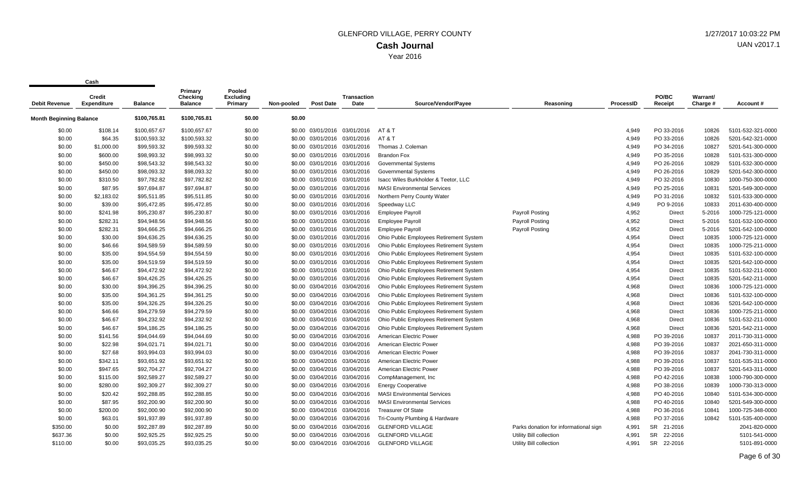**Cash**

 $\mathbf{r}$ 

| <b>Debit Revenue</b>           | <b>Credit</b><br><b>Expenditure</b> | <b>Balance</b> | Primary<br>Checking<br><b>Balance</b> | Pooled<br>Excluding<br>Primary | Non-pooled | <b>Post Date</b>             | <b>Transaction</b><br>Date   | Source/Vendor/Payee                     | Reasoning                             | ProcessID | PO/BC<br>Receipt | Warrant/<br>Charge # | Account#          |
|--------------------------------|-------------------------------------|----------------|---------------------------------------|--------------------------------|------------|------------------------------|------------------------------|-----------------------------------------|---------------------------------------|-----------|------------------|----------------------|-------------------|
| <b>Month Beginning Balance</b> |                                     | \$100,765.81   | \$100,765.81                          | \$0.00                         | \$0.00     |                              |                              |                                         |                                       |           |                  |                      |                   |
| \$0.00                         | \$108.14                            | \$100,657.67   | \$100,657.67                          | \$0.00                         |            |                              | \$0.00 03/01/2016 03/01/2016 | AT & T                                  |                                       | 4.949     | PO 33-2016       | 10826                | 5101-532-321-0000 |
| \$0.00                         | \$64.35                             | \$100,593.32   | \$100,593.32                          | \$0.00                         |            |                              | \$0.00 03/01/2016 03/01/2016 | AT & T                                  |                                       | 4,949     | PO 33-2016       | 10826                | 5201-542-321-0000 |
| \$0.00                         | \$1,000.00                          | \$99,593.32    | \$99,593.32                           | \$0.00                         |            |                              | \$0.00 03/01/2016 03/01/2016 | Thomas J. Coleman                       |                                       | 4,949     | PO 34-2016       | 10827                | 5201-541-300-0000 |
| \$0.00                         | \$600.00                            | \$98,993.32    | \$98,993.32                           | \$0.00                         |            |                              | \$0.00 03/01/2016 03/01/2016 | <b>Brandon Fox</b>                      |                                       | 4,949     | PO 35-2016       | 10828                | 5101-531-300-0000 |
| \$0.00                         | \$450.00                            | \$98,543.32    | \$98,543.32                           | \$0.00                         |            | \$0.00 03/01/2016 03/01/2016 |                              | <b>Governmental Systems</b>             |                                       | 4,949     | PO 26-2016       | 10829                | 5101-532-300-0000 |
| \$0.00                         | \$450.00                            | \$98,093.32    | \$98,093.32                           | \$0.00                         |            | \$0.00 03/01/2016 03/01/2016 |                              | <b>Governmental Systems</b>             |                                       | 4,949     | PO 26-2016       | 10829                | 5201-542-300-0000 |
| \$0.00                         | \$310.50                            | \$97,782.82    | \$97,782.82                           | \$0.00                         |            | \$0.00 03/01/2016 03/01/2016 |                              | Isacc Wiles Burkholder & Teetor, LLC    |                                       | 4,949     | PO 32-2016       | 10830                | 1000-750-300-0000 |
| \$0.00                         | \$87.95                             | \$97,694.87    | \$97,694.87                           | \$0.00                         |            | \$0.00 03/01/2016 03/01/2016 |                              | <b>MASI Environmental Services</b>      |                                       | 4,949     | PO 25-2016       | 10831                | 5201-549-300-0000 |
| \$0.00                         | \$2,183.02                          | \$95,511.85    | \$95,511.85                           | \$0.00                         |            | \$0.00 03/01/2016 03/01/2016 |                              | Northern Perry County Water             |                                       | 4,949     | PO 31-2016       | 10832                | 5101-533-300-0000 |
| \$0.00                         | \$39.00                             | \$95,472.85    | \$95,472.85                           | \$0.00                         |            | \$0.00 03/01/2016 03/01/2016 |                              | Speedway LLC                            |                                       | 4,949     | PO 9-2016        | 10833                | 2011-630-400-0000 |
| \$0.00                         | \$241.98                            | \$95,230.87    | \$95,230.87                           | \$0.00                         |            | \$0.00 03/01/2016 03/01/2016 |                              | <b>Employee Payroll</b>                 | <b>Payroll Posting</b>                | 4,952     | Direct           | 5-2016               | 1000-725-121-0000 |
| \$0.00                         | \$282.31                            | \$94,948.56    | \$94,948.56                           | \$0.00                         |            | \$0.00 03/01/2016 03/01/2016 |                              | <b>Employee Payroll</b>                 | Payroll Posting                       | 4,952     | Direct           | 5-2016               | 5101-532-100-0000 |
| \$0.00                         | \$282.31                            | \$94,666.25    | \$94,666.25                           | \$0.00                         |            | \$0.00 03/01/2016 03/01/2016 |                              | <b>Employee Payroll</b>                 | <b>Payroll Posting</b>                | 4,952     | Direct           | 5-2016               | 5201-542-100-0000 |
| \$0.00                         | \$30.00                             | \$94,636.25    | \$94,636.25                           | \$0.00                         |            | \$0.00 03/01/2016 03/01/2016 |                              | Ohio Public Employees Retirement System |                                       | 4,954     | Direct           | 10835                | 1000-725-121-0000 |
| \$0.00                         | \$46.66                             | \$94,589.59    | \$94,589.59                           | \$0.00                         |            | \$0.00 03/01/2016 03/01/2016 |                              | Ohio Public Employees Retirement System |                                       | 4,954     | Direct           | 10835                | 1000-725-211-0000 |
| \$0.00                         | \$35.00                             | \$94,554.59    | \$94,554.59                           | \$0.00                         |            | \$0.00 03/01/2016 03/01/2016 |                              | Ohio Public Employees Retirement System |                                       | 4,954     | Direct           | 10835                | 5101-532-100-0000 |
| \$0.00                         | \$35.00                             | \$94,519.59    | \$94,519.59                           | \$0.00                         |            | \$0.00 03/01/2016 03/01/2016 |                              | Ohio Public Employees Retirement System |                                       | 4,954     | Direct           | 10835                | 5201-542-100-0000 |
| \$0.00                         | \$46.67                             | \$94,472.92    | \$94,472.92                           | \$0.00                         |            | \$0.00 03/01/2016 03/01/2016 |                              | Ohio Public Employees Retirement System |                                       | 4,954     | Direct           | 10835                | 5101-532-211-0000 |
| \$0.00                         | \$46.67                             | \$94,426.25    | \$94,426.25                           | \$0.00                         |            | \$0.00 03/01/2016 03/01/2016 |                              | Ohio Public Employees Retirement System |                                       | 4,954     | Direct           | 10835                | 5201-542-211-0000 |
| \$0.00                         | \$30.00                             | \$94,396.25    | \$94,396.25                           | \$0.00                         |            | \$0.00 03/04/2016 03/04/2016 |                              | Ohio Public Employees Retirement System |                                       | 4,968     | Direct           | 10836                | 1000-725-121-0000 |
| \$0.00                         | \$35.00                             | \$94,361.25    | \$94,361.25                           | \$0.00                         |            | \$0.00 03/04/2016 03/04/2016 |                              | Ohio Public Employees Retirement System |                                       | 4,968     | Direct           | 10836                | 5101-532-100-0000 |
| \$0.00                         | \$35.00                             | \$94,326.25    | \$94,326.25                           | \$0.00                         |            | \$0.00 03/04/2016 03/04/2016 |                              | Ohio Public Employees Retirement System |                                       | 4,968     | Direct           | 10836                | 5201-542-100-0000 |
| \$0.00                         | \$46.66                             | \$94,279.59    | \$94,279.59                           | \$0.00                         |            | \$0.00 03/04/2016 03/04/2016 |                              | Ohio Public Employees Retirement System |                                       | 4,968     | Direct           | 10836                | 1000-725-211-0000 |
| \$0.00                         | \$46.67                             | \$94,232.92    | \$94,232.92                           | \$0.00                         |            | \$0.00 03/04/2016 03/04/2016 |                              | Ohio Public Employees Retirement System |                                       | 4,968     | Direct           | 10836                | 5101-532-211-0000 |
| \$0.00                         | \$46.67                             | \$94,186.25    | \$94,186.25                           | \$0.00                         |            | \$0.00 03/04/2016 03/04/2016 |                              | Ohio Public Employees Retirement System |                                       | 4,968     | Direct           | 10836                | 5201-542-211-0000 |
| \$0.00                         | \$141.56                            | \$94,044.69    | \$94,044.69                           | \$0.00                         |            | \$0.00 03/04/2016 03/04/2016 |                              | American Electric Power                 |                                       | 4,988     | PO 39-2016       | 10837                | 2011-730-311-0000 |
| \$0.00                         | \$22.98                             | \$94,021.71    | \$94,021.71                           | \$0.00                         |            | \$0.00 03/04/2016 03/04/2016 |                              | American Electric Power                 |                                       | 4,988     | PO 39-2016       | 10837                | 2021-650-311-0000 |
| \$0.00                         | \$27.68                             | \$93,994.03    | \$93,994.03                           | \$0.00                         |            | \$0.00 03/04/2016 03/04/2016 |                              | American Electric Power                 |                                       | 4,988     | PO 39-2016       | 10837                | 2041-730-311-0000 |
| \$0.00                         | \$342.11                            | \$93,651.92    | \$93,651.92                           | \$0.00                         |            | \$0.00 03/04/2016 03/04/2016 |                              | American Electric Power                 |                                       | 4,988     | PO 39-2016       | 10837                | 5101-535-311-0000 |
| \$0.00                         | \$947.65                            | \$92,704.27    | \$92,704.27                           | \$0.00                         |            | \$0.00 03/04/2016 03/04/2016 |                              | American Electric Power                 |                                       | 4,988     | PO 39-2016       | 10837                | 5201-543-311-0000 |
| \$0.00                         | \$115.00                            | \$92,589.27    | \$92,589.27                           | \$0.00                         |            | \$0.00 03/04/2016 03/04/2016 |                              | CompManagement, Inc.                    |                                       | 4,988     | PO 42-2016       | 10838                | 1000-790-300-0000 |
| \$0.00                         | \$280.00                            | \$92,309.27    | \$92,309.27                           | \$0.00                         |            | \$0.00 03/04/2016 03/04/2016 |                              | <b>Energy Cooperative</b>               |                                       | 4,988     | PO 38-2016       | 10839                | 1000-730-313-0000 |
| \$0.00                         | \$20.42                             | \$92,288.85    | \$92,288.85                           | \$0.00                         |            | \$0.00 03/04/2016 03/04/2016 |                              | <b>MASI Environmental Services</b>      |                                       | 4,988     | PO 40-2016       | 10840                | 5101-534-300-0000 |
| \$0.00                         | \$87.95                             | \$92,200.90    | \$92,200.90                           | \$0.00                         |            | \$0.00 03/04/2016 03/04/2016 |                              | <b>MASI Environmental Services</b>      |                                       | 4,988     | PO 40-2016       | 10840                | 5201-549-300-0000 |
| \$0.00                         | \$200.00                            | \$92,000.90    | \$92,000.90                           | \$0.00                         |            | \$0.00 03/04/2016 03/04/2016 |                              | <b>Treasurer Of State</b>               |                                       | 4,988     | PO 36-2016       | 10841                | 1000-725-348-0000 |
| \$0.00                         | \$63.01                             | \$91,937.89    | \$91,937.89                           | \$0.00                         |            | \$0.00 03/04/2016 03/04/2016 |                              | Tri-County Plumbing & Hardware          |                                       | 4,988     | PO 37-2016       | 10842                | 5101-535-400-0000 |
| \$350.00                       | \$0.00                              | \$92,287.89    | \$92,287.89                           | \$0.00                         |            | \$0.00 03/04/2016 03/04/2016 |                              | <b>GLENFORD VILLAGE</b>                 | Parks donation for informational sign | 4,991     | SR 21-2016       |                      | 2041-820-0000     |
| \$637.36                       | \$0.00                              | \$92,925.25    | \$92,925.25                           | \$0.00                         |            | \$0.00 03/04/2016 03/04/2016 |                              | <b>GLENFORD VILLAGE</b>                 | Utility Bill collection               | 4,991     | 22-2016<br>SR    |                      | 5101-541-0000     |
| \$110.00                       | \$0.00                              | \$93,035.25    | \$93,035.25                           | \$0.00                         |            |                              | \$0.00 03/04/2016 03/04/2016 | <b>GLENFORD VILLAGE</b>                 | Utility Bill collection               | 4,991     | SR<br>22-2016    |                      | 5101-891-0000     |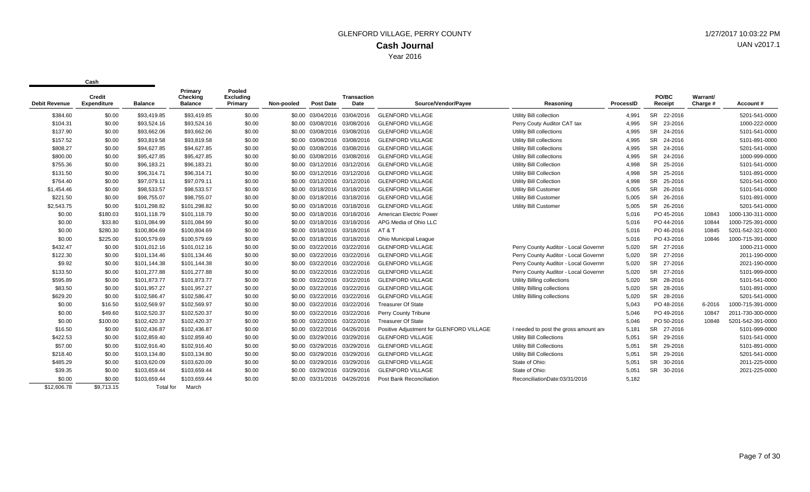|                      | vu sı                        |                  |                                       | Pooled                      |            |                              |                            |                                          |                                       |           |                      |                      |                   |
|----------------------|------------------------------|------------------|---------------------------------------|-----------------------------|------------|------------------------------|----------------------------|------------------------------------------|---------------------------------------|-----------|----------------------|----------------------|-------------------|
| <b>Debit Revenue</b> | <b>Credit</b><br>Expenditure | <b>Balance</b>   | Primary<br>Checking<br><b>Balance</b> | <b>Excluding</b><br>Primary | Non-pooled | <b>Post Date</b>             | <b>Transaction</b><br>Date | Source/Vendor/Payee                      | Reasoning                             | ProcessID | PO/BC<br>Receipt     | Warrant/<br>Charge # | Account#          |
| \$384.60             | \$0.00                       | \$93,419.85      | \$93,419.85                           | \$0.00                      |            | \$0.00 03/04/2016 03/04/2016 |                            | <b>GLENFORD VILLAGE</b>                  | Utility Bill collection               | 4,991     | SR 22-2016           |                      | 5201-541-0000     |
| \$104.31             | \$0.00                       | \$93,524.16      | \$93,524.16                           | \$0.00                      |            | \$0.00 03/08/2016 03/08/2016 |                            | <b>GLENFORD VILLAGE</b>                  | Perry Couty Auditor CAT tax           | 4,995     | SR 23-2016           |                      | 1000-222-0000     |
| \$137.90             | \$0.00                       | \$93,662.06      | \$93,662.06                           | \$0.00                      |            | \$0.00 03/08/2016 03/08/2016 |                            | <b>GLENFORD VILLAGE</b>                  | Utility Bill collections              | 4,995     | SR 24-2016           |                      | 5101-541-0000     |
| \$157.52             | \$0.00                       | \$93,819.58      | \$93,819.58                           | \$0.00                      |            | \$0.00 03/08/2016 03/08/2016 |                            | <b>GLENFORD VILLAGE</b>                  | Utility Bill collections              | 4,995     | SR 24-2016           |                      | 5101-891-0000     |
| \$808.27             | \$0.00                       | \$94,627.85      | \$94,627.85                           | \$0.00                      |            | \$0.00 03/08/2016 03/08/2016 |                            | <b>GLENFORD VILLAGE</b>                  | Utility Bill collections              | 4,995     | SR 24-2016           |                      | 5201-541-0000     |
| \$800.00             | \$0.00                       | \$95,427.85      | \$95,427.85                           | \$0.00                      |            | \$0.00 03/08/2016 03/08/2016 |                            | <b>GLENFORD VILLAGE</b>                  | Utility Bill collections              | 4,995     | SR 24-2016           |                      | 1000-999-0000     |
| \$755.36             | \$0.00                       | \$96,183.21      | \$96,183.21                           | \$0.00                      |            | \$0.00 03/12/2016 03/12/2016 |                            | <b>GLENFORD VILLAGE</b>                  | <b>Utility Bill Collection</b>        | 4,998     | SR 25-2016           |                      | 5101-541-0000     |
| \$131.50             | \$0.00                       | \$96,314.71      | \$96,314.71                           | \$0.00                      |            | \$0.00 03/12/2016 03/12/2016 |                            | <b>GLENFORD VILLAGE</b>                  | <b>Utility Bill Collection</b>        | 4,998     | SR 25-2016           |                      | 5101-891-0000     |
| \$764.40             | \$0.00                       | \$97,079.11      | \$97,079.11                           | \$0.00                      |            | \$0.00 03/12/2016 03/12/2016 |                            | <b>GLENFORD VILLAGE</b>                  | <b>Utility Bill Collection</b>        | 4,998     | SR 25-2016           |                      | 5201-541-0000     |
| \$1,454.46           | \$0.00                       | \$98,533.57      | \$98,533.57                           | \$0.00                      |            | \$0.00 03/18/2016 03/18/2016 |                            | <b>GLENFORD VILLAGE</b>                  | <b>Utility Bill Customer</b>          | 5,005     | SR 26-2016           |                      | 5101-541-0000     |
| \$221.50             | \$0.00                       | \$98,755.07      | \$98,755.07                           | \$0.00                      |            | \$0.00 03/18/2016 03/18/2016 |                            | <b>GLENFORD VILLAGE</b>                  | <b>Utility Bill Customer</b>          | 5,005     | SR 26-2016           |                      | 5101-891-0000     |
| \$2,543.75           | \$0.00                       | \$101,298.82     | \$101,298.82                          | \$0.00                      |            | \$0.00 03/18/2016 03/18/2016 |                            | <b>GLENFORD VILLAGE</b>                  | <b>Utility Bill Customer</b>          | 5,005     | SR 26-2016           |                      | 5201-541-0000     |
| \$0.00               | \$180.03                     | \$101,118.79     | \$101,118.79                          | \$0.00                      |            | \$0.00 03/18/2016 03/18/2016 |                            | American Electric Power                  |                                       | 5,016     | PO 45-2016           | 10843                | 1000-130-311-0000 |
| \$0.00               | \$33.80                      | \$101,084.99     | \$101,084.99                          | \$0.00                      |            | \$0.00 03/18/2016 03/18/2016 |                            | APG Media of Ohio LLC                    |                                       | 5,016     | PO 44-2016           | 10844                | 1000-725-391-0000 |
| \$0.00               | \$280.30                     | \$100,804.69     | \$100,804.69                          | \$0.00                      |            | \$0.00 03/18/2016 03/18/2016 |                            | AT & T                                   |                                       | 5,016     | PO 46-2016           | 10845                | 5201-542-321-0000 |
| \$0.00               | \$225.00                     | \$100,579.69     | \$100,579.69                          | \$0.00                      |            | \$0.00 03/18/2016 03/18/2016 |                            | <b>Ohio Municipal League</b>             |                                       | 5,016     | PO 43-2016           | 10846                | 1000-715-391-0000 |
| \$432.47             | \$0.00                       | \$101,012.16     | \$101,012.16                          | \$0.00                      |            | \$0.00 03/22/2016 03/22/2016 |                            | <b>GLENFORD VILLAGE</b>                  | Perry County Auditor - Local Governm  | 5,020     | SR 27-2016           |                      | 1000-211-0000     |
| \$122.30             | \$0.00                       | \$101,134.46     | \$101,134.46                          | \$0.00                      |            | \$0.00 03/22/2016 03/22/2016 |                            | <b>GLENFORD VILLAGE</b>                  | Perry County Auditor - Local Governm  | 5,020     | <b>SR</b><br>27-2016 |                      | 2011-190-0000     |
| \$9.92               | \$0.00                       | \$101,144.38     | \$101,144.38                          | \$0.00                      |            | \$0.00 03/22/2016 03/22/2016 |                            | <b>GLENFORD VILLAGE</b>                  | Perry County Auditor - Local Governm  | 5,020     | SR<br>27-2016        |                      | 2021-190-0000     |
| \$133.50             | \$0.00                       | \$101,277.88     | \$101,277.88                          | \$0.00                      |            | \$0.00 03/22/2016 03/22/2016 |                            | <b>GLENFORD VILLAGE</b>                  | Perry County Auditor - Local Governm  | 5,020     | <b>SR</b><br>27-2016 |                      | 5101-999-0000     |
| \$595.89             | \$0.00                       | \$101,873.77     | \$101,873.77                          | \$0.00                      |            | \$0.00 03/22/2016 03/22/2016 |                            | <b>GLENFORD VILLAGE</b>                  | Utility Billing collections           | 5,020     | <b>SR</b><br>28-2016 |                      | 5101-541-0000     |
| \$83.50              | \$0.00                       | \$101,957.27     | \$101,957.27                          | \$0.00                      |            | \$0.00 03/22/2016 03/22/2016 |                            | <b>GLENFORD VILLAGE</b>                  | Utility Billing collections           | 5,020     | SR 28-2016           |                      | 5101-891-0000     |
| \$629.20             | \$0.00                       | \$102,586.47     | \$102,586.47                          | \$0.00                      |            | \$0.00 03/22/2016 03/22/2016 |                            | <b>GLENFORD VILLAGE</b>                  | <b>Utility Billing collections</b>    | 5,020     | SR 28-2016           |                      | 5201-541-0000     |
| \$0.00               | \$16.50                      | \$102,569.97     | \$102,569.97                          | \$0.00                      |            | \$0.00 03/22/2016 03/22/2016 |                            | <b>Treasurer Of State</b>                |                                       | 5,043     | PO 48-2016           | 6-2016               | 1000-715-391-0000 |
| \$0.00               | \$49.60                      | \$102,520.37     | \$102,520.37                          | \$0.00                      |            | \$0.00 03/22/2016 03/22/2016 |                            | Perry County Tribune                     |                                       | 5,046     | PO 49-2016           | 10847                | 2011-730-300-0000 |
| \$0.00               | \$100.00                     | \$102,420.37     | \$102,420.37                          | \$0.00                      |            | \$0.00 03/22/2016 03/22/2016 |                            | <b>Treasurer Of State</b>                |                                       | 5,046     | PO 50-2016           | 10848                | 5201-542-391-0000 |
| \$16.50              | \$0.00                       | \$102,436.87     | \$102,436.87                          | \$0.00                      |            | \$0.00 03/22/2016 04/26/2016 |                            | Positive Adjustment for GLENFORD VILLAGE | I needed to post the gross amount and | 5,181     | <b>SR</b><br>27-2016 |                      | 5101-999-0000     |
| \$422.53             | \$0.00                       | \$102,859.40     | \$102,859.40                          | \$0.00                      |            | \$0.00 03/29/2016 03/29/2016 |                            | <b>GLENFORD VILLAGE</b>                  | Utility Bill Collections              | 5,051     | SR<br>29-2016        |                      | 5101-541-0000     |
| \$57.00              | \$0.00                       | \$102,916.40     | \$102,916.40                          | \$0.00                      |            | \$0.00 03/29/2016 03/29/2016 |                            | <b>GLENFORD VILLAGE</b>                  | <b>Utility Bill Collections</b>       | 5,051     | SR 29-2016           |                      | 5101-891-0000     |
| \$218.40             | \$0.00                       | \$103,134.80     | \$103,134.80                          | \$0.00                      |            | \$0.00 03/29/2016 03/29/2016 |                            | <b>GLENFORD VILLAGE</b>                  | <b>Utility Bill Collections</b>       | 5,051     | SR 29-2016           |                      | 5201-541-0000     |
| \$485.29             | \$0.00                       | \$103,620.09     | \$103,620.09                          | \$0.00                      |            | \$0.00 03/29/2016 03/29/2016 |                            | <b>GLENFORD VILLAGE</b>                  | State of Ohio:                        | 5,051     | SR 30-2016           |                      | 2011-225-0000     |
| \$39.35              | \$0.00                       | \$103,659.44     | \$103,659.44                          | \$0.00                      |            | \$0.00 03/29/2016 03/29/2016 |                            | <b>GLENFORD VILLAGE</b>                  | State of Ohio:                        | 5,051     | SR 30-2016           |                      | 2021-225-0000     |
| \$0.00               | \$0.00                       | \$103,659.44     | \$103,659.44                          | \$0.00                      |            | \$0.00 03/31/2016 04/26/2016 |                            | Post Bank Reconciliation                 | ReconciliationDate:03/31/2016         | 5,182     |                      |                      |                   |
| \$12,606.78          | \$9,713.15                   | <b>Total</b> for | March                                 |                             |            |                              |                            |                                          |                                       |           |                      |                      |                   |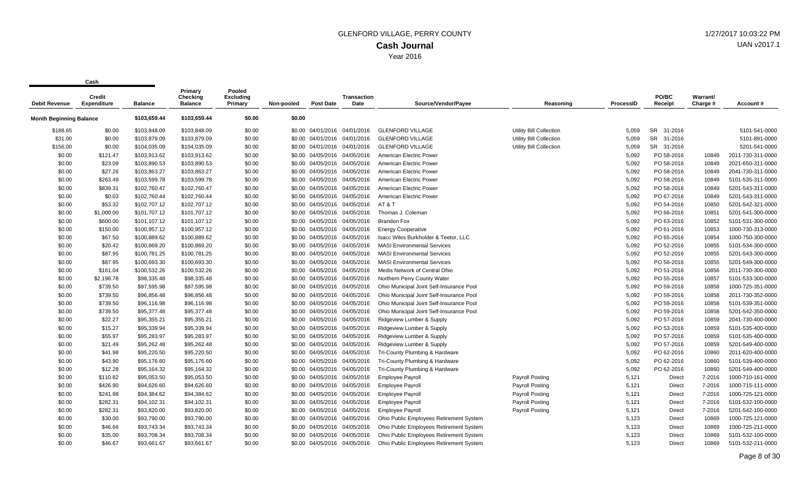|                                |                              |                | Primary                    | Pooled                      |            |                              |                            |                                          |                         |           |                      |                      |                   |
|--------------------------------|------------------------------|----------------|----------------------------|-----------------------------|------------|------------------------------|----------------------------|------------------------------------------|-------------------------|-----------|----------------------|----------------------|-------------------|
| <b>Debit Revenue</b>           | Credit<br><b>Expenditure</b> | <b>Balance</b> | Checking<br><b>Balance</b> | <b>Excluding</b><br>Primary | Non-pooled | Post Date                    | <b>Transaction</b><br>Date | Source/Vendor/Payee                      | Reasoning               | ProcessID | PO/BC<br>Receipt     | Warrant/<br>Charge # | Account#          |
| <b>Month Beginning Balance</b> |                              | \$103,659.44   | \$103,659.44               | \$0.00                      | \$0.00     |                              |                            |                                          |                         |           |                      |                      |                   |
| \$188.65                       | \$0.00                       | \$103,848.09   | \$103,848.09               | \$0.00                      |            | \$0.00 04/01/2016 04/01/2016 |                            | <b>GLENFORD VILLAGE</b>                  | Utility Bill Collection | 5,059     | <b>SR</b><br>31-2016 |                      | 5101-541-0000     |
| \$31.00                        | \$0.00                       | \$103,879.09   | \$103,879.09               | \$0.00                      |            | \$0.00 04/01/2016 04/01/2016 |                            | <b>GLENFORD VILLAGE</b>                  | Utility Bill Collection | 5,059     | SR 31-2016           |                      | 5101-891-0000     |
| \$156.00                       | \$0.00                       | \$104,035.09   | \$104,035.09               | \$0.00                      |            | \$0.00 04/01/2016 04/01/2016 |                            | <b>GLENFORD VILLAGE</b>                  | Utility Bill Collection | 5,059     | SR 31-2016           |                      | 5201-541-0000     |
| \$0.00                         | \$121.47                     | \$103,913.62   | \$103,913.62               | \$0.00                      |            | \$0.00 04/05/2016 04/05/2016 |                            | American Electric Power                  |                         | 5,092     | PO 58-2016           | 10849                | 2011-730-311-0000 |
| \$0.00                         | \$23.09                      | \$103,890.53   | \$103,890.53               | \$0.00                      |            | \$0.00 04/05/2016 04/05/2016 |                            | American Electric Power                  |                         | 5,092     | PO 58-2016           | 10849                | 2021-650-311-0000 |
| \$0.00                         | \$27.26                      | \$103,863.27   | \$103,863.27               | \$0.00                      |            | \$0.00 04/05/2016 04/05/2016 |                            | American Electric Power                  |                         | 5.092     | PO 58-2016           | 10849                | 2041-730-311-0000 |
| \$0.00                         | \$263.49                     | \$103,599.78   | \$103,599.78               | \$0.00                      |            | \$0.00 04/05/2016            | 04/05/2016                 | American Electric Power                  |                         | 5,092     | PO 58-2016           | 10849                | 5101-535-311-0000 |
| \$0.00                         | \$839.31                     | \$102,760.47   | \$102,760.47               | \$0.00                      |            | \$0.00 04/05/2016 04/05/2016 |                            | American Electric Power                  |                         | 5,092     | PO 58-2016           | 10849                | 5201-543-311-0000 |
| \$0.00                         | \$0.03                       | \$102,760.44   | \$102,760.44               | \$0.00                      |            | \$0.00 04/05/2016 04/05/2016 |                            | American Electric Power                  |                         | 5,092     | PO 67-2016           | 10849                | 5201-543-311-0000 |
| \$0.00                         | \$53.32                      | \$102,707.12   | \$102,707.12               | \$0.00                      |            | \$0.00 04/05/2016 04/05/2016 |                            | AT&T                                     |                         | 5,092     | PO 54-2016           | 10850                | 5201-542-321-0000 |
| \$0.00                         | \$1,000.00                   | \$101,707.12   | \$101,707.12               | \$0.00                      |            | \$0.00 04/05/2016 04/05/2016 |                            | Thomas J. Coleman                        |                         | 5,092     | PO 66-2016           | 10851                | 5201-541-300-0000 |
| \$0.00                         | \$600.00                     | \$101,107.12   | \$101,107.12               | \$0.00                      |            | \$0.00 04/05/2016 04/05/2016 |                            | <b>Brandon Fox</b>                       |                         | 5,092     | PO 63-2016           | 10852                | 5101-531-300-0000 |
| \$0.00                         | \$150.00                     | \$100,957.12   | \$100,957.12               | \$0.00                      |            | \$0.00 04/05/2016            | 04/05/2016                 | <b>Energy Cooperative</b>                |                         | 5,092     | PO 61-2016           | 10853                | 1000-730-313-0000 |
| \$0.00                         | \$67.50                      | \$100,889.62   | \$100,889.62               | \$0.00                      |            | \$0.00 04/05/2016 04/05/2016 |                            | Isacc Wiles Burkholder & Teetor, LLC     |                         | 5,092     | PO 65-2016           | 10854                | 1000-750-300-0000 |
| \$0.00                         | \$20.42                      | \$100,869.20   | \$100,869.20               | \$0.00                      |            | \$0.00 04/05/2016 04/05/2016 |                            | <b>MASI Environmental Services</b>       |                         | 5,092     | PO 52-2016           | 10855                | 5101-534-300-0000 |
| \$0.00                         | \$87.95                      | \$100,781.25   | \$100,781.25               | \$0.00                      |            | \$0.00 04/05/2016 04/05/2016 |                            | <b>MASI Environmental Services</b>       |                         | 5,092     | PO 52-2016           | 10855                | 5201-543-300-0000 |
| \$0.00                         | \$87.95                      | \$100,693.30   | \$100,693.30               | \$0.00                      |            | \$0.00 04/05/2016 04/05/2016 |                            | <b>MASI Environmental Services</b>       |                         | 5,092     | PO 56-2016           | 10855                | 5201-549-300-0000 |
| \$0.00                         | \$161.04                     | \$100,532.26   | \$100,532.26               | \$0.00                      |            | \$0.00 04/05/2016 04/05/2016 |                            | Medis Network of Central Ohio            |                         | 5,092     | PO 51-2016           | 10856                | 2011-730-300-0000 |
| \$0.00                         | \$2,196.78                   | \$98,335.48    | \$98,335.48                | \$0.00                      |            | \$0.00 04/05/2016 04/05/2016 |                            | Northern Perry County Water              |                         | 5,092     | PO 55-2016           | 10857                | 5101-533-300-0000 |
| \$0.00                         | \$739.50                     | \$97,595.98    | \$97,595.98                | \$0.00                      |            | \$0.00 04/05/2016 04/05/2016 |                            | Ohio Municipal Joint Self-Insurance Pool |                         | 5,092     | PO 59-2016           | 10858                | 1000-725-351-0000 |
| \$0.00                         | \$739.50                     | \$96,856.48    | \$96,856.48                | \$0.00                      |            | \$0.00 04/05/2016 04/05/2016 |                            | Ohio Municipal Joint Self-Insurance Pool |                         | 5,092     | PO 59-2016           | 10858                | 2011-730-352-0000 |
| \$0.00                         | \$739.50                     | \$96,116.98    | \$96,116.98                | \$0.00                      |            | \$0.00 04/05/2016 04/05/2016 |                            | Ohio Municipal Joint Self-Insurance Pool |                         | 5,092     | PO 59-2016           | 10858                | 5101-539-351-0000 |
| \$0.00                         | \$739.50                     | \$95,377.48    | \$95,377.48                | \$0.00                      |            | \$0.00 04/05/2016 04/05/2016 |                            | Ohio Municipal Joint Self-Insurance Pool |                         | 5,092     | PO 59-2016           | 10858                | 5201-542-350-0000 |
| \$0.00                         | \$22.27                      | \$95,355.21    | \$95,355.21                | \$0.00                      |            | \$0.00 04/05/2016 04/05/2016 |                            | Ridgeview Lumber & Supply                |                         | 5,092     | PO 57-2016           | 10859                | 2041-730-400-0000 |
| \$0.00                         | \$15.27                      | \$95,339.94    | \$95,339.94                | \$0.00                      |            | \$0.00 04/05/2016 04/05/2016 |                            | Ridgeview Lumber & Supply                |                         | 5,092     | PO 53-2016           | 10859                | 5101-535-400-0000 |
| \$0.00                         | \$55.97                      | \$95,283.97    | \$95,283.97                | \$0.00                      |            | \$0.00 04/05/2016 04/05/2016 |                            | Ridgeview Lumber & Supply                |                         | 5,092     | PO 57-2016           | 10859                | 5101-535-400-0000 |
| \$0.00                         | \$21.49                      | \$95,262.48    | \$95,262.48                | \$0.00                      |            | \$0.00 04/05/2016 04/05/2016 |                            | Ridgeview Lumber & Supply                |                         | 5.092     | PO 57-2016           | 10859                | 5201-549-400-0000 |
| \$0.00                         | \$41.98                      | \$95,220.50    | \$95,220.50                | \$0.00                      |            | \$0.00 04/05/2016 04/05/2016 |                            | Tri-County Plumbing & Hardware           |                         | 5,092     | PO 62-2016           | 10860                | 2011-620-400-0000 |
| \$0.00                         | \$43.90                      | \$95,176.60    | \$95,176.60                | \$0.00                      |            | \$0.00 04/05/2016 04/05/2016 |                            | Tri-County Plumbing & Hardware           |                         | 5,092     | PO 62-2016           | 10860                | 5101-539-400-0000 |
| \$0.00                         | \$12.28                      | \$95,164.32    | \$95,164.32                | \$0.00                      |            | \$0.00 04/05/2016 04/05/2016 |                            | Tri-County Plumbing & Hardware           |                         | 5,092     | PO 62-2016           | 10860                | 5201-549-400-0000 |
| \$0.00                         | \$110.82                     | \$95,053.50    | \$95,053.50                | \$0.00                      |            | \$0.00 04/05/2016 04/05/2016 |                            | <b>Employee Payroll</b>                  | Payroll Posting         | 5,121     | <b>Direct</b>        | 7-2016               | 1000-710-161-0000 |
| \$0.00                         | \$426.90                     | \$94,626.60    | \$94,626.60                | \$0.00                      |            | \$0.00 04/05/2016 04/05/2016 |                            | <b>Employee Payroll</b>                  | <b>Payroll Posting</b>  | 5,121     | Direct               | 7-2016               | 1000-715-111-0000 |
| \$0.00                         | \$241.98                     | \$94,384.62    | \$94,384.62                | \$0.00                      |            | \$0.00 04/05/2016 04/05/2016 |                            | <b>Employee Payroll</b>                  | Payroll Posting         | 5,121     | <b>Direct</b>        | 7-2016               | 1000-725-121-0000 |
| \$0.00                         | \$282.31                     | \$94,102.31    | \$94,102.31                | \$0.00                      |            | \$0.00 04/05/2016 04/05/2016 |                            | <b>Employee Payroll</b>                  | <b>Payroll Posting</b>  | 5,121     | <b>Direct</b>        | 7-2016               | 5101-532-100-0000 |
| \$0.00                         | \$282.31                     | \$93,820.00    | \$93,820.00                | \$0.00                      |            | \$0.00 04/05/2016 04/05/2016 |                            | <b>Employee Payroll</b>                  | <b>Payroll Posting</b>  | 5,121     | <b>Direct</b>        | 7-2016               | 5201-542-100-0000 |
| \$0.00                         | \$30.00                      | \$93,790.00    | \$93,790.00                | \$0.00                      |            | \$0.00 04/05/2016 04/05/2016 |                            | Ohio Public Employees Retirement System  |                         | 5,123     | <b>Direct</b>        | 10869                | 1000-725-121-0000 |
| \$0.00                         | \$46.66                      | \$93,743.34    | \$93,743.34                | \$0.00                      |            | \$0.00 04/05/2016 04/05/2016 |                            | Ohio Public Employees Retirement System  |                         | 5,123     | <b>Direct</b>        | 10869                | 1000-725-211-0000 |
| \$0.00                         | \$35.00                      | \$93,708.34    | \$93,708.34                | \$0.00                      |            | \$0.00 04/05/2016 04/05/2016 |                            | Ohio Public Employees Retirement System  |                         | 5,123     | Direct               | 10869                | 5101-532-100-0000 |
| \$0.00                         | \$46.67                      | \$93,661.67    | \$93,661.67                | \$0.00                      |            | \$0.00 04/05/2016            | 04/05/2016                 | Ohio Public Employees Retirement System  |                         | 5,123     | <b>Direct</b>        | 10869                | 5101-532-211-0000 |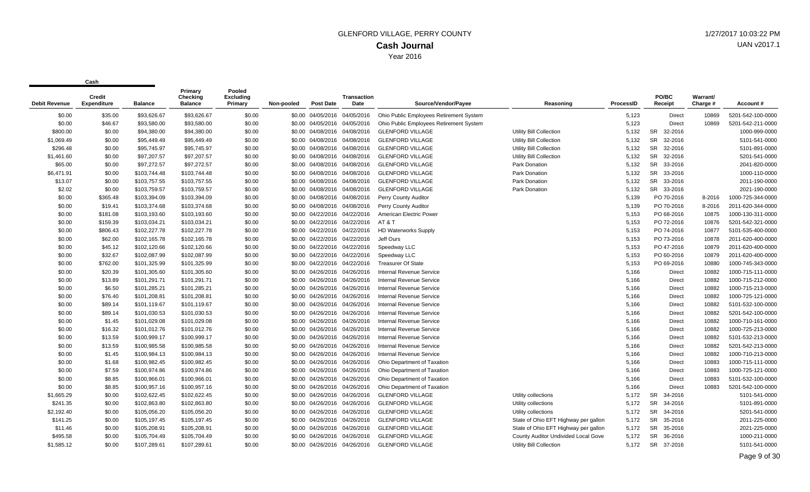| Debit Revenue | Credit<br><b>Expenditure</b> | <b>Balance</b> | Primary<br><b>Checking</b><br><b>Balance</b> | Pooled<br><b>Excluding</b><br>Primary | Non-pooled | <b>Post Date</b>  | <b>Transaction</b><br>Date   | Source/Vendor/Payee                     | Reasoning                            | ProcessID | PO/BC<br>Receipt     | <b>Warrant/</b><br>Charge # | Account#          |
|---------------|------------------------------|----------------|----------------------------------------------|---------------------------------------|------------|-------------------|------------------------------|-----------------------------------------|--------------------------------------|-----------|----------------------|-----------------------------|-------------------|
| \$0.00        | \$35.00                      | \$93.626.67    | \$93.626.67                                  | \$0.00                                |            | \$0.00 04/05/2016 | 04/05/2016                   | Ohio Public Employees Retirement System |                                      | 5,123     | <b>Direct</b>        | 10869                       | 5201-542-100-0000 |
| \$0.00        | \$46.67                      | \$93,580.00    | \$93,580.00                                  | \$0.00                                |            |                   | \$0.00 04/05/2016 04/05/2016 | Ohio Public Employees Retirement System |                                      | 5,123     | Direct               | 10869                       | 5201-542-211-0000 |
| \$800.00      | \$0.00                       | \$94,380.00    | \$94,380.00                                  | \$0.00                                |            |                   | \$0.00 04/08/2016 04/08/2016 | <b>GLENFORD VILLAGE</b>                 | Utility Bill Collection              | 5,132     | 32-2016<br><b>SR</b> |                             | 1000-999-0000     |
| \$1,069.49    | \$0.00                       | \$95,449.49    | \$95,449.49                                  | \$0.00                                |            |                   | \$0.00 04/08/2016 04/08/2016 | <b>GLENFORD VILLAGE</b>                 | Utility Bill Collection              | 5,132     | 32-2016<br><b>SR</b> |                             | 5101-541-0000     |
| \$296.48      | \$0.00                       | \$95,745.97    | \$95,745.97                                  | \$0.00                                |            |                   | \$0.00 04/08/2016 04/08/2016 | <b>GLENFORD VILLAGE</b>                 | <b>Utility Bill Collection</b>       | 5,132     | <b>SR</b><br>32-2016 |                             | 5101-891-0000     |
| \$1,461.60    | \$0.00                       | \$97,207.57    | \$97,207.57                                  | \$0.00                                |            |                   | \$0.00 04/08/2016 04/08/2016 | <b>GLENFORD VILLAGE</b>                 | <b>Utility Bill Collection</b>       | 5,132     | <b>SR</b><br>32-2016 |                             | 5201-541-0000     |
| \$65.00       | \$0.00                       | \$97,272.57    | \$97,272.57                                  | \$0.00                                |            |                   | \$0.00 04/08/2016 04/08/2016 | <b>GLENFORD VILLAGE</b>                 | Park Donation                        | 5,132     | <b>SR</b><br>33-2016 |                             | 2041-820-0000     |
| \$6,471.91    | \$0.00                       | \$103,744.48   | \$103,744.48                                 | \$0.00                                |            | \$0.00 04/08/2016 | 04/08/2016                   | <b>GLENFORD VILLAGE</b>                 | Park Donation                        | 5,132     | <b>SR</b><br>33-2016 |                             | 1000-110-0000     |
| \$13.07       | \$0.00                       | \$103,757.55   | \$103,757.55                                 | \$0.00                                |            |                   | \$0.00 04/08/2016 04/08/2016 | <b>GLENFORD VILLAGE</b>                 | Park Donation                        | 5,132     | SR<br>33-2016        |                             | 2011-190-0000     |
| \$2.02        | \$0.00                       | \$103,759.57   | \$103,759.57                                 | \$0.00                                |            |                   | \$0.00 04/08/2016 04/08/2016 | <b>GLENFORD VILLAGE</b>                 | Park Donation                        | 5,132     | SR 33-2016           |                             | 2021-190-0000     |
| \$0.00        | \$365.48                     | \$103,394.09   | \$103,394.09                                 | \$0.00                                |            |                   | \$0.00 04/08/2016 04/08/2016 | Perry County Auditor                    |                                      | 5,139     | PO 70-2016           | 8-2016                      | 1000-725-344-0000 |
| \$0.00        | \$19.41                      | \$103,374.68   | \$103,374.68                                 | \$0.00                                |            |                   | \$0.00 04/08/2016 04/08/2016 | Perry County Auditor                    |                                      | 5,139     | PO 70-2016           | 8-2016                      | 2011-620-344-0000 |
| \$0.00        | \$181.08                     | \$103,193.60   | \$103,193.60                                 | \$0.00                                |            |                   | \$0.00 04/22/2016 04/22/2016 | American Electric Power                 |                                      | 5,153     | PO 68-2016           | 10875                       | 1000-130-311-0000 |
| \$0.00        | \$159.39                     | \$103,034.21   | \$103,034.21                                 | \$0.00                                |            |                   | \$0.00 04/22/2016 04/22/2016 | AT&T                                    |                                      | 5,153     | PO 72-2016           | 10876                       | 5201-542-321-0000 |
| \$0.00        | \$806.43                     | \$102,227.78   | \$102,227.78                                 | \$0.00                                |            |                   | \$0.00 04/22/2016 04/22/2016 | <b>HD Waterworks Supply</b>             |                                      | 5,153     | PO 74-2016           | 10877                       | 5101-535-400-0000 |
| \$0.00        | \$62.00                      | \$102,165.78   | \$102,165.78                                 | \$0.00                                |            |                   | \$0.00 04/22/2016 04/22/2016 | Jeff Ours                               |                                      | 5,153     | PO 73-2016           | 10878                       | 2011-620-400-0000 |
| \$0.00        | \$45.12                      | \$102,120.66   | \$102,120.66                                 | \$0.00                                |            |                   | \$0.00 04/22/2016 04/22/2016 | Speedway LLC                            |                                      | 5,153     | PO 47-2016           | 10879                       | 2011-620-400-0000 |
| \$0.00        | \$32.67                      | \$102,087.99   | \$102,087.99                                 | \$0.00                                |            | \$0.00 04/22/2016 | 04/22/2016                   | Speedway LLC                            |                                      | 5,153     | PO 60-2016           | 10879                       | 2011-620-400-0000 |
| \$0.00        | \$762.00                     | \$101,325.99   | \$101,325.99                                 | \$0.00                                |            |                   | \$0.00 04/22/2016 04/22/2016 | <b>Treasurer Of State</b>               |                                      | 5,153     | PO 69-2016           | 10880                       | 1000-745-343-0000 |
| \$0.00        | \$20.39                      | \$101,305.60   | \$101,305.60                                 | \$0.00                                |            |                   | \$0.00 04/26/2016 04/26/2016 | <b>Internal Revenue Service</b>         |                                      | 5,166     | Direct               | 10882                       | 1000-715-111-0000 |
| \$0.00        | \$13.89                      | \$101,291.71   | \$101,291.71                                 | \$0.00                                |            |                   | \$0.00 04/26/2016 04/26/2016 | <b>Internal Revenue Service</b>         |                                      | 5,166     | Direct               | 10882                       | 1000-715-212-0000 |
| \$0.00        | \$6.50                       | \$101,285.21   | \$101,285.21                                 | \$0.00                                |            |                   | \$0.00 04/26/2016 04/26/2016 | <b>Internal Revenue Service</b>         |                                      | 5,166     | <b>Direct</b>        | 10882                       | 1000-715-213-0000 |
| \$0.00        | \$76.40                      | \$101,208.81   | \$101,208.81                                 | \$0.00                                |            |                   | \$0.00 04/26/2016 04/26/2016 | <b>Internal Revenue Service</b>         |                                      | 5,166     | <b>Direct</b>        | 10882                       | 1000-725-121-0000 |
| \$0.00        | \$89.14                      | \$101,119.67   | \$101,119.67                                 | \$0.00                                |            |                   | \$0.00 04/26/2016 04/26/2016 | <b>Internal Revenue Service</b>         |                                      | 5,166     | Direct               | 10882                       | 5101-532-100-0000 |
| \$0.00        | \$89.14                      | \$101,030.53   | \$101,030.53                                 | \$0.00                                |            | \$0.00 04/26/2016 | 04/26/2016                   | <b>Internal Revenue Service</b>         |                                      | 5,166     | <b>Direct</b>        | 10882                       | 5201-542-100-0000 |
| \$0.00        | \$1.45                       | \$101,029.08   | \$101,029.08                                 | \$0.00                                |            |                   | \$0.00 04/26/2016 04/26/2016 | <b>Internal Revenue Service</b>         |                                      | 5,166     | Direct               | 10882                       | 1000-710-161-0000 |
| \$0.00        | \$16.32                      | \$101,012.76   | \$101,012.76                                 | \$0.00                                |            |                   | \$0.00 04/26/2016 04/26/2016 | <b>Internal Revenue Service</b>         |                                      | 5,166     | Direct               | 10882                       | 1000-725-213-0000 |
| \$0.00        | \$13.59                      | \$100,999.17   | \$100,999.17                                 | \$0.00                                |            |                   | \$0.00 04/26/2016 04/26/2016 | <b>Internal Revenue Service</b>         |                                      | 5,166     | Direct               | 10882                       | 5101-532-213-0000 |
| \$0.00        | \$13.59                      | \$100,985.58   | \$100,985.58                                 | \$0.00                                |            |                   | \$0.00 04/26/2016 04/26/2016 | <b>Internal Revenue Service</b>         |                                      | 5,166     | Direct               | 10882                       | 5201-542-213-0000 |
| \$0.00        | \$1.45                       | \$100,984.13   | \$100,984.13                                 | \$0.00                                |            |                   | \$0.00 04/26/2016 04/26/2016 | <b>Internal Revenue Service</b>         |                                      | 5,166     | Direct               | 10882                       | 1000-710-213-0000 |
| \$0.00        | \$1.68                       | \$100,982.45   | \$100,982.45                                 | \$0.00                                |            |                   | \$0.00 04/26/2016 04/26/2016 | Ohio Department of Taxation             |                                      | 5,166     | Direct               | 10883                       | 1000-715-111-0000 |
| \$0.00        | \$7.59                       | \$100,974.86   | \$100,974.86                                 | \$0.00                                |            |                   | \$0.00 04/26/2016 04/26/2016 | Ohio Department of Taxation             |                                      | 5,166     | Direct               | 10883                       | 1000-725-121-0000 |
| \$0.00        | \$8.85                       | \$100,966.01   | \$100,966.01                                 | \$0.00                                |            |                   | \$0.00 04/26/2016 04/26/2016 | Ohio Department of Taxation             |                                      | 5,166     | Direct               | 10883                       | 5101-532-100-0000 |
| \$0.00        | \$8.85                       | \$100,957.16   | \$100,957.16                                 | \$0.00                                |            |                   | \$0.00 04/26/2016 04/26/2016 | Ohio Department of Taxation             |                                      | 5,166     | Direct               | 10883                       | 5201-542-100-0000 |
| \$1,665.29    | \$0.00                       | \$102,622.45   | \$102,622.45                                 | \$0.00                                |            | \$0.00 04/26/2016 | 04/26/2016                   | <b>GLENFORD VILLAGE</b>                 | Utility collections                  | 5,172     | 34-2016<br><b>SR</b> |                             | 5101-541-0000     |
| \$241.35      | \$0.00                       | \$102,863.80   | \$102,863.80                                 | \$0.00                                |            |                   | \$0.00 04/26/2016 04/26/2016 | <b>GLENFORD VILLAGE</b>                 | Utility collections                  | 5,172     | <b>SR</b><br>34-2016 |                             | 5101-891-0000     |
| \$2,192.40    | \$0.00                       | \$105,056.20   | \$105,056.20                                 | \$0.00                                |            |                   | \$0.00 04/26/2016 04/26/2016 | <b>GLENFORD VILLAGE</b>                 | Utility collections                  | 5,172     | <b>SR</b><br>34-2016 |                             | 5201-541-0000     |
| \$141.25      | \$0.00                       | \$105,197.45   | \$105,197.45                                 | \$0.00                                |            |                   | \$0.00 04/26/2016 04/26/2016 | <b>GLENFORD VILLAGE</b>                 | State of Ohio EFT Highway per gallon | 5,172     | <b>SR</b><br>35-2016 |                             | 2011-225-0000     |
| \$11.46       | \$0.00                       | \$105,208.91   | \$105,208.91                                 | \$0.00                                |            | \$0.00 04/26/2016 | 04/26/2016                   | <b>GLENFORD VILLAGE</b>                 | State of Ohio EFT Highway per gallon | 5,172     | <b>SR</b><br>35-2016 |                             | 2021-225-0000     |
| \$495.58      | \$0.00                       | \$105,704.49   | \$105,704.49                                 | \$0.00                                |            |                   | \$0.00 04/26/2016 04/26/2016 | <b>GLENFORD VILLAGE</b>                 | County Auditor Undivided Local Gover | 5,172     | <b>SR</b><br>36-2016 |                             | 1000-211-0000     |
| \$1,585.12    | \$0.00                       | \$107,289.61   | \$107,289.61                                 | \$0.00                                |            |                   | \$0.00 04/26/2016 04/26/2016 | <b>GLENFORD VILLAGE</b>                 | <b>Utility Bill Collection</b>       | 5,172     | <b>SR</b><br>37-2016 |                             | 5101-541-0000     |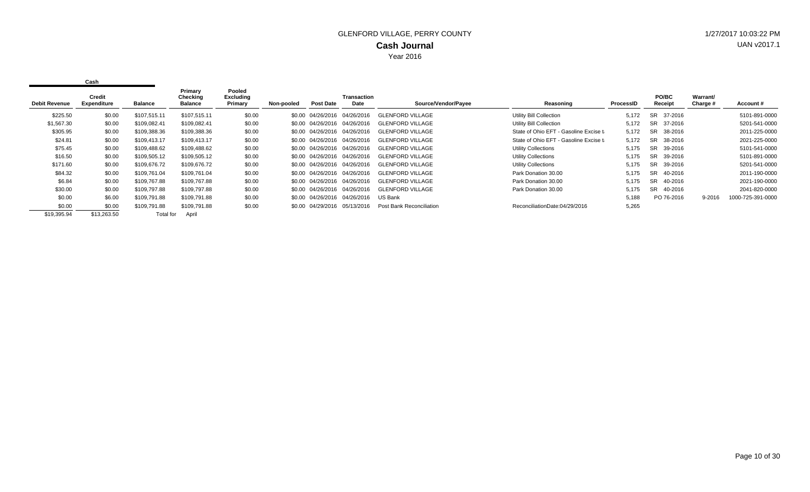| <b>Debit Revenue</b> | Credit<br><b>Expenditure</b> | <b>Balance</b> | Primary<br>Checking<br><b>Balance</b> | Pooled<br>Excluding<br>Primary | Non-pooled | <b>Post Date</b>             | <b>Transaction</b><br>Date   | Source/Vendor/Payee      | Reasoning                              | ProcessID | <b>PO/BC</b><br>Receipt | Warrant/<br>Charge # | Account#          |
|----------------------|------------------------------|----------------|---------------------------------------|--------------------------------|------------|------------------------------|------------------------------|--------------------------|----------------------------------------|-----------|-------------------------|----------------------|-------------------|
| \$225.50             | \$0.00                       | \$107.515.11   | \$107,515.11                          | \$0.00                         |            |                              | \$0.00 04/26/2016 04/26/2016 | <b>GLENFORD VILLAGE</b>  | <b>Utility Bill Collection</b>         | 5,172     | 37-2016<br>SR.          |                      | 5101-891-0000     |
| \$1,567.30           | \$0.00                       | \$109,082.41   | \$109,082.41                          | \$0.00                         |            | \$0.00 04/26/2016 04/26/2016 |                              | <b>GLENFORD VILLAGE</b>  | <b>Utility Bill Collection</b>         | 5.172     | <b>SR</b><br>37-2016    |                      | 5201-541-0000     |
| \$305.95             | \$0.00                       | \$109,388.36   | \$109,388.36                          | \$0.00                         |            |                              | \$0.00 04/26/2016 04/26/2016 | GLENFORD VILLAGE         | State of Ohio EFT - Gasoline Excise ta | 5,172     | 38-2016<br>SR.          |                      | 2011-225-0000     |
| \$24.81              | \$0.00                       | \$109.413.17   | \$109,413.17                          | \$0.00                         |            | \$0.00 04/26/2016 04/26/2016 |                              | <b>GLENFORD VILLAGE</b>  | State of Ohio EFT - Gasoline Excise ta | 5,172     | SR.<br>38-2016          |                      | 2021-225-0000     |
| \$75.45              | \$0.00                       | \$109.488.62   | \$109,488.62                          | \$0.00                         |            | \$0.00 04/26/2016 04/26/2016 |                              | <b>GLENFORD VILLAGE</b>  | <b>Utility Collections</b>             | 5.175     | <b>SR</b><br>39-2016    |                      | 5101-541-0000     |
| \$16.50              | \$0.00                       | \$109,505.12   | \$109,505.12                          | \$0.00                         |            |                              | \$0.00 04/26/2016 04/26/2016 | GLENFORD VILLAGE         | <b>Utility Collections</b>             | 5.175     | SR.<br>39-2016          |                      | 5101-891-0000     |
| \$171.60             | \$0.00                       | \$109.676.72   | \$109,676.72                          | \$0.00                         |            | \$0.00 04/26/2016 04/26/2016 |                              | <b>GLENFORD VILLAGE</b>  | <b>Utility Collections</b>             | 5,175     | SR.<br>39-2016          |                      | 5201-541-0000     |
| \$84.32              | \$0.00                       | \$109,761.04   | \$109,761.04                          | \$0.00                         |            | \$0.00 04/26/2016 04/26/2016 |                              | <b>GLENFORD VILLAGE</b>  | Park Donation 30.00                    | 5,175     | <b>SR</b><br>40-2016    |                      | 2011-190-0000     |
| \$6.84               | \$0.00                       | \$109.767.88   | \$109,767.88                          | \$0.00                         |            | \$0.00 04/26/2016 04/26/2016 |                              | GLENFORD VILLAGE         | Park Donation 30.00                    | 5.175     | SR.<br>40-2016          |                      | 2021-190-0000     |
| \$30.00              | \$0.00                       | \$109,797.88   | \$109,797.88                          | \$0.00                         |            | \$0.00 04/26/2016 04/26/2016 |                              | <b>GLENFORD VILLAGE</b>  | Park Donation 30.00                    | 5,175     | SR.<br>40-2016          |                      | 2041-820-0000     |
| \$0.00               | \$6.00                       | \$109,791.88   | \$109,791.88                          | \$0.00                         |            |                              | \$0.00 04/26/2016 04/26/2016 | US Bank                  |                                        | 5,188     | PO 76-2016              | 9-2016               | 1000-725-391-0000 |
| \$0.00               | \$0.00                       | \$109,791.88   | \$109,791.88                          | \$0.00                         |            |                              | \$0.00 04/29/2016 05/13/2016 | Post Bank Reconciliation | ReconciliationDate:04/29/2016          | 5,265     |                         |                      |                   |
| \$19,395.94          | \$13,263.50                  | Total for      | April                                 |                                |            |                              |                              |                          |                                        |           |                         |                      |                   |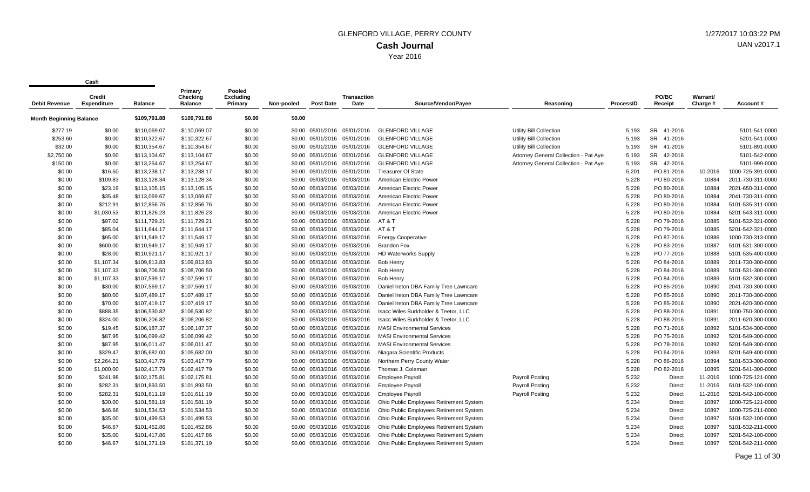| <b>Debit Revenue</b>           | vuji<br>Credit<br><b>Expenditure</b> | <b>Balance</b> | Primary<br>Checking<br><b>Balance</b> | Pooled<br><b>Excluding</b><br>Primary | Non-pooled | <b>Post Date</b>             | <b>Transaction</b><br>Date   | Source/Vendor/Payee                     | Reasoning                              | ProcessID | PO/BC<br>Receipt | Warrant/<br>Charge # | Account#          |
|--------------------------------|--------------------------------------|----------------|---------------------------------------|---------------------------------------|------------|------------------------------|------------------------------|-----------------------------------------|----------------------------------------|-----------|------------------|----------------------|-------------------|
|                                |                                      |                |                                       |                                       |            |                              |                              |                                         |                                        |           |                  |                      |                   |
| <b>Month Beginning Balance</b> |                                      | \$109,791.88   | \$109,791.88                          | \$0.00                                | \$0.00     |                              |                              |                                         |                                        |           |                  |                      |                   |
| \$277.19                       | \$0.00                               | \$110,069.07   | \$110,069.07                          | \$0.00                                |            |                              | \$0.00 05/01/2016 05/01/2016 | <b>GLENFORD VILLAGE</b>                 | <b>Utility Bill Collection</b>         | 5,193     | SR 41-2016       |                      | 5101-541-0000     |
| \$253.60                       | \$0.00                               | \$110,322.67   | \$110,322.67                          | \$0.00                                |            |                              | \$0.00 05/01/2016 05/01/2016 | <b>GLENFORD VILLAGE</b>                 | Utility Bill Collection                | 5,193     | SR 41-2016       |                      | 5201-541-0000     |
| \$32.00                        | \$0.00                               | \$110,354.67   | \$110,354.67                          | \$0.00                                |            |                              | \$0.00 05/01/2016 05/01/2016 | <b>GLENFORD VILLAGE</b>                 | Utility Bill Collection                | 5,193     | SR 41-2016       |                      | 5101-891-0000     |
| \$2,750.00                     | \$0.00                               | \$113,104.67   | \$113,104.67                          | \$0.00                                |            |                              | \$0.00 05/01/2016 05/01/2016 | <b>GLENFORD VILLAGE</b>                 | Attorney General Collection - Pat Ayer | 5,193     | SR 42-2016       |                      | 5101-542-0000     |
| \$150.00                       | \$0.00                               | \$113,254.67   | \$113,254.67                          | \$0.00                                |            |                              | \$0.00 05/01/2016 05/01/2016 | <b>GLENFORD VILLAGE</b>                 | Attorney General Collection - Pat Ayer | 5,193     | SR 42-2016       |                      | 5101-999-0000     |
| \$0.00                         | \$16.50                              | \$113,238.17   | \$113,238.17                          | \$0.00                                |            |                              | \$0.00 05/01/2016 05/01/2016 | <b>Treasurer Of State</b>               |                                        | 5,201     | PO 81-2016       | 10-2016              | 1000-725-391-0000 |
| \$0.00                         | \$109.83                             | \$113,128.34   | \$113,128.34                          | \$0.00                                |            | \$0.00 05/03/2016            | 05/03/2016                   | American Electric Power                 |                                        | 5,228     | PO 80-2016       | 10884                | 2011-730-311-0000 |
| \$0.00                         | \$23.19                              | \$113,105.15   | \$113,105.15                          | \$0.00                                |            |                              | \$0.00 05/03/2016 05/03/2016 | American Electric Power                 |                                        | 5,228     | PO 80-2016       | 10884                | 2021-650-311-0000 |
| \$0.00                         | \$35.48                              | \$113,069.67   | \$113,069.67                          | \$0.00                                |            |                              | \$0.00 05/03/2016 05/03/2016 | American Electric Power                 |                                        | 5,228     | PO 80-2016       | 10884                | 2041-730-311-0000 |
| \$0.00                         | \$212.91                             | \$112,856.76   | \$112,856.76                          | \$0.00                                |            |                              | \$0.00 05/03/2016 05/03/2016 | American Electric Power                 |                                        | 5,228     | PO 80-2016       | 10884                | 5101-535-311-0000 |
| \$0.00                         | \$1,030.53                           | \$111,826.23   | \$111,826.23                          | \$0.00                                |            |                              | \$0.00 05/03/2016 05/03/2016 | American Electric Power                 |                                        | 5,228     | PO 80-2016       | 10884                | 5201-543-311-0000 |
| \$0.00                         | \$97.02                              | \$111,729.21   | \$111,729.21                          | \$0.00                                |            |                              | \$0.00 05/03/2016 05/03/2016 | AT & T                                  |                                        | 5,228     | PO 79-2016       | 10885                | 5101-532-321-0000 |
| \$0.00                         | \$85.04                              | \$111,644.17   | \$111,644.17                          | \$0.00                                |            |                              | \$0.00 05/03/2016 05/03/2016 | AT & T                                  |                                        | 5,228     | PO 79-2016       | 10885                | 5201-542-321-0000 |
| \$0.00                         | \$95.00                              | \$111,549.17   | \$111,549.17                          | \$0.00                                |            |                              | \$0.00 05/03/2016 05/03/2016 | <b>Energy Cooperative</b>               |                                        | 5,228     | PO 87-2016       | 10886                | 1000-730-313-0000 |
| \$0.00                         | \$600.00                             | \$110,949.17   | \$110,949.17                          | \$0.00                                |            |                              | \$0.00 05/03/2016 05/03/2016 | <b>Brandon Fox</b>                      |                                        | 5,228     | PO 83-2016       | 10887                | 5101-531-300-0000 |
| \$0.00                         | \$28.00                              | \$110,921.17   | \$110,921.17                          | \$0.00                                |            |                              | \$0.00 05/03/2016 05/03/2016 | <b>HD Waterworks Supply</b>             |                                        | 5,228     | PO 77-2016       | 10888                | 5101-535-400-0000 |
| \$0.00                         | \$1,107.34                           | \$109,813.83   | \$109,813.83                          | \$0.00                                |            |                              | \$0.00 05/03/2016 05/03/2016 | <b>Bob Henry</b>                        |                                        | 5,228     | PO 84-2016       | 10889                | 2011-730-300-0000 |
| \$0.00                         | \$1,107.33                           | \$108,706.50   | \$108,706.50                          | \$0.00                                |            |                              | \$0.00 05/03/2016 05/03/2016 | <b>Bob Henry</b>                        |                                        | 5,228     | PO 84-2016       | 10889                | 5101-531-300-0000 |
| \$0.00                         | \$1,107.33                           | \$107,599.17   | \$107,599.17                          | \$0.00                                |            |                              | \$0.00 05/03/2016 05/03/2016 | <b>Bob Henry</b>                        |                                        | 5,228     | PO 84-2016       | 10889                | 5101-532-300-0000 |
| \$0.00                         | \$30.00                              | \$107,569.17   | \$107,569.17                          | \$0.00                                |            | \$0.00 05/03/2016            | 05/03/2016                   | Daniel Ireton DBA Family Tree Lawncare  |                                        | 5,228     | PO 85-2016       | 10890                | 2041-730-300-0000 |
| \$0.00                         | \$80.00                              | \$107,489.17   | \$107,489.17                          | \$0.00                                |            |                              | \$0.00 05/03/2016 05/03/2016 | Daniel Ireton DBA Family Tree Lawncare  |                                        | 5,228     | PO 85-2016       | 10890                | 2011-730-300-0000 |
| \$0.00                         | \$70.00                              | \$107,419.17   | \$107,419.17                          | \$0.00                                |            |                              | \$0.00 05/03/2016 05/03/2016 | Daniel Ireton DBA Family Tree Lawncare  |                                        | 5,228     | PO 85-2016       | 10890                | 2021-620-300-0000 |
| \$0.00                         | \$888.35                             | \$106,530.82   | \$106,530.82                          | \$0.00                                |            | \$0.00 05/03/2016            | 05/03/2016                   | Isacc Wiles Burkholder & Teetor, LLC    |                                        | 5,228     | PO 88-2016       | 10891                | 1000-750-300-0000 |
| \$0.00                         | \$324.00                             | \$106,206.82   | \$106,206.82                          | \$0.00                                |            |                              | \$0.00 05/03/2016 05/03/2016 | Isacc Wiles Burkholder & Teetor, LLC    |                                        | 5,228     | PO 88-2016       | 10891                | 2011-620-300-0000 |
| \$0.00                         | \$19.45                              | \$106,187.37   | \$106,187.37                          | \$0.00                                |            |                              | \$0.00 05/03/2016 05/03/2016 | <b>MASI Environmental Services</b>      |                                        | 5,228     | PO 71-2016       | 10892                | 5101-534-300-0000 |
| \$0.00                         | \$87.95                              | \$106,099.42   | \$106,099.42                          | \$0.00                                |            | \$0.00 05/03/2016            | 05/03/2016                   | <b>MASI Environmental Services</b>      |                                        | 5,228     | PO 75-2016       | 10892                | 5201-549-300-0000 |
| \$0.00                         | \$87.95                              | \$106,011.47   | \$106,011.47                          | \$0.00                                |            |                              | \$0.00 05/03/2016 05/03/2016 | <b>MASI Environmental Services</b>      |                                        | 5,228     | PO 78-2016       | 10892                | 5201-549-300-0000 |
| \$0.00                         | \$329.47                             | \$105,682.00   | \$105,682.00                          | \$0.00                                |            |                              | \$0.00 05/03/2016 05/03/2016 | Niagara Scientific Products             |                                        | 5,228     | PO 64-2016       | 10893                | 5201-549-400-0000 |
| \$0.00                         | \$2,264.21                           | \$103,417.79   | \$103,417.79                          | \$0.00                                |            |                              | \$0.00 05/03/2016 05/03/2016 | Northern Perry County Water             |                                        | 5,228     | PO 86-2016       | 10894                | 5101-533-300-0000 |
| \$0.00                         | \$1,000.00                           | \$102,417.79   | \$102,417.79                          | \$0.00                                |            |                              | \$0.00 05/03/2016 05/03/2016 | Thomas J. Coleman                       |                                        | 5,228     | PO 82-2016       | 10895                | 5201-541-300-0000 |
| \$0.00                         | \$241.98                             | \$102,175.81   | \$102,175.81                          | \$0.00                                |            | \$0.00 05/03/2016 05/03/2016 |                              | <b>Employee Payroll</b>                 | <b>Payroll Posting</b>                 | 5,232     | <b>Direct</b>    | 11-2016              | 1000-725-121-0000 |
| \$0.00                         | \$282.31                             | \$101,893.50   | \$101,893.50                          | \$0.00                                |            |                              | \$0.00 05/03/2016 05/03/2016 | <b>Employee Payroll</b>                 | Payroll Posting                        | 5,232     | <b>Direct</b>    | 11-2016              | 5101-532-100-0000 |
| \$0.00                         | \$282.31                             | \$101,611.19   | \$101,611.19                          | \$0.00                                |            |                              | \$0.00 05/03/2016 05/03/2016 | <b>Employee Payroll</b>                 | <b>Payroll Posting</b>                 | 5,232     | Direct           | 11-2016              | 5201-542-100-0000 |
| \$0.00                         | \$30.00                              | \$101,581.19   | \$101,581.19                          | \$0.00                                |            | \$0.00 05/03/2016 05/03/2016 |                              | Ohio Public Employees Retirement System |                                        | 5,234     | Direct           | 10897                | 1000-725-121-0000 |
| \$0.00                         | \$46.66                              | \$101,534.53   | \$101,534.53                          | \$0.00                                |            |                              | \$0.00 05/03/2016 05/03/2016 | Ohio Public Employees Retirement System |                                        | 5,234     | Direct           | 10897                | 1000-725-211-0000 |
| \$0.00                         | \$35.00                              | \$101,499.53   | \$101,499.53                          | \$0.00                                |            | \$0.00 05/03/2016            | 05/03/2016                   | Ohio Public Employees Retirement System |                                        | 5,234     | <b>Direct</b>    | 10897                | 5101-532-100-0000 |
| \$0.00                         | \$46.67                              | \$101,452.86   | \$101,452.86                          | \$0.00                                |            | \$0.00 05/03/2016 05/03/2016 |                              | Ohio Public Employees Retirement System |                                        | 5,234     | Direct           | 10897                | 5101-532-211-0000 |
| \$0.00                         | \$35.00                              | \$101,417.86   | \$101,417.86                          | \$0.00                                |            | \$0.00 05/03/2016            | 05/03/2016                   | Ohio Public Employees Retirement System |                                        | 5,234     | Direct           | 10897                | 5201-542-100-0000 |
| \$0.00                         | \$46.67                              | \$101.371.19   | \$101,371.19                          | \$0.00                                |            | \$0.00 05/03/2016            | 05/03/2016                   | Ohio Public Employees Retirement System |                                        | 5.234     | <b>Direct</b>    | 10897                | 5201-542-211-0000 |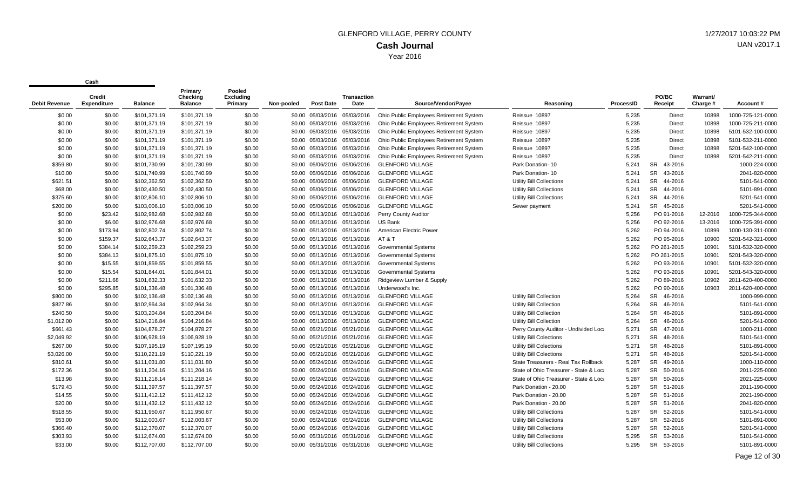| Debit Revenue | Credit<br><b>Expenditure</b> | <b>Balance</b> | Primary<br>Checking<br><b>Balance</b> | Pooled<br><b>Excluding</b><br>Primary | Non-pooled | <b>Post Date</b>             | Transaction<br>Date | Source/Vendor/Payee                     | Reasoning                              | ProcessID | PO/BC<br>Receipt     | Warrant/<br>Charge # | <b>Account #</b>  |
|---------------|------------------------------|----------------|---------------------------------------|---------------------------------------|------------|------------------------------|---------------------|-----------------------------------------|----------------------------------------|-----------|----------------------|----------------------|-------------------|
| \$0.00        | \$0.00                       | \$101,371.19   | \$101,371.19                          | \$0.00                                |            | \$0.00 05/03/2016            | 05/03/2016          | Ohio Public Employees Retirement System | Reissue 10897                          | 5,235     | Direct               | 10898                | 1000-725-121-0000 |
| \$0.00        | \$0.00                       | \$101,371.19   | \$101,371.19                          | \$0.00                                |            | \$0.00 05/03/2016 05/03/2016 |                     | Ohio Public Employees Retirement System | Reissue 10897                          | 5,235     | Direct               | 10898                | 1000-725-211-0000 |
| \$0.00        | \$0.00                       | \$101,371.19   | \$101,371.19                          | \$0.00                                |            | \$0.00 05/03/2016 05/03/2016 |                     | Ohio Public Employees Retirement System | Reissue 10897                          | 5,235     | <b>Direct</b>        | 10898                | 5101-532-100-0000 |
| \$0.00        | \$0.00                       | \$101,371.19   | \$101,371.19                          | \$0.00                                |            | \$0.00 05/03/2016 05/03/2016 |                     | Ohio Public Employees Retirement System | Reissue 10897                          | 5,235     | Direct               | 10898                | 5101-532-211-0000 |
| \$0.00        | \$0.00                       | \$101,371.19   | \$101,371.19                          | \$0.00                                |            | \$0.00 05/03/2016 05/03/2016 |                     | Ohio Public Employees Retirement System | Reissue 10897                          | 5,235     | <b>Direct</b>        | 10898                | 5201-542-100-0000 |
| \$0.00        | \$0.00                       | \$101,371.19   | \$101,371.19                          | \$0.00                                |            | \$0.00 05/03/2016 05/03/2016 |                     | Ohio Public Employees Retirement System | Reissue 10897                          | 5,235     | <b>Direct</b>        | 10898                | 5201-542-211-0000 |
| \$359.80      | \$0.00                       | \$101,730.99   | \$101,730.99                          | \$0.00                                |            | \$0.00 05/06/2016 05/06/2016 |                     | <b>GLENFORD VILLAGE</b>                 | Park Donation-10                       | 5,241     | 43-2016<br><b>SR</b> |                      | 1000-224-0000     |
| \$10.00       | \$0.00                       | \$101,740.99   | \$101,740.99                          | \$0.00                                |            | \$0.00 05/06/2016 05/06/2016 |                     | <b>GLENFORD VILLAGE</b>                 | Park Donation-10                       | 5,241     | <b>SR</b><br>43-2016 |                      | 2041-820-0000     |
| \$621.51      | \$0.00                       | \$102,362.50   | \$102,362.50                          | \$0.00                                |            | \$0.00 05/06/2016 05/06/2016 |                     | <b>GLENFORD VILLAGE</b>                 | <b>Utility Bill Collections</b>        | 5,241     | SR<br>44-2016        |                      | 5101-541-0000     |
| \$68.00       | \$0.00                       | \$102,430.50   | \$102,430.50                          | \$0.00                                |            | \$0.00 05/06/2016 05/06/2016 |                     | <b>GLENFORD VILLAGE</b>                 | <b>Utility Bill Collections</b>        | 5,241     | <b>SR</b><br>44-2016 |                      | 5101-891-0000     |
| \$375.60      | \$0.00                       | \$102,806.10   | \$102,806.10                          | \$0.00                                |            | \$0.00 05/06/2016 05/06/2016 |                     | <b>GLENFORD VILLAGE</b>                 | <b>Utility Bill Collections</b>        | 5,241     | SR 44-2016           |                      | 5201-541-0000     |
| \$200.00      | \$0.00                       | \$103,006.10   | \$103,006.10                          | \$0.00                                |            | \$0.00 05/06/2016 05/06/2016 |                     | <b>GLENFORD VILLAGE</b>                 | Sewer payment                          | 5,241     | SR 45-2016           |                      | 5201-541-0000     |
| \$0.00        | \$23.42                      | \$102,982.68   | \$102,982.68                          | \$0.00                                |            | \$0.00 05/13/2016 05/13/2016 |                     | Perry County Auditor                    |                                        | 5,256     | PO 91-2016           | 12-2016              | 1000-725-344-0000 |
| \$0.00        | \$6.00                       | \$102,976.68   | \$102,976.68                          | \$0.00                                |            | \$0.00 05/13/2016 05/13/2016 |                     | US Bank                                 |                                        | 5,256     | PO 92-2016           | 13-2016              | 1000-725-391-0000 |
| \$0.00        | \$173.94                     | \$102,802.74   | \$102,802.74                          | \$0.00                                |            | \$0.00 05/13/2016 05/13/2016 |                     | American Electric Power                 |                                        | 5,262     | PO 94-2016           | 10899                | 1000-130-311-0000 |
| \$0.00        | \$159.37                     | \$102,643.37   | \$102,643.37                          | \$0.00                                |            | \$0.00 05/13/2016 05/13/2016 |                     | AT & T                                  |                                        | 5,262     | PO 95-2016           | 10900                | 5201-542-321-0000 |
| \$0.00        | \$384.14                     | \$102,259.23   | \$102,259.23                          | \$0.00                                |            | \$0.00 05/13/2016 05/13/2016 |                     | <b>Governmental Systems</b>             |                                        | 5,262     | PO 261-2015          | 10901                | 5101-532-320-0000 |
| \$0.00        | \$384.13                     | \$101,875.10   | \$101,875.10                          | \$0.00                                |            | \$0.00 05/13/2016 05/13/2016 |                     | Governmental Systems                    |                                        | 5,262     | PO 261-2015          | 10901                | 5201-543-320-0000 |
| \$0.00        | \$15.55                      | \$101,859.55   | \$101,859.55                          | \$0.00                                |            | \$0.00 05/13/2016 05/13/2016 |                     | <b>Governmental Systems</b>             |                                        | 5,262     | PO 93-2016           | 10901                | 5101-532-320-0000 |
| \$0.00        | \$15.54                      | \$101,844.01   | \$101,844.01                          | \$0.00                                |            | \$0.00 05/13/2016 05/13/2016 |                     | <b>Governmental Systems</b>             |                                        | 5,262     | PO 93-2016           | 10901                | 5201-543-320-0000 |
| \$0.00        | \$211.68                     | \$101,632.33   | \$101,632.33                          | \$0.00                                |            | \$0.00 05/13/2016 05/13/2016 |                     | Ridgeview Lumber & Supply               |                                        | 5,262     | PO 89-2016           | 10902                | 2011-620-400-0000 |
| \$0.00        | \$295.85                     | \$101,336.48   | \$101,336.48                          | \$0.00                                |            | \$0.00 05/13/2016 05/13/2016 |                     | Underwood's Inc.                        |                                        | 5,262     | PO 90-2016           | 10903                | 2011-620-400-0000 |
| \$800.00      | \$0.00                       | \$102,136.48   | \$102,136.48                          | \$0.00                                |            | \$0.00 05/13/2016 05/13/2016 |                     | <b>GLENFORD VILLAGE</b>                 | Utility Bill Collection                | 5,264     | SR 46-2016           |                      | 1000-999-0000     |
| \$827.86      | \$0.00                       | \$102,964.34   | \$102,964.34                          | \$0.00                                |            | \$0.00 05/13/2016 05/13/2016 |                     | <b>GLENFORD VILLAGE</b>                 | <b>Utility Bill Collection</b>         | 5,264     | 46-2016<br><b>SR</b> |                      | 5101-541-0000     |
| \$240.50      | \$0.00                       | \$103,204.84   | \$103,204.84                          | \$0.00                                |            | \$0.00 05/13/2016 05/13/2016 |                     | <b>GLENFORD VILLAGE</b>                 | <b>Utility Bill Collection</b>         | 5,264     | <b>SR</b><br>46-2016 |                      | 5101-891-0000     |
| \$1,012.00    | \$0.00                       | \$104,216.84   | \$104,216.84                          | \$0.00                                |            | \$0.00 05/13/2016 05/13/2016 |                     | <b>GLENFORD VILLAGE</b>                 | Utility Bill Collection                | 5,264     | <b>SR</b><br>46-2016 |                      | 5201-541-0000     |
| \$661.43      | \$0.00                       | \$104,878.27   | \$104,878.27                          | \$0.00                                |            | \$0.00 05/21/2016 05/21/2016 |                     | <b>GLENFORD VILLAGE</b>                 | Perry County Auditor - Undivided Loca  | 5,271     | <b>SR</b><br>47-2016 |                      | 1000-211-0000     |
| \$2,049.92    | \$0.00                       | \$106,928.19   | \$106,928.19                          | \$0.00                                |            | \$0.00 05/21/2016 05/21/2016 |                     | <b>GLENFORD VILLAGE</b>                 | <b>Utility Bill Colections</b>         | 5,271     | <b>SR</b><br>48-2016 |                      | 5101-541-0000     |
| \$267.00      | \$0.00                       | \$107,195.19   | \$107,195.19                          | \$0.00                                |            | \$0.00 05/21/2016 05/21/2016 |                     | <b>GLENFORD VILLAGE</b>                 | <b>Utility Bill Colections</b>         | 5,271     | <b>SR</b><br>48-2016 |                      | 5101-891-0000     |
| \$3,026.00    | \$0.00                       | \$110,221.19   | \$110,221.19                          | \$0.00                                |            | \$0.00 05/21/2016 05/21/2016 |                     | <b>GLENFORD VILLAGE</b>                 | <b>Utility Bill Colections</b>         | 5,271     | <b>SR</b><br>48-2016 |                      | 5201-541-0000     |
| \$810.61      | \$0.00                       | \$111,031.80   | \$111,031.80                          | \$0.00                                |            | \$0.00 05/24/2016 05/24/2016 |                     | <b>GLENFORD VILLAGE</b>                 | State Treasurers - Real Tax Rollback   | 5,287     | <b>SR</b><br>49-2016 |                      | 1000-110-0000     |
| \$172.36      | \$0.00                       | \$111,204.16   | \$111,204.16                          | \$0.00                                |            | \$0.00 05/24/2016 05/24/2016 |                     | <b>GLENFORD VILLAGE</b>                 | State of Ohio Treasurer - State & Loca | 5,287     | SR 50-2016           |                      | 2011-225-0000     |
| \$13.98       | \$0.00                       | \$111,218.14   | \$111,218.14                          | \$0.00                                |            | \$0.00 05/24/2016 05/24/2016 |                     | <b>GLENFORD VILLAGE</b>                 | State of Ohio Treasurer - State & Loca | 5,287     | SR<br>50-2016        |                      | 2021-225-0000     |
| \$179.43      | \$0.00                       | \$111,397.57   | \$111,397.57                          | \$0.00                                |            | \$0.00 05/24/2016 05/24/2016 |                     | <b>GLENFORD VILLAGE</b>                 | Park Donation - 20.00                  | 5,287     | <b>SR</b><br>51-2016 |                      | 2011-190-0000     |
| \$14.55       | \$0.00                       | \$111,412.12   | \$111,412.12                          | \$0.00                                |            | \$0.00 05/24/2016 05/24/2016 |                     | <b>GLENFORD VILLAGE</b>                 | Park Donation - 20.00                  | 5,287     | SR 51-2016           |                      | 2021-190-0000     |
| \$20.00       | \$0.00                       | \$111,432.12   | \$111,432.12                          | \$0.00                                |            | \$0.00 05/24/2016 05/24/2016 |                     | <b>GLENFORD VILLAGE</b>                 | Park Donation - 20.00                  | 5,287     | SR 51-2016           |                      | 2041-820-0000     |
| \$518.55      | \$0.00                       | \$111,950.67   | \$111,950.67                          | \$0.00                                |            | \$0.00 05/24/2016 05/24/2016 |                     | <b>GLENFORD VILLAGE</b>                 | <b>Utility Bill Collections</b>        | 5,287     | SR 52-2016           |                      | 5101-541-0000     |
| \$53.00       | \$0.00                       | \$112,003.67   | \$112,003.67                          | \$0.00                                |            | \$0.00 05/24/2016 05/24/2016 |                     | <b>GLENFORD VILLAGE</b>                 | <b>Utility Bill Collections</b>        | 5,287     | <b>SR</b><br>52-2016 |                      | 5101-891-0000     |
| \$366.40      | \$0.00                       | \$112,370.07   | \$112,370.07                          | \$0.00                                |            | \$0.00 05/24/2016 05/24/2016 |                     | <b>GLENFORD VILLAGE</b>                 | <b>Utility Bill Collections</b>        | 5,287     | SR 52-2016           |                      | 5201-541-0000     |
| \$303.93      | \$0.00                       | \$112,674.00   | \$112,674.00                          | \$0.00                                |            | \$0.00 05/31/2016 05/31/2016 |                     | <b>GLENFORD VILLAGE</b>                 | Utility Bill Collections               | 5,295     | <b>SR</b><br>53-2016 |                      | 5101-541-0000     |
| \$33.00       | \$0.00                       | \$112,707.00   | \$112,707.00                          | \$0.00                                |            | \$0.00 05/31/2016 05/31/2016 |                     | <b>GLENFORD VILLAGE</b>                 | <b>Utility Bill Collections</b>        | 5.295     | <b>SR</b><br>53-2016 |                      | 5101-891-0000     |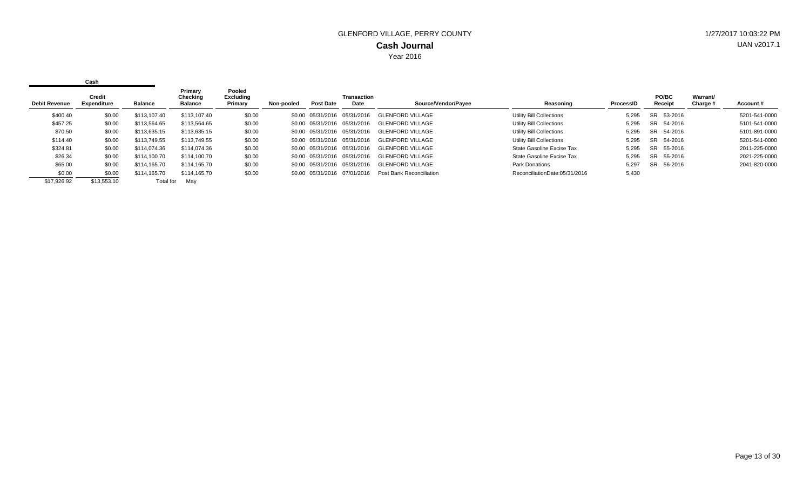|                      | Cash                         |              |                                       |                                |            |                              |                     |                          |                                 |           |                  |                      |               |
|----------------------|------------------------------|--------------|---------------------------------------|--------------------------------|------------|------------------------------|---------------------|--------------------------|---------------------------------|-----------|------------------|----------------------|---------------|
| <b>Debit Revenue</b> | <b>Credit</b><br>Expenditure | Balance      | Primary<br>Checking<br><b>Balance</b> | Pooled<br>Excluding<br>Primary | Non-pooled | Post Date                    | Transaction<br>Date | Source/Vendor/Payee      | Reasoning                       | ProcessID | PO/BC<br>Receipt | Warrant/<br>Charge # | Account#      |
| \$400.40             | \$0.00                       | \$113,107.40 | \$113,107.40                          | \$0.00                         |            | \$0.00 05/31/2016 05/31/2016 |                     | <b>GLENFORD VILLAGE</b>  | Utility Bill Collections        | 5,295     | SR 53-2016       |                      | 5201-541-0000 |
| \$457.25             | \$0.00                       | \$113,564.65 | \$113,564.65                          | \$0.00                         |            | \$0.00 05/31/2016 05/31/2016 |                     | GLENFORD VILLAGE         | <b>Utility Bill Collections</b> | 5,295     | SR 54-2016       |                      | 5101-541-0000 |
| \$70.50              | \$0.00                       | \$113,635.15 | \$113,635.15                          | \$0.00                         |            | \$0.00 05/31/2016 05/31/2016 |                     | <b>GLENFORD VILLAGE</b>  | Utility Bill Collections        | 5,295     | SR 54-2016       |                      | 5101-891-0000 |
| \$114.40             | \$0.00                       | \$113,749.55 | \$113,749.55                          | \$0.00                         |            | \$0.00 05/31/2016 05/31/2016 |                     | <b>GLENFORD VILLAGE</b>  | Utility Bill Collections        | 5.295     | SR 54-2016       |                      | 5201-541-0000 |
| \$324.81             | \$0.00                       | \$114.074.36 | \$114,074.36                          | \$0.00                         |            | \$0.00 05/31/2016 05/31/2016 |                     | <b>GLENFORD VILLAGE</b>  | State Gasoline Excise Tax       | 5.295     | SR 55-2016       |                      | 2011-225-0000 |
| \$26.34              | \$0.00                       | \$114,100.70 | \$114,100.70                          | \$0.00                         |            | \$0.00 05/31/2016 05/31/2016 |                     | GLENFORD VILLAGE         | State Gasoline Excise Tax       | 5,295     | SR 55-2016       |                      | 2021-225-0000 |
| \$65.00              | \$0.00                       | \$114,165.70 | \$114,165.70                          | \$0.00                         |            | \$0.00 05/31/2016 05/31/2016 |                     | <b>GLENFORD VILLAGE</b>  | <b>Park Donations</b>           | 5.297     | SR 56-2016       |                      | 2041-820-0000 |
| \$0.00               | \$0.00                       | \$114,165.70 | \$114,165.70                          | \$0.00                         |            | \$0.00 05/31/2016 07/01/2016 |                     | Post Bank Reconciliation | ReconciliationDate:05/31/2016   | 5,430     |                  |                      |               |
| \$17,926.92          | \$13,553.10                  | Total for    | May                                   |                                |            |                              |                     |                          |                                 |           |                  |                      |               |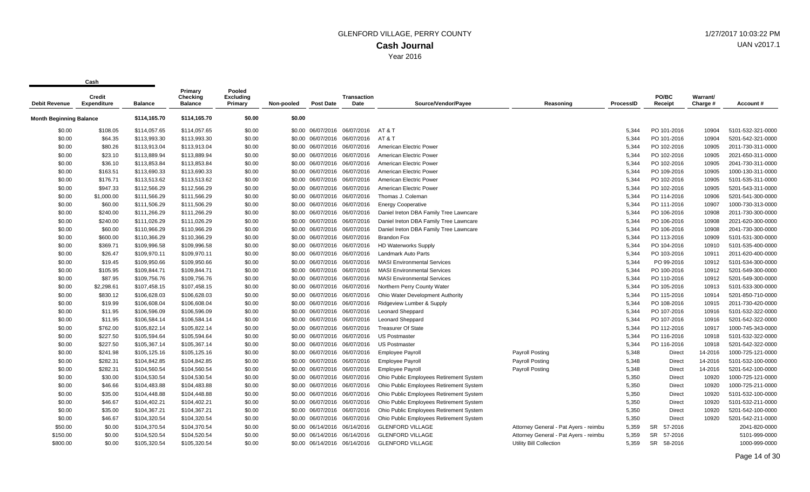| <b>Debit Revenue</b>           | Credit<br><b>Expenditure</b> | <b>Balance</b> | Primary<br>Checking<br><b>Balance</b> | Pooled<br><b>Excluding</b><br>Primary | Non-pooled | Post Date                    | <b>Transaction</b><br>Date | Source/Vendor/Payee                     | Reasoning                             | ProcessID | PO/BC<br>Receipt     | Warrant/<br>Charge # | Account#          |
|--------------------------------|------------------------------|----------------|---------------------------------------|---------------------------------------|------------|------------------------------|----------------------------|-----------------------------------------|---------------------------------------|-----------|----------------------|----------------------|-------------------|
| <b>Month Beginning Balance</b> |                              | \$114,165.70   | \$114,165.70                          | \$0.00                                | \$0.00     |                              |                            |                                         |                                       |           |                      |                      |                   |
| \$0.00                         | \$108.05                     | \$114,057.65   | \$114,057.65                          | \$0.00                                |            | \$0.00 06/07/2016 06/07/2016 |                            | AT & T                                  |                                       | 5,344     | PO 101-2016          | 10904                | 5101-532-321-0000 |
| \$0.00                         | \$64.35                      | \$113,993.30   | \$113,993.30                          | \$0.00                                |            | \$0.00 06/07/2016 06/07/2016 |                            | AT & T                                  |                                       | 5.344     | PO 101-2016          | 10904                | 5201-542-321-0000 |
| \$0.00                         | \$80.26                      | \$113,913.04   | \$113,913.04                          | \$0.00                                |            | \$0.00 06/07/2016 06/07/2016 |                            | American Electric Power                 |                                       | 5,344     | PO 102-2016          | 10905                | 2011-730-311-0000 |
| \$0.00                         | \$23.10                      | \$113,889.94   | \$113,889.94                          | \$0.00                                |            | \$0.00 06/07/2016 06/07/2016 |                            | American Electric Power                 |                                       | 5,344     | PO 102-2016          | 10905                | 2021-650-311-0000 |
| \$0.00                         | \$36.10                      | \$113,853.84   | \$113,853.84                          | \$0.00                                |            | \$0.00 06/07/2016 06/07/2016 |                            | American Electric Power                 |                                       | 5,344     | PO 102-2016          | 10905                | 2041-730-311-0000 |
| \$0.00                         | \$163.51                     | \$113,690.33   | \$113,690.33                          | \$0.00                                |            | \$0.00 06/07/2016 06/07/2016 |                            | American Electric Power                 |                                       | 5,344     | PO 109-2016          | 10905                | 1000-130-311-0000 |
| \$0.00                         | \$176.71                     | \$113,513.62   | \$113,513.62                          | \$0.00                                |            | \$0.00 06/07/2016 06/07/2016 |                            | American Electric Power                 |                                       | 5,344     | PO 102-2016          | 10905                | 5101-535-311-0000 |
| \$0.00                         | \$947.33                     | \$112,566.29   | \$112,566.29                          | \$0.00                                |            | \$0.00 06/07/2016 06/07/2016 |                            | American Electric Power                 |                                       | 5,344     | PO 102-2016          | 10905                | 5201-543-311-0000 |
| \$0.00                         | \$1,000.00                   | \$111,566.29   | \$111,566.29                          | \$0.00                                |            | \$0.00 06/07/2016 06/07/2016 |                            | Thomas J. Coleman                       |                                       | 5,344     | PO 114-2016          | 10906                | 5201-541-300-0000 |
| \$0.00                         | \$60.00                      | \$111,506.29   | \$111,506.29                          | \$0.00                                |            | \$0.00 06/07/2016 06/07/2016 |                            | <b>Energy Cooperative</b>               |                                       | 5,344     | PO 111-2016          | 10907                | 1000-730-313-0000 |
| \$0.00                         | \$240.00                     | \$111,266.29   | \$111,266.29                          | \$0.00                                |            | \$0.00 06/07/2016 06/07/2016 |                            | Daniel Ireton DBA Family Tree Lawncare  |                                       | 5,344     | PO 106-2016          | 10908                | 2011-730-300-0000 |
| \$0.00                         | \$240.00                     | \$111,026.29   | \$111,026.29                          | \$0.00                                |            | \$0.00 06/07/2016 06/07/2016 |                            | Daniel Ireton DBA Family Tree Lawncare  |                                       | 5,344     | PO 106-2016          | 10908                | 2021-620-300-0000 |
| \$0.00                         | \$60.00                      | \$110,966.29   | \$110,966.29                          | \$0.00                                |            | \$0.00 06/07/2016 06/07/2016 |                            | Daniel Ireton DBA Family Tree Lawncare  |                                       | 5,344     | PO 106-2016          | 10908                | 2041-730-300-0000 |
| \$0.00                         | \$600.00                     | \$110,366.29   | \$110,366.29                          | \$0.00                                |            | \$0.00 06/07/2016 06/07/2016 |                            | <b>Brandon Fox</b>                      |                                       | 5,344     | PO 113-2016          | 10909                | 5101-531-300-0000 |
| \$0.00                         | \$369.71                     | \$109,996.58   | \$109,996.58                          | \$0.00                                |            | \$0.00 06/07/2016 06/07/2016 |                            | <b>HD Waterworks Supply</b>             |                                       | 5,344     | PO 104-2016          | 10910                | 5101-535-400-0000 |
| \$0.00                         | \$26.47                      | \$109,970.11   | \$109,970.11                          | \$0.00                                |            | \$0.00 06/07/2016 06/07/2016 |                            | Landmark Auto Parts                     |                                       | 5,344     | PO 103-2016          | 10911                | 2011-620-400-0000 |
| \$0.00                         | \$19.45                      | \$109,950.66   | \$109,950.66                          | \$0.00                                |            | \$0.00 06/07/2016 06/07/2016 |                            | <b>MASI Environmental Services</b>      |                                       | 5,344     | PO 99-2016           | 10912                | 5101-534-300-0000 |
| \$0.00                         | \$105.95                     | \$109,844.71   | \$109,844.71                          | \$0.00                                |            | \$0.00 06/07/2016 06/07/2016 |                            | <b>MASI Environmental Services</b>      |                                       | 5,344     | PO 100-2016          | 10912                | 5201-549-300-0000 |
| \$0.00                         | \$87.95                      | \$109,756.76   | \$109,756.76                          | \$0.00                                |            | \$0.00 06/07/2016 06/07/2016 |                            | <b>MASI Environmental Services</b>      |                                       | 5,344     | PO 110-2016          | 10912                | 5201-549-300-0000 |
| \$0.00                         | \$2,298.61                   | \$107,458.15   | \$107,458.15                          | \$0.00                                |            | \$0.00 06/07/2016 06/07/2016 |                            | Northern Perry County Water             |                                       | 5,344     | PO 105-2016          | 10913                | 5101-533-300-0000 |
| \$0.00                         | \$830.12                     | \$106,628.03   | \$106,628.03                          | \$0.00                                |            | \$0.00 06/07/2016 06/07/2016 |                            | Ohio Water Development Authority        |                                       | 5,344     | PO 115-2016          | 10914                | 5201-850-710-0000 |
| \$0.00                         | \$19.99                      | \$106,608.04   | \$106,608.04                          | \$0.00                                |            | \$0.00 06/07/2016 06/07/2016 |                            | Ridgeview Lumber & Supply               |                                       | 5,344     | PO 108-2016          | 10915                | 2011-730-420-0000 |
| \$0.00                         | \$11.95                      | \$106,596.09   | \$106,596.09                          | \$0.00                                |            | \$0.00 06/07/2016 06/07/2016 |                            | <b>Leonard Sheppard</b>                 |                                       | 5,344     | PO 107-2016          | 10916                | 5101-532-322-0000 |
| \$0.00                         | \$11.95                      | \$106,584.14   | \$106,584.14                          | \$0.00                                |            | \$0.00 06/07/2016 06/07/2016 |                            | <b>Leonard Sheppard</b>                 |                                       | 5.344     | PO 107-2016          | 10916                | 5201-542-322-0000 |
| \$0.00                         | \$762.00                     | \$105,822.14   | \$105,822.14                          | \$0.00                                |            | \$0.00 06/07/2016 06/07/2016 |                            | <b>Treasurer Of State</b>               |                                       | 5,344     | PO 112-2016          | 10917                | 1000-745-343-0000 |
| \$0.00                         | \$227.50                     | \$105,594.64   | \$105,594.64                          | \$0.00                                |            | \$0.00 06/07/2016 06/07/2016 |                            | <b>US Postmaster</b>                    |                                       | 5,344     | PO 116-2016          | 10918                | 5101-532-322-0000 |
| \$0.00                         | \$227.50                     | \$105,367.14   | \$105,367.14                          | \$0.00                                |            | \$0.00 06/07/2016 06/07/2016 |                            | <b>US Postmaster</b>                    |                                       | 5,344     | PO 116-2016          | 10918                | 5201-542-322-0000 |
| \$0.00                         | \$241.98                     | \$105,125.16   | \$105,125.16                          | \$0.00                                |            | \$0.00 06/07/2016 06/07/2016 |                            | <b>Employee Payroll</b>                 | <b>Payroll Posting</b>                | 5,348     | Direct               | 14-2016              | 1000-725-121-0000 |
| \$0.00                         | \$282.31                     | \$104,842.85   | \$104,842.85                          | \$0.00                                |            | \$0.00 06/07/2016 06/07/2016 |                            | <b>Employee Payroll</b>                 | <b>Payroll Posting</b>                | 5,348     | Direct               | 14-2016              | 5101-532-100-0000 |
| \$0.00                         | \$282.31                     | \$104,560.54   | \$104,560.54                          | \$0.00                                |            | \$0.00 06/07/2016 06/07/2016 |                            | <b>Employee Payroll</b>                 | <b>Payroll Posting</b>                | 5,348     | Direct               | 14-2016              | 5201-542-100-0000 |
| \$0.00                         | \$30.00                      | \$104,530.54   | \$104,530.54                          | \$0.00                                |            | \$0.00 06/07/2016 06/07/2016 |                            | Ohio Public Employees Retirement System |                                       | 5,350     | Direct               | 10920                | 1000-725-121-0000 |
| \$0.00                         | \$46.66                      | \$104,483.88   | \$104,483.88                          | \$0.00                                |            | \$0.00 06/07/2016 06/07/2016 |                            | Ohio Public Employees Retirement System |                                       | 5,350     | Direct               | 10920                | 1000-725-211-0000 |
| \$0.00                         | \$35.00                      | \$104,448.88   | \$104,448.88                          | \$0.00                                |            | \$0.00 06/07/2016 06/07/2016 |                            | Ohio Public Employees Retirement System |                                       | 5,350     | <b>Direct</b>        | 10920                | 5101-532-100-0000 |
| \$0.00                         | \$46.67                      | \$104.402.21   | \$104,402.21                          | \$0.00                                |            | \$0.00 06/07/2016 06/07/2016 |                            | Ohio Public Employees Retirement System |                                       | 5,350     | <b>Direct</b>        | 10920                | 5101-532-211-0000 |
| \$0.00                         | \$35.00                      | \$104,367.21   | \$104,367.21                          | \$0.00                                |            | \$0.00 06/07/2016 06/07/2016 |                            | Ohio Public Employees Retirement System |                                       | 5,350     | Direct               | 10920                | 5201-542-100-0000 |
| \$0.00                         | \$46.67                      | \$104,320.54   | \$104,320.54                          | \$0.00                                |            | \$0.00 06/07/2016 06/07/2016 |                            | Ohio Public Employees Retirement System |                                       | 5,350     | Direct               | 10920                | 5201-542-211-0000 |
| \$50.00                        | \$0.00                       | \$104,370.54   | \$104,370.54                          | \$0.00                                |            | \$0.00 06/14/2016 06/14/2016 |                            | <b>GLENFORD VILLAGE</b>                 | Attorney General - Pat Ayers - reimbu | 5,359     | 57-2016<br>SR        |                      | 2041-820-0000     |
| \$150.00                       | \$0.00                       | \$104,520.54   | \$104,520.54                          | \$0.00                                |            | \$0.00 06/14/2016 06/14/2016 |                            | <b>GLENFORD VILLAGE</b>                 | Attorney General - Pat Ayers - reimbu | 5,359     | <b>SR</b><br>57-2016 |                      | 5101-999-0000     |
| \$800.00                       | \$0.00                       | \$105.320.54   | \$105.320.54                          | \$0.00                                |            | \$0.00 06/14/2016 06/14/2016 |                            | <b>GLENFORD VILLAGE</b>                 | Utility Bill Collection               | 5.359     | <b>SR</b><br>58-2016 |                      | 1000-999-0000     |
|                                |                              |                |                                       |                                       |            |                              |                            |                                         |                                       |           |                      |                      |                   |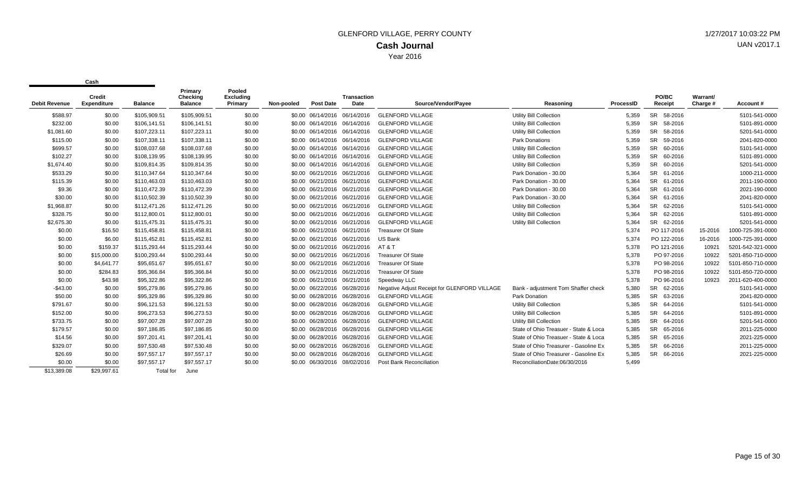| SR 58-2016<br><b>GLENFORD VILLAGE</b><br><b>Utility Bill Collection</b><br>\$588.97<br>\$0.00<br>\$105,909.51<br>\$105,909.51<br>\$0.00<br>\$0.00 06/14/2016 06/14/2016<br>5,359<br><b>SR</b><br><b>GLENFORD VILLAGE</b><br><b>Utility Bill Collection</b><br>\$232.00<br>\$0.00<br>\$106,141.51<br>\$106,141.51<br>\$0.00<br>5,359<br>58-2016<br>\$0.00 06/14/2016 06/14/2016<br><b>SR</b><br><b>Utility Bill Collection</b><br>5,359<br>\$1,081.60<br>\$0.00<br>\$107,223.11<br>\$107,223.11<br>\$0.00<br><b>GLENFORD VILLAGE</b><br>58-2016<br>\$0.00 06/14/2016 06/14/2016<br><b>SR</b><br>\$107,338.11<br>\$107,338.11<br>\$0.00<br><b>GLENFORD VILLAGE</b><br><b>Park Donations</b><br>5,359<br>59-2016<br>\$115.00<br>\$0.00<br>\$0.00 06/14/2016 06/14/2016<br><b>SR</b><br>\$108,037.68<br>\$699.57<br>\$108,037.68<br>\$0.00<br><b>GLENFORD VILLAGE</b><br><b>Utility Bill Collection</b><br>5,359<br>60-2016<br>\$0.00<br>\$0.00 06/14/2016 06/14/2016<br><b>SR</b><br>\$102.27<br>\$108,139.95<br>\$108,139.95<br>\$0.00<br><b>GLENFORD VILLAGE</b><br>5,359<br>60-2016<br>\$0.00<br>\$0.00 06/14/2016 06/14/2016<br><b>Utility Bill Collection</b><br><b>SR</b><br>\$1,674.40<br>\$0.00<br>\$109,814.35<br>\$109,814.35<br>\$0.00<br><b>GLENFORD VILLAGE</b><br><b>Utility Bill Collection</b><br>5,359<br>60-2016<br>\$0.00 06/14/2016 06/14/2016<br><b>SR</b><br>\$533.29<br>\$110,347.64<br>\$110,347.64<br>\$0.00<br><b>GLENFORD VILLAGE</b><br>Park Donation - 30.00<br>5,364<br>61-2016<br>\$0.00<br>\$0.00 06/21/2016 06/21/2016<br><b>SR</b><br><b>GLENFORD VILLAGE</b><br>5,364<br>61-2016<br>\$115.39<br>\$0.00<br>\$110,463.03<br>\$110,463.03<br>\$0.00<br>\$0.00 06/21/2016 06/21/2016<br>Park Donation - 30.00 | Warrant/<br>Charge #<br>Account# |
|-------------------------------------------------------------------------------------------------------------------------------------------------------------------------------------------------------------------------------------------------------------------------------------------------------------------------------------------------------------------------------------------------------------------------------------------------------------------------------------------------------------------------------------------------------------------------------------------------------------------------------------------------------------------------------------------------------------------------------------------------------------------------------------------------------------------------------------------------------------------------------------------------------------------------------------------------------------------------------------------------------------------------------------------------------------------------------------------------------------------------------------------------------------------------------------------------------------------------------------------------------------------------------------------------------------------------------------------------------------------------------------------------------------------------------------------------------------------------------------------------------------------------------------------------------------------------------------------------------------------------------------------------------------------------------------------------------------------------------------------|----------------------------------|
|                                                                                                                                                                                                                                                                                                                                                                                                                                                                                                                                                                                                                                                                                                                                                                                                                                                                                                                                                                                                                                                                                                                                                                                                                                                                                                                                                                                                                                                                                                                                                                                                                                                                                                                                           | 5101-541-0000                    |
|                                                                                                                                                                                                                                                                                                                                                                                                                                                                                                                                                                                                                                                                                                                                                                                                                                                                                                                                                                                                                                                                                                                                                                                                                                                                                                                                                                                                                                                                                                                                                                                                                                                                                                                                           | 5101-891-0000                    |
|                                                                                                                                                                                                                                                                                                                                                                                                                                                                                                                                                                                                                                                                                                                                                                                                                                                                                                                                                                                                                                                                                                                                                                                                                                                                                                                                                                                                                                                                                                                                                                                                                                                                                                                                           | 5201-541-0000                    |
|                                                                                                                                                                                                                                                                                                                                                                                                                                                                                                                                                                                                                                                                                                                                                                                                                                                                                                                                                                                                                                                                                                                                                                                                                                                                                                                                                                                                                                                                                                                                                                                                                                                                                                                                           | 2041-820-0000                    |
|                                                                                                                                                                                                                                                                                                                                                                                                                                                                                                                                                                                                                                                                                                                                                                                                                                                                                                                                                                                                                                                                                                                                                                                                                                                                                                                                                                                                                                                                                                                                                                                                                                                                                                                                           |                                  |
|                                                                                                                                                                                                                                                                                                                                                                                                                                                                                                                                                                                                                                                                                                                                                                                                                                                                                                                                                                                                                                                                                                                                                                                                                                                                                                                                                                                                                                                                                                                                                                                                                                                                                                                                           | 5101-541-0000                    |
|                                                                                                                                                                                                                                                                                                                                                                                                                                                                                                                                                                                                                                                                                                                                                                                                                                                                                                                                                                                                                                                                                                                                                                                                                                                                                                                                                                                                                                                                                                                                                                                                                                                                                                                                           | 5101-891-0000                    |
|                                                                                                                                                                                                                                                                                                                                                                                                                                                                                                                                                                                                                                                                                                                                                                                                                                                                                                                                                                                                                                                                                                                                                                                                                                                                                                                                                                                                                                                                                                                                                                                                                                                                                                                                           | 5201-541-0000                    |
|                                                                                                                                                                                                                                                                                                                                                                                                                                                                                                                                                                                                                                                                                                                                                                                                                                                                                                                                                                                                                                                                                                                                                                                                                                                                                                                                                                                                                                                                                                                                                                                                                                                                                                                                           | 1000-211-0000                    |
|                                                                                                                                                                                                                                                                                                                                                                                                                                                                                                                                                                                                                                                                                                                                                                                                                                                                                                                                                                                                                                                                                                                                                                                                                                                                                                                                                                                                                                                                                                                                                                                                                                                                                                                                           | 2011-190-0000                    |
| <b>SR</b><br>\$9.36<br>\$110,472.39<br>\$0.00<br><b>GLENFORD VILLAGE</b><br>Park Donation - 30.00<br>5,364<br>61-2016<br>\$0.00<br>\$110,472.39<br>\$0.00 06/21/2016 06/21/2016                                                                                                                                                                                                                                                                                                                                                                                                                                                                                                                                                                                                                                                                                                                                                                                                                                                                                                                                                                                                                                                                                                                                                                                                                                                                                                                                                                                                                                                                                                                                                           | 2021-190-0000                    |
| <b>SR</b><br>\$110,502.39<br><b>GLENFORD VILLAGE</b><br>5,364<br>\$30.00<br>\$0.00<br>\$110,502.39<br>\$0.00<br>\$0.00 06/21/2016 06/21/2016<br>Park Donation - 30.00<br>61-2016                                                                                                                                                                                                                                                                                                                                                                                                                                                                                                                                                                                                                                                                                                                                                                                                                                                                                                                                                                                                                                                                                                                                                                                                                                                                                                                                                                                                                                                                                                                                                          | 2041-820-0000                    |
| <b>SR</b><br><b>GLENFORD VILLAGE</b><br>5,364<br>62-2016<br>\$1,968.87<br>\$112,471.26<br>\$112,471.26<br>\$0.00<br><b>Utility Bill Collection</b><br>\$0.00<br>\$0.00 06/21/2016 06/21/2016                                                                                                                                                                                                                                                                                                                                                                                                                                                                                                                                                                                                                                                                                                                                                                                                                                                                                                                                                                                                                                                                                                                                                                                                                                                                                                                                                                                                                                                                                                                                              | 5101-541-0000                    |
| \$328.75<br>SR 62-2016<br>\$112,800.01<br>\$112,800.01<br>\$0.00<br><b>GLENFORD VILLAGE</b><br><b>Utility Bill Collection</b><br>5.364<br>\$0.00<br>\$0.00 06/21/2016 06/21/2016                                                                                                                                                                                                                                                                                                                                                                                                                                                                                                                                                                                                                                                                                                                                                                                                                                                                                                                                                                                                                                                                                                                                                                                                                                                                                                                                                                                                                                                                                                                                                          | 5101-891-0000                    |
| SR 62-2016<br>\$2,675.30<br>\$115,475.31<br>\$115.475.31<br>\$0.00<br><b>GLENFORD VILLAGE</b><br><b>Utility Bill Collection</b><br>5,364<br>\$0.00<br>\$0.00 06/21/2016 06/21/2016                                                                                                                                                                                                                                                                                                                                                                                                                                                                                                                                                                                                                                                                                                                                                                                                                                                                                                                                                                                                                                                                                                                                                                                                                                                                                                                                                                                                                                                                                                                                                        | 5201-541-0000                    |
| \$115,458.81<br>\$0.00<br>\$0.00 06/21/2016 06/21/2016<br><b>Treasurer Of State</b><br>5,374<br>PO 117-2016<br>\$0.00<br>\$16.50<br>\$115,458.81<br>15-2016                                                                                                                                                                                                                                                                                                                                                                                                                                                                                                                                                                                                                                                                                                                                                                                                                                                                                                                                                                                                                                                                                                                                                                                                                                                                                                                                                                                                                                                                                                                                                                               | 1000-725-391-0000                |
| 5.374<br>PO 122-2016<br>\$0.00<br>\$6.00<br>\$115,452.81<br>\$115,452.81<br>\$0.00<br>\$0.00 06/21/2016 06/21/2016<br>US Bank<br>16-2016                                                                                                                                                                                                                                                                                                                                                                                                                                                                                                                                                                                                                                                                                                                                                                                                                                                                                                                                                                                                                                                                                                                                                                                                                                                                                                                                                                                                                                                                                                                                                                                                  | 1000-725-391-0000                |
| \$115,293.44<br>\$115,293.44<br>5,378<br>\$0.00<br>\$159.37<br>\$0.00<br>\$0.00 06/21/2016 06/21/2016<br>AT & T<br>PO 121-2016<br>10921                                                                                                                                                                                                                                                                                                                                                                                                                                                                                                                                                                                                                                                                                                                                                                                                                                                                                                                                                                                                                                                                                                                                                                                                                                                                                                                                                                                                                                                                                                                                                                                                   | 5201-542-321-0000                |
| \$100,293.44<br>\$100,293.44<br>\$0.00<br><b>Treasurer Of State</b><br>5,378<br>PO 97-2016<br>\$0.00<br>\$15,000.00<br>\$0.00 06/21/2016 06/21/2016<br>10922                                                                                                                                                                                                                                                                                                                                                                                                                                                                                                                                                                                                                                                                                                                                                                                                                                                                                                                                                                                                                                                                                                                                                                                                                                                                                                                                                                                                                                                                                                                                                                              | 5201-850-710-0000                |
| \$0.00<br>\$4,641.77<br>\$95,651.67<br>\$95,651.67<br>\$0.00<br><b>Treasurer Of State</b><br>5,378<br>PO 98-2016<br>10922<br>\$0.00 06/21/2016 06/21/2016                                                                                                                                                                                                                                                                                                                                                                                                                                                                                                                                                                                                                                                                                                                                                                                                                                                                                                                                                                                                                                                                                                                                                                                                                                                                                                                                                                                                                                                                                                                                                                                 | 5101-850-710-0000                |
| \$95,366.84<br>5,378<br>PO 98-2016<br>\$0.00<br>\$95,366.84<br>\$0.00<br>\$0.00 06/21/2016 06/21/2016<br><b>Treasurer Of State</b><br>\$284.83                                                                                                                                                                                                                                                                                                                                                                                                                                                                                                                                                                                                                                                                                                                                                                                                                                                                                                                                                                                                                                                                                                                                                                                                                                                                                                                                                                                                                                                                                                                                                                                            | 10922<br>5101-850-720-0000       |
| PO 96-2016<br>\$0.00<br>\$43.98<br>\$95,322.86<br>\$95,322.86<br>\$0.00<br>\$0.00 06/21/2016 06/21/2016<br>5.378<br>10923<br>Speedway LLC                                                                                                                                                                                                                                                                                                                                                                                                                                                                                                                                                                                                                                                                                                                                                                                                                                                                                                                                                                                                                                                                                                                                                                                                                                                                                                                                                                                                                                                                                                                                                                                                 | 2011-620-400-0000                |
| \$95,279.86<br>\$95,279.86<br>5.380<br><b>SR</b><br>62-2016<br>$-$43.00$<br>\$0.00<br>\$0.00<br>\$0.00 06/22/2016 06/28/2016<br>Negative Adjust Receipt for GLENFORD VILLAGE<br>Bank - adjustment Tom Shaffer check                                                                                                                                                                                                                                                                                                                                                                                                                                                                                                                                                                                                                                                                                                                                                                                                                                                                                                                                                                                                                                                                                                                                                                                                                                                                                                                                                                                                                                                                                                                       | 5101-541-0000                    |
| <b>SR</b><br>\$50.00<br>\$0.00<br>\$95,329.86<br>\$95,329.86<br>\$0.00<br><b>GLENFORD VILLAGE</b><br>Park Donation<br>5,385<br>63-2016<br>\$0.00 06/28/2016 06/28/2016                                                                                                                                                                                                                                                                                                                                                                                                                                                                                                                                                                                                                                                                                                                                                                                                                                                                                                                                                                                                                                                                                                                                                                                                                                                                                                                                                                                                                                                                                                                                                                    | 2041-820-0000                    |
| <b>SR</b><br>\$96,121.53<br>\$96,121.53<br>\$0.00<br><b>GLENFORD VILLAGE</b><br>5,385<br>64-2016<br>\$791.67<br>\$0.00<br>\$0.00 06/28/2016 06/28/2016<br><b>Utility Bill Collection</b>                                                                                                                                                                                                                                                                                                                                                                                                                                                                                                                                                                                                                                                                                                                                                                                                                                                                                                                                                                                                                                                                                                                                                                                                                                                                                                                                                                                                                                                                                                                                                  | 5101-541-0000                    |
| <b>SR</b><br>\$152.00<br>\$96,273.53<br>\$96,273.53<br>\$0.00<br><b>GLENFORD VILLAGE</b><br><b>Utility Bill Collection</b><br>5,385<br>64-2016<br>\$0.00<br>\$0.00 06/28/2016 06/28/2016                                                                                                                                                                                                                                                                                                                                                                                                                                                                                                                                                                                                                                                                                                                                                                                                                                                                                                                                                                                                                                                                                                                                                                                                                                                                                                                                                                                                                                                                                                                                                  | 5101-891-0000                    |
| <b>SR</b><br>\$733.75<br>\$97,007.28<br>\$97,007.28<br>\$0.00<br><b>GLENFORD VILLAGE</b><br>5,385<br>\$0.00<br>\$0.00 06/28/2016 06/28/2016<br><b>Utility Bill Collection</b><br>64-2016                                                                                                                                                                                                                                                                                                                                                                                                                                                                                                                                                                                                                                                                                                                                                                                                                                                                                                                                                                                                                                                                                                                                                                                                                                                                                                                                                                                                                                                                                                                                                  | 5201-541-0000                    |
| <b>SR</b><br>\$179.57<br>\$0.00<br>\$97,186.85<br>\$97,186.85<br>\$0.00<br>\$0.00 06/28/2016 06/28/2016<br><b>GLENFORD VILLAGE</b><br>State of Ohio Treasuer - State & Loca<br>5,385<br>65-2016                                                                                                                                                                                                                                                                                                                                                                                                                                                                                                                                                                                                                                                                                                                                                                                                                                                                                                                                                                                                                                                                                                                                                                                                                                                                                                                                                                                                                                                                                                                                           | 2011-225-0000                    |
| \$97,201.41<br><b>GLENFORD VILLAGE</b><br>State of Ohio Treasuer - State & Loca<br>SR<br>\$14.56<br>\$97,201.41<br>\$0.00<br>\$0.00 06/28/2016 06/28/2016<br>5,385<br>65-2016<br>\$0.00                                                                                                                                                                                                                                                                                                                                                                                                                                                                                                                                                                                                                                                                                                                                                                                                                                                                                                                                                                                                                                                                                                                                                                                                                                                                                                                                                                                                                                                                                                                                                   | 2021-225-0000                    |
| SR<br>\$329.07<br>\$97,530.48<br>\$97,530.48<br>\$0.00<br><b>GLENFORD VILLAGE</b><br>State of Ohio Treasurer - Gasoline Ex<br>5,385<br>66-2016<br>\$0.00<br>\$0.00 06/28/2016 06/28/2016                                                                                                                                                                                                                                                                                                                                                                                                                                                                                                                                                                                                                                                                                                                                                                                                                                                                                                                                                                                                                                                                                                                                                                                                                                                                                                                                                                                                                                                                                                                                                  | 2011-225-0000                    |
| <b>SR</b><br>\$0.00<br><b>GLENFORD VILLAGE</b><br>State of Ohio Treasurer - Gasoline Ex<br>5,385<br>\$26.69<br>\$97,557.17<br>\$97,557.17<br>\$0.00<br>\$0.00 06/28/2016 06/28/2016<br>66-2016                                                                                                                                                                                                                                                                                                                                                                                                                                                                                                                                                                                                                                                                                                                                                                                                                                                                                                                                                                                                                                                                                                                                                                                                                                                                                                                                                                                                                                                                                                                                            | 2021-225-0000                    |
| \$0.00<br>\$0.00<br>\$97,557.17<br>\$97,557.17<br>\$0.00<br>Post Bank Reconciliation<br>ReconciliationDate:06/30/2016<br>5,499<br>\$0.00 06/30/2016 08/02/2016                                                                                                                                                                                                                                                                                                                                                                                                                                                                                                                                                                                                                                                                                                                                                                                                                                                                                                                                                                                                                                                                                                                                                                                                                                                                                                                                                                                                                                                                                                                                                                            |                                  |
| \$29.997.61<br>\$13.389.08<br>Total for<br>June                                                                                                                                                                                                                                                                                                                                                                                                                                                                                                                                                                                                                                                                                                                                                                                                                                                                                                                                                                                                                                                                                                                                                                                                                                                                                                                                                                                                                                                                                                                                                                                                                                                                                           |                                  |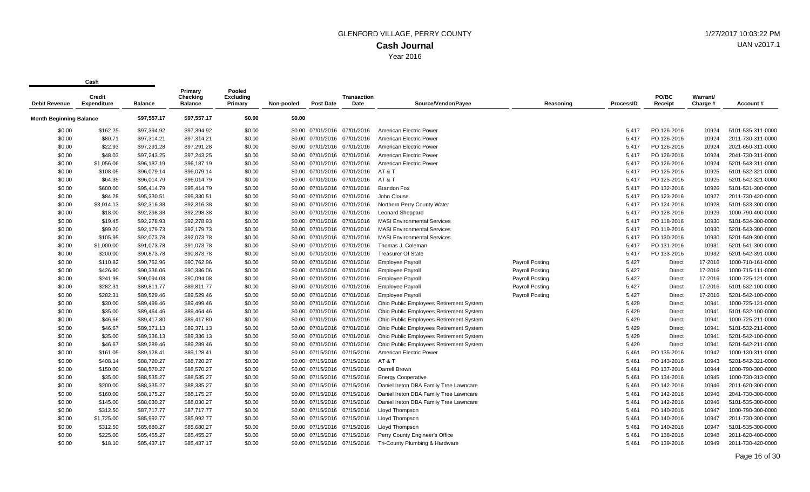| <b>Debit Revenue</b>           | Credit<br><b>Expenditure</b> | <b>Balance</b> | Primary<br>Checking<br><b>Balance</b> | Pooled<br><b>Excluding</b><br>Primary | Non-pooled | <b>Post Date</b>             | <b>Transaction</b><br>Date | Source/Vendor/Payee                     | Reasoning              | <b>ProcessID</b> | PO/BC<br>Receipt | Warrant/<br>Charge # | Account #         |
|--------------------------------|------------------------------|----------------|---------------------------------------|---------------------------------------|------------|------------------------------|----------------------------|-----------------------------------------|------------------------|------------------|------------------|----------------------|-------------------|
|                                |                              |                |                                       |                                       |            |                              |                            |                                         |                        |                  |                  |                      |                   |
| <b>Month Beginning Balance</b> |                              | \$97,557.17    | \$97,557.17                           | \$0.00                                | \$0.00     |                              |                            |                                         |                        |                  |                  |                      |                   |
| \$0.00                         | \$162.25                     | \$97.394.92    | \$97.394.92                           | \$0.00                                |            | \$0.00 07/01/2016 07/01/2016 |                            | American Electric Power                 |                        | 5.417            | PO 126-2016      | 10924                | 5101-535-311-0000 |
| \$0.00                         | \$80.71                      | \$97,314.21    | \$97,314.21                           | \$0.00                                |            | \$0.00 07/01/2016 07/01/2016 |                            | American Electric Power                 |                        | 5,417            | PO 126-2016      | 10924                | 2011-730-311-0000 |
| \$0.00                         | \$22.93                      | \$97,291.28    | \$97,291.28                           | \$0.00                                |            | \$0.00 07/01/2016 07/01/2016 |                            | American Electric Power                 |                        | 5,417            | PO 126-2016      | 10924                | 2021-650-311-0000 |
| \$0.00                         | \$48.03                      | \$97,243.25    | \$97,243.25                           | \$0.00                                |            | \$0.00 07/01/2016 07/01/2016 |                            | American Electric Power                 |                        | 5,417            | PO 126-2016      | 10924                | 2041-730-311-0000 |
| \$0.00                         | \$1,056.06                   | \$96,187.19    | \$96,187.19                           | \$0.00                                |            | \$0.00 07/01/2016 07/01/2016 |                            | American Electric Power                 |                        | 5,417            | PO 126-2016      | 10924                | 5201-543-311-0000 |
| \$0.00                         | \$108.05                     | \$96,079.14    | \$96,079.14                           | \$0.00                                |            | \$0.00 07/01/2016 07/01/2016 |                            | AT & T                                  |                        | 5,417            | PO 125-2016      | 10925                | 5101-532-321-0000 |
| \$0.00                         | \$64.35                      | \$96,014.79    | \$96,014.79                           | \$0.00                                |            | \$0.00 07/01/2016 07/01/2016 |                            | AT & T                                  |                        | 5,417            | PO 125-2016      | 10925                | 5201-542-321-0000 |
| \$0.00                         | \$600.00                     | \$95,414.79    | \$95,414.79                           | \$0.00                                |            | \$0.00 07/01/2016 07/01/2016 |                            | <b>Brandon Fox</b>                      |                        | 5,417            | PO 132-2016      | 10926                | 5101-531-300-0000 |
| \$0.00                         | \$84.28                      | \$95,330.51    | \$95,330.51                           | \$0.00                                |            | \$0.00 07/01/2016 07/01/2016 |                            | John Clouse                             |                        | 5,417            | PO 123-2016      | 10927                | 2011-730-420-0000 |
| \$0.00                         | \$3,014.13                   | \$92,316.38    | \$92,316.38                           | \$0.00                                |            | \$0.00 07/01/2016 07/01/2016 |                            | Northern Perry County Water             |                        | 5,417            | PO 124-2016      | 10928                | 5101-533-300-0000 |
| \$0.00                         | \$18.00                      | \$92,298.38    | \$92,298.38                           | \$0.00                                |            | \$0.00 07/01/2016 07/01/2016 |                            | <b>Leonard Sheppard</b>                 |                        | 5,417            | PO 128-2016      | 10929                | 1000-790-400-0000 |
| \$0.00                         | \$19.45                      | \$92,278.93    | \$92,278.93                           | \$0.00                                |            | \$0.00 07/01/2016 07/01/2016 |                            | <b>MASI Environmental Services</b>      |                        | 5,417            | PO 118-2016      | 10930                | 5101-534-300-0000 |
| \$0.00                         | \$99.20                      | \$92,179.73    | \$92,179.73                           | \$0.00                                |            | \$0.00 07/01/2016 07/01/2016 |                            | <b>MASI Environmental Services</b>      |                        | 5,417            | PO 119-2016      | 10930                | 5201-543-300-0000 |
| \$0.00                         | \$105.95                     | \$92,073.78    | \$92,073.78                           | \$0.00                                |            | \$0.00 07/01/2016 07/01/2016 |                            | <b>MASI Environmental Services</b>      |                        | 5,417            | PO 130-2016      | 10930                | 5201-549-300-0000 |
| \$0.00                         | \$1,000.00                   | \$91,073.78    | \$91,073.78                           | \$0.00                                |            | \$0.00 07/01/2016 07/01/2016 |                            | Thomas J. Coleman                       |                        | 5,417            | PO 131-2016      | 10931                | 5201-541-300-0000 |
| \$0.00                         | \$200.00                     | \$90,873.78    | \$90,873.78                           | \$0.00                                |            | \$0.00 07/01/2016 07/01/2016 |                            | <b>Treasurer Of State</b>               |                        | 5,417            | PO 133-2016      | 10932                | 5201-542-391-0000 |
| \$0.00                         | \$110.82                     | \$90,762.96    | \$90,762.96                           | \$0.00                                |            | \$0.00 07/01/2016 07/01/2016 |                            | <b>Employee Payroll</b>                 | <b>Payroll Posting</b> | 5,427            | Direct           | 17-2016              | 1000-710-161-0000 |
| \$0.00                         | \$426.90                     | \$90,336.06    | \$90,336.06                           | \$0.00                                |            | \$0.00 07/01/2016 07/01/2016 |                            | <b>Employee Payroll</b>                 | <b>Payroll Posting</b> | 5,427            | Direct           | 17-2016              | 1000-715-111-0000 |
| \$0.00                         | \$241.98                     | \$90,094.08    | \$90,094.08                           | \$0.00                                |            | \$0.00 07/01/2016 07/01/2016 |                            | <b>Employee Payroll</b>                 | <b>Payroll Posting</b> | 5,427            | Direct           | 17-2016              | 1000-725-121-0000 |
| \$0.00                         | \$282.31                     | \$89,811.77    | \$89,811.77                           | \$0.00                                |            | \$0.00 07/01/2016 07/01/2016 |                            | <b>Employee Payroll</b>                 | <b>Payroll Posting</b> | 5,427            | Direct           | 17-2016              | 5101-532-100-0000 |
| \$0.00                         | \$282.31                     | \$89,529.46    | \$89,529.46                           | \$0.00                                |            | \$0.00 07/01/2016 07/01/2016 |                            | <b>Employee Payroll</b>                 | <b>Payroll Posting</b> | 5,427            | Direct           | 17-2016              | 5201-542-100-0000 |
| \$0.00                         | \$30.00                      | \$89,499.46    | \$89,499.46                           | \$0.00                                |            | \$0.00 07/01/2016 07/01/2016 |                            | Ohio Public Employees Retirement System |                        | 5,429            | Direct           | 10941                | 1000-725-121-0000 |
| \$0.00                         | \$35.00                      | \$89,464.46    | \$89,464.46                           | \$0.00                                |            | \$0.00 07/01/2016 07/01/2016 |                            | Ohio Public Employees Retirement System |                        | 5,429            | Direct           | 10941                | 5101-532-100-0000 |
| \$0.00                         | \$46.66                      | \$89.417.80    | \$89,417.80                           | \$0.00                                |            | \$0.00 07/01/2016 07/01/2016 |                            | Ohio Public Employees Retirement System |                        | 5,429            | Direct           | 10941                | 1000-725-211-0000 |
| \$0.00                         | \$46.67                      | \$89,371.13    | \$89,371.13                           | \$0.00                                |            | \$0.00 07/01/2016 07/01/2016 |                            | Ohio Public Employees Retirement System |                        | 5,429            | Direct           | 10941                | 5101-532-211-0000 |
| \$0.00                         | \$35.00                      | \$89,336.13    | \$89,336.13                           | \$0.00                                |            | \$0.00 07/01/2016 07/01/2016 |                            | Ohio Public Employees Retirement System |                        | 5,429            | Direct           | 10941                | 5201-542-100-0000 |
| \$0.00                         | \$46.67                      | \$89,289.46    | \$89,289.46                           | \$0.00                                |            | \$0.00 07/01/2016 07/01/2016 |                            | Ohio Public Employees Retirement System |                        | 5,429            | Direct           | 10941                | 5201-542-211-0000 |
| \$0.00                         | \$161.05                     | \$89,128.41    | \$89,128.41                           | \$0.00                                |            | \$0.00 07/15/2016 07/15/2016 |                            | American Electric Power                 |                        | 5,461            | PO 135-2016      | 10942                | 1000-130-311-0000 |
| \$0.00                         | \$408.14                     | \$88,720.27    | \$88,720.27                           | \$0.00                                |            | \$0.00 07/15/2016 07/15/2016 |                            | AT & T                                  |                        | 5,461            | PO 143-2016      | 10943                | 5201-542-321-0000 |
| \$0.00                         | \$150.00                     | \$88,570.27    | \$88,570.27                           | \$0.00                                |            | \$0.00 07/15/2016 07/15/2016 |                            | Darrell Brown                           |                        | 5.461            | PO 137-2016      | 10944                | 1000-790-300-0000 |
| \$0.00                         | \$35.00                      | \$88,535.27    | \$88,535.27                           | \$0.00                                |            | \$0.00 07/15/2016 07/15/2016 |                            | <b>Energy Cooperative</b>               |                        | 5,461            | PO 134-2016      | 10945                | 1000-730-313-0000 |
| \$0.00                         | \$200.00                     | \$88,335.27    | \$88,335.27                           | \$0.00                                |            | \$0.00 07/15/2016 07/15/2016 |                            | Daniel Ireton DBA Family Tree Lawncare  |                        | 5,461            | PO 142-2016      | 10946                | 2011-620-300-0000 |
| \$0.00                         | \$160.00                     | \$88,175.27    | \$88,175.27                           | \$0.00                                |            | \$0.00 07/15/2016 07/15/2016 |                            | Daniel Ireton DBA Family Tree Lawncare  |                        | 5,461            | PO 142-2016      | 10946                | 2041-730-300-0000 |
| \$0.00                         | \$145.00                     | \$88,030.27    | \$88,030.27                           | \$0.00                                |            | \$0.00 07/15/2016 07/15/2016 |                            | Daniel Ireton DBA Family Tree Lawncare  |                        | 5,461            | PO 142-2016      | 10946                | 5101-535-300-0000 |
| \$0.00                         | \$312.50                     | \$87,717.77    | \$87,717.77                           | \$0.00                                |            | \$0.00 07/15/2016 07/15/2016 |                            | Lloyd Thompson                          |                        | 5,461            | PO 140-2016      | 10947                | 1000-790-300-0000 |
| \$0.00                         | \$1,725.00                   | \$85,992.77    | \$85,992.77                           | \$0.00                                |            | \$0.00 07/15/2016 07/15/2016 |                            | <b>Lloyd Thompson</b>                   |                        | 5,461            | PO 140-2016      | 10947                | 2011-730-300-0000 |
| \$0.00                         | \$312.50                     | \$85,680.27    | \$85,680.27                           | \$0.00                                |            | \$0.00 07/15/2016 07/15/2016 |                            | Lloyd Thompson                          |                        | 5,461            | PO 140-2016      | 10947                | 5101-535-300-0000 |
| \$0.00                         | \$225.00                     | \$85,455.27    | \$85,455.27                           | \$0.00                                |            | \$0.00 07/15/2016 07/15/2016 |                            | Perry County Engineer's Office          |                        | 5,461            | PO 138-2016      | 10948                | 2011-620-400-0000 |
| \$0.00                         | \$18.10                      | \$85.437.17    | \$85.437.17                           | \$0.00                                |            | \$0.00 07/15/2016 07/15/2016 |                            | Tri-County Plumbing & Hardware          |                        | 5.461            | PO 139-2016      | 10949                | 2011-730-420-0000 |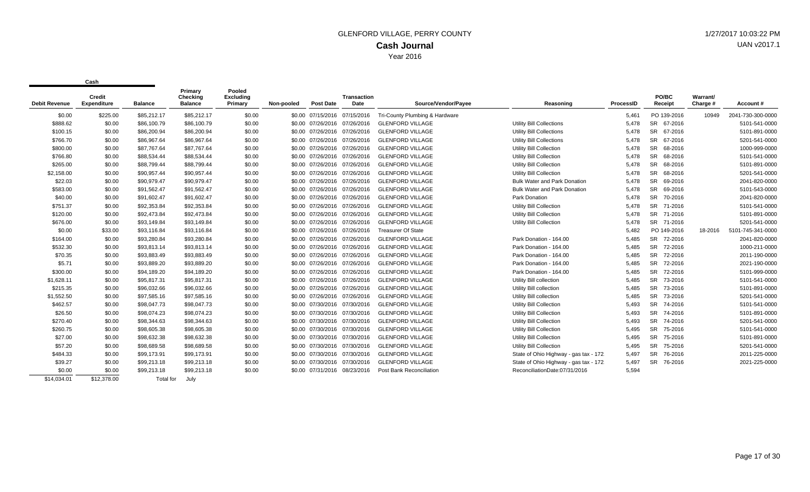| <b>Debit Revenue</b> | Credit<br><b>Expenditure</b> | <b>Balance</b> | Primary<br>Checking<br><b>Balance</b> | Pooled<br><b>Excluding</b><br>Primary | Non-pooled | <b>Post Date</b>             | <b>Transaction</b><br>Date | Source/Vendor/Payee            | Reasoning                              | ProcessID | <b>PO/BC</b><br>Receipt | Warrant/<br>Charge # | Account#          |
|----------------------|------------------------------|----------------|---------------------------------------|---------------------------------------|------------|------------------------------|----------------------------|--------------------------------|----------------------------------------|-----------|-------------------------|----------------------|-------------------|
| \$0.00               | \$225.00                     | \$85,212.17    | \$85,212.17                           | \$0.00                                |            | \$0.00 07/15/2016 07/15/2016 |                            | Tri-County Plumbing & Hardware |                                        | 5,461     | PO 139-2016             | 10949                | 2041-730-300-0000 |
| \$888.62             | \$0.00                       | \$86,100.79    | \$86,100.79                           | \$0.00                                |            | \$0.00 07/26/2016 07/26/2016 |                            | <b>GLENFORD VILLAGE</b>        | Utility Bill Collections               | 5,478     | SR 67-2016              |                      | 5101-541-0000     |
| \$100.15             | \$0.00                       | \$86,200.94    | \$86,200.94                           | \$0.00                                |            | \$0.00 07/26/2016 07/26/2016 |                            | <b>GLENFORD VILLAGE</b>        | Utility Bill Collections               | 5,478     | SR 67-2016              |                      | 5101-891-0000     |
| \$766.70             | \$0.00                       | \$86.967.64    | \$86.967.64                           | \$0.00                                |            | \$0.00 07/26/2016 07/26/2016 |                            | <b>GLENFORD VILLAGE</b>        | <b>Utility Bill Collections</b>        | 5,478     | <b>SR</b><br>67-2016    |                      | 5201-541-0000     |
| \$800.00             | \$0.00                       | \$87.767.64    | \$87,767.64                           | \$0.00                                |            | \$0.00 07/26/2016 07/26/2016 |                            | <b>GLENFORD VILLAGE</b>        | <b>Utility Bill Collection</b>         | 5.478     | <b>SR</b><br>68-2016    |                      | 1000-999-0000     |
| \$766.80             | \$0.00                       | \$88,534.44    | \$88,534.44                           | \$0.00                                |            | \$0.00 07/26/2016 07/26/2016 |                            | <b>GLENFORD VILLAGE</b>        | <b>Utility Bill Collection</b>         | 5.478     | <b>SR</b><br>68-2016    |                      | 5101-541-0000     |
|                      |                              |                |                                       |                                       |            |                              |                            |                                |                                        |           |                         |                      |                   |
| \$265.00             | \$0.00                       | \$88,799.44    | \$88,799.44                           | \$0.00                                |            | \$0.00 07/26/2016 07/26/2016 |                            | <b>GLENFORD VILLAGE</b>        | <b>Utility Bill Collection</b>         | 5.478     | <b>SR</b><br>68-2016    |                      | 5101-891-0000     |
| \$2,158.00           | \$0.00                       | \$90,957.44    | \$90,957.44                           | \$0.00                                |            | \$0.00 07/26/2016            | 07/26/2016                 | <b>GLENFORD VILLAGE</b>        | <b>Utility Bill Collection</b>         | 5.478     | <b>SR</b><br>68-2016    |                      | 5201-541-0000     |
| \$22.03              | \$0.00                       | \$90,979.47    | \$90,979.47                           | \$0.00                                |            | \$0.00 07/26/2016            | 07/26/2016                 | <b>GLENFORD VILLAGE</b>        | <b>Bulk Water and Park Donation</b>    | 5,478     | <b>SR</b><br>69-2016    |                      | 2041-820-0000     |
| \$583.00             | \$0.00                       | \$91,562.47    | \$91,562.47                           | \$0.00                                |            | \$0.00 07/26/2016            | 07/26/2016                 | <b>GLENFORD VILLAGE</b>        | <b>Bulk Water and Park Donation</b>    | 5,478     | <b>SR</b><br>69-2016    |                      | 5101-543-0000     |
| \$40.00              | \$0.00                       | \$91,602.47    | \$91,602.47                           | \$0.00                                |            | \$0.00 07/26/2016            | 07/26/2016                 | <b>GLENFORD VILLAGE</b>        | Park Donation                          | 5,478     | <b>SR</b><br>70-2016    |                      | 2041-820-0000     |
| \$751.37             | \$0.00                       | \$92,353.84    | \$92,353.84                           | \$0.00                                |            | \$0.00 07/26/2016            | 07/26/2016                 | <b>GLENFORD VILLAGE</b>        | <b>Utility Bill Collection</b>         | 5,478     | <b>SR</b><br>71-2016    |                      | 5101-541-0000     |
| \$120.00             | \$0.00                       | \$92,473.84    | \$92,473.84                           | \$0.00                                |            | \$0.00 07/26/2016 07/26/2016 |                            | <b>GLENFORD VILLAGE</b>        | <b>Utility Bill Collection</b>         | 5,478     | <b>SR</b><br>71-2016    |                      | 5101-891-0000     |
| \$676.00             | \$0.00                       | \$93,149.84    | \$93,149.84                           | \$0.00                                |            | \$0.00 07/26/2016 07/26/2016 |                            | <b>GLENFORD VILLAGE</b>        | Utility Bill Collection                | 5,478     | SR 71-2016              |                      | 5201-541-0000     |
| \$0.00               | \$33.00                      | \$93,116.84    | \$93,116.84                           | \$0.00                                |            | \$0.00 07/26/2016 07/26/2016 |                            | <b>Treasurer Of State</b>      |                                        | 5,482     | PO 149-2016             | 18-2016              | 5101-745-341-0000 |
| \$164.00             | \$0.00                       | \$93,280.84    | \$93,280.84                           | \$0.00                                |            | \$0.00 07/26/2016            | 07/26/2016                 | <b>GLENFORD VILLAGE</b>        | Park Donation - 164.00                 | 5,485     | SR 72-2016              |                      | 2041-820-0000     |
| \$532.30             | \$0.00                       | \$93,813.14    | \$93,813.14                           | \$0.00                                |            | \$0.00 07/26/2016 07/26/2016 |                            | <b>GLENFORD VILLAGE</b>        | Park Donation - 164.00                 | 5,485     | <b>SR</b><br>72-2016    |                      | 1000-211-0000     |
| \$70.35              | \$0.00                       | \$93,883.49    | \$93,883.49                           | \$0.00                                |            | \$0.00 07/26/2016            | 07/26/2016                 | <b>GLENFORD VILLAGE</b>        | Park Donation - 164.00                 | 5,485     | <b>SR</b><br>72-2016    |                      | 2011-190-0000     |
| \$5.71               | \$0.00                       | \$93,889.20    | \$93,889.20                           | \$0.00                                |            | \$0.00 07/26/2016            | 07/26/2016                 | <b>GLENFORD VILLAGE</b>        | Park Donation - 164.00                 | 5,485     | <b>SR</b><br>72-2016    |                      | 2021-190-0000     |
| \$300.00             | \$0.00                       | \$94,189.20    | \$94,189.20                           | \$0.00                                |            | \$0.00 07/26/2016 07/26/2016 |                            | <b>GLENFORD VILLAGE</b>        | Park Donation - 164.00                 | 5,485     | <b>SR</b><br>72-2016    |                      | 5101-999-0000     |
| \$1,628.11           | \$0.00                       | \$95,817.31    | \$95,817.31                           | \$0.00                                |            | \$0.00 07/26/2016            | 07/26/2016                 | <b>GLENFORD VILLAGE</b>        | Utility Bill collection                | 5,485     | <b>SR</b><br>73-2016    |                      | 5101-541-0000     |
| \$215.35             | \$0.00                       | \$96,032.66    | \$96,032.66                           | \$0.00                                |            | \$0.00 07/26/2016            | 07/26/2016                 | <b>GLENFORD VILLAGE</b>        | Utility Bill collection                | 5,485     | <b>SR</b><br>73-2016    |                      | 5101-891-0000     |
| \$1,552.50           | \$0.00                       | \$97,585.16    | \$97,585.16                           | \$0.00                                |            | \$0.00 07/26/2016            | 07/26/2016                 | <b>GLENFORD VILLAGE</b>        | Utility Bill collection                | 5,485     | <b>SR</b><br>73-2016    |                      | 5201-541-0000     |
| \$462.57             | \$0.00                       | \$98,047.73    | \$98,047.73                           | \$0.00                                |            | \$0.00 07/30/2016 07/30/2016 |                            | <b>GLENFORD VILLAGE</b>        | <b>Utility Bill Collection</b>         | 5,493     | <b>SR</b><br>74-2016    |                      | 5101-541-0000     |
| \$26.50              | \$0.00                       | \$98,074.23    | \$98,074.23                           | \$0.00                                |            | \$0.00 07/30/2016 07/30/2016 |                            | <b>GLENFORD VILLAGE</b>        | <b>Utility Bill Collection</b>         | 5.493     | SR 74-2016              |                      | 5101-891-0000     |
| \$270.40             | \$0.00                       | \$98,344.63    | \$98,344.63                           | \$0.00                                |            | \$0.00 07/30/2016 07/30/2016 |                            | <b>GLENFORD VILLAGE</b>        | <b>Utility Bill Collection</b>         | 5,493     | SR 74-2016              |                      | 5201-541-0000     |
| \$260.75             | \$0.00                       | \$98,605.38    | \$98,605.38                           | \$0.00                                |            | \$0.00 07/30/2016 07/30/2016 |                            | <b>GLENFORD VILLAGE</b>        | <b>Utility Bill Collection</b>         | 5,495     | SR 75-2016              |                      | 5101-541-0000     |
| \$27.00              | \$0.00                       | \$98,632.38    | \$98,632.38                           | \$0.00                                |            | \$0.00 07/30/2016 07/30/2016 |                            | <b>GLENFORD VILLAGE</b>        | <b>Utility Bill Collection</b>         | 5,495     | SR 75-2016              |                      | 5101-891-0000     |
| \$57.20              | \$0.00                       | \$98,689.58    | \$98,689.58                           | \$0.00                                |            | \$0.00 07/30/2016 07/30/2016 |                            | <b>GLENFORD VILLAGE</b>        | <b>Utility Bill Collection</b>         | 5,495     | <b>SR</b><br>75-2016    |                      | 5201-541-0000     |
| \$484.33             | \$0.00                       | \$99,173.91    | \$99,173.91                           | \$0.00                                |            | \$0.00 07/30/2016 07/30/2016 |                            | <b>GLENFORD VILLAGE</b>        | State of Ohio Highway - gas tax - 172. | 5,497     | <b>SR</b><br>76-2016    |                      | 2011-225-0000     |
| \$39.27              | \$0.00                       | \$99,213.18    | \$99,213.18                           | \$0.00                                |            | \$0.00 07/30/2016 07/30/2016 |                            | <b>GLENFORD VILLAGE</b>        | State of Ohio Highway - gas tax - 172. | 5,497     | <b>SR</b><br>76-2016    |                      | 2021-225-0000     |
| \$0.00               | \$0.00                       | \$99,213.18    | \$99,213.18                           | \$0.00                                |            | \$0.00 07/31/2016            | 08/23/2016                 | Post Bank Reconciliation       | ReconciliationDate:07/31/2016          | 5,594     |                         |                      |                   |
| \$14,034.01          | \$12,378.00                  | Total for      | July                                  |                                       |            |                              |                            |                                |                                        |           |                         |                      |                   |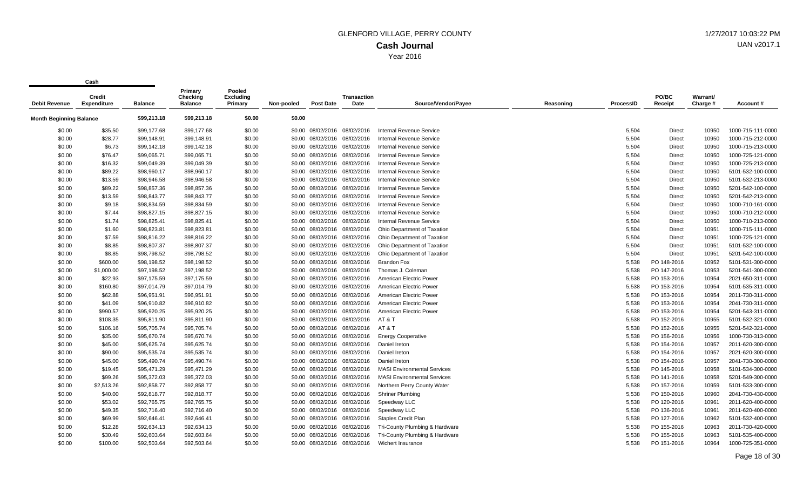**Cash**

 $\mathbf{r}$ 

| <b>Debit Revenue</b>           | Credit<br><b>Expenditure</b> | <b>Balance</b> | Primary<br>Checking<br><b>Balance</b> | Pooled<br>Excluding<br>Primary | Non-pooled | <b>Post Date</b>             | <b>Transaction</b><br>Date   | Source/Vendor/Payee                | Reasoning | ProcessID | PO/BC<br>Receipt | Warrant/<br>Charge # | Account#          |
|--------------------------------|------------------------------|----------------|---------------------------------------|--------------------------------|------------|------------------------------|------------------------------|------------------------------------|-----------|-----------|------------------|----------------------|-------------------|
| <b>Month Beginning Balance</b> |                              | \$99,213.18    | \$99,213.18                           | \$0.00                         | \$0.00     |                              |                              |                                    |           |           |                  |                      |                   |
| \$0.00                         | \$35.50                      | \$99,177.68    | \$99,177.68                           | \$0.00                         |            | \$0.00 08/02/2016 08/02/2016 |                              | Internal Revenue Service           |           | 5,504     | <b>Direct</b>    | 10950                | 1000-715-111-0000 |
| \$0.00                         | \$28.77                      | \$99,148.91    | \$99,148.91                           | \$0.00                         |            | \$0.00 08/02/2016 08/02/2016 |                              | <b>Internal Revenue Service</b>    |           | 5,504     | Direct           | 10950                | 1000-715-212-0000 |
| \$0.00                         | \$6.73                       | \$99,142.18    | \$99,142.18                           | \$0.00                         |            | \$0.00 08/02/2016 08/02/2016 |                              | Internal Revenue Service           |           | 5,504     | Direct           | 10950                | 1000-715-213-0000 |
| \$0.00                         | \$76.47                      | \$99,065.71    | \$99,065.71                           | \$0.00                         |            | \$0.00 08/02/2016 08/02/2016 |                              | Internal Revenue Service           |           | 5,504     | Direct           | 10950                | 1000-725-121-0000 |
| \$0.00                         | \$16.32                      | \$99,049.39    | \$99,049.39                           | \$0.00                         |            | \$0.00 08/02/2016 08/02/2016 |                              | <b>Internal Revenue Service</b>    |           | 5,504     | Direct           | 10950                | 1000-725-213-0000 |
| \$0.00                         | \$89.22                      | \$98,960.17    | \$98,960.17                           | \$0.00                         |            | \$0.00 08/02/2016 08/02/2016 |                              | <b>Internal Revenue Service</b>    |           | 5,504     | Direct           | 10950                | 5101-532-100-0000 |
| \$0.00                         | \$13.59                      | \$98,946.58    | \$98,946.58                           | \$0.00                         |            | \$0.00 08/02/2016 08/02/2016 |                              | <b>Internal Revenue Service</b>    |           | 5,504     | Direct           | 10950                | 5101-532-213-0000 |
| \$0.00                         | \$89.22                      | \$98,857.36    | \$98,857.36                           | \$0.00                         |            | \$0.00 08/02/2016 08/02/2016 |                              | <b>Internal Revenue Service</b>    |           | 5,504     | Direct           | 10950                | 5201-542-100-0000 |
| \$0.00                         | \$13.59                      | \$98,843.77    | \$98,843.77                           | \$0.00                         |            | \$0.00 08/02/2016 08/02/2016 |                              | Internal Revenue Service           |           | 5,504     | Direct           | 10950                | 5201-542-213-0000 |
| \$0.00                         | \$9.18                       | \$98,834.59    | \$98,834.59                           | \$0.00                         |            | \$0.00 08/02/2016 08/02/2016 |                              | Internal Revenue Service           |           | 5,504     | Direct           | 10950                | 1000-710-161-0000 |
| \$0.00                         | \$7.44                       | \$98,827.15    | \$98,827.15                           | \$0.00                         |            | \$0.00 08/02/2016 08/02/2016 |                              | Internal Revenue Service           |           | 5,504     | Direct           | 10950                | 1000-710-212-0000 |
| \$0.00                         | \$1.74                       | \$98,825.41    | \$98,825.41                           | \$0.00                         |            | \$0.00 08/02/2016 08/02/2016 |                              | <b>Internal Revenue Service</b>    |           | 5,504     | Direct           | 10950                | 1000-710-213-0000 |
| \$0.00                         | \$1.60                       | \$98,823.81    | \$98,823.81                           | \$0.00                         |            | \$0.00 08/02/2016 08/02/2016 |                              | Ohio Department of Taxation        |           | 5,504     | Direct           | 10951                | 1000-715-111-0000 |
| \$0.00                         | \$7.59                       | \$98,816.22    | \$98,816.22                           | \$0.00                         |            | \$0.00 08/02/2016 08/02/2016 |                              | Ohio Department of Taxation        |           | 5,504     | Direct           | 10951                | 1000-725-121-0000 |
| \$0.00                         | \$8.85                       | \$98,807.37    | \$98,807.37                           | \$0.00                         |            | \$0.00 08/02/2016 08/02/2016 |                              | Ohio Department of Taxation        |           | 5,504     | Direct           | 10951                | 5101-532-100-0000 |
| \$0.00                         | \$8.85                       | \$98,798.52    | \$98,798.52                           | \$0.00                         |            | \$0.00 08/02/2016 08/02/2016 |                              | Ohio Department of Taxation        |           | 5,504     | Direct           | 10951                | 5201-542-100-0000 |
| \$0.00                         | \$600.00                     | \$98,198.52    | \$98,198.52                           | \$0.00                         |            | \$0.00 08/02/2016 08/02/2016 |                              | <b>Brandon Fox</b>                 |           | 5,538     | PO 148-2016      | 10952                | 5101-531-300-0000 |
| \$0.00                         | \$1,000.00                   | \$97,198.52    | \$97,198.52                           | \$0.00                         |            | \$0.00 08/02/2016 08/02/2016 |                              | Thomas J. Coleman                  |           | 5,538     | PO 147-2016      | 10953                | 5201-541-300-0000 |
| \$0.00                         | \$22.93                      | \$97,175.59    | \$97,175.59                           | \$0.00                         |            | \$0.00 08/02/2016 08/02/2016 |                              | American Electric Power            |           | 5,538     | PO 153-2016      | 10954                | 2021-650-311-0000 |
| \$0.00                         | \$160.80                     | \$97,014.79    | \$97,014.79                           | \$0.00                         |            | \$0.00 08/02/2016 08/02/2016 |                              | American Electric Power            |           | 5,538     | PO 153-2016      | 10954                | 5101-535-311-0000 |
| \$0.00                         | \$62.88                      | \$96,951.91    | \$96,951.91                           | \$0.00                         |            | \$0.00 08/02/2016 08/02/2016 |                              | American Electric Power            |           | 5,538     | PO 153-2016      | 10954                | 2011-730-311-0000 |
| \$0.00                         | \$41.09                      | \$96,910.82    | \$96,910.82                           | \$0.00                         |            | \$0.00 08/02/2016 08/02/2016 |                              | American Electric Power            |           | 5,538     | PO 153-2016      | 10954                | 2041-730-311-0000 |
| \$0.00                         | \$990.57                     | \$95,920.25    | \$95,920.25                           | \$0.00                         |            |                              | \$0.00 08/02/2016 08/02/2016 | American Electric Power            |           | 5,538     | PO 153-2016      | 10954                | 5201-543-311-0000 |
| \$0.00                         | \$108.35                     | \$95,811.90    | \$95,811.90                           | \$0.00                         |            |                              | \$0.00 08/02/2016 08/02/2016 | AT & T                             |           | 5,538     | PO 152-2016      | 10955                | 5101-532-321-0000 |
| \$0.00                         | \$106.16                     | \$95,705.74    | \$95,705.74                           | \$0.00                         |            |                              | \$0.00 08/02/2016 08/02/2016 | AT & T                             |           | 5,538     | PO 152-2016      | 10955                | 5201-542-321-0000 |
| \$0.00                         | \$35.00                      | \$95,670.74    | \$95,670.74                           | \$0.00                         |            |                              | \$0.00 08/02/2016 08/02/2016 | <b>Energy Cooperative</b>          |           | 5,538     | PO 156-2016      | 10956                | 1000-730-313-0000 |
| \$0.00                         | \$45.00                      | \$95,625.74    | \$95,625.74                           | \$0.00                         |            |                              | \$0.00 08/02/2016 08/02/2016 | Daniel Ireton                      |           | 5,538     | PO 154-2016      | 10957                | 2011-620-300-0000 |
| \$0.00                         | \$90.00                      | \$95,535.74    | \$95,535.74                           | \$0.00                         |            | \$0.00 08/02/2016 08/02/2016 |                              | Daniel Ireton                      |           | 5,538     | PO 154-2016      | 10957                | 2021-620-300-0000 |
| \$0.00                         | \$45.00                      | \$95,490.74    | \$95,490.74                           | \$0.00                         |            | \$0.00 08/02/2016 08/02/2016 |                              | Daniel Ireton                      |           | 5,538     | PO 154-2016      | 10957                | 2041-730-300-0000 |
| \$0.00                         | \$19.45                      | \$95,471.29    | \$95,471.29                           | \$0.00                         |            | \$0.00 08/02/2016 08/02/2016 |                              | <b>MASI Environmental Services</b> |           | 5,538     | PO 145-2016      | 10958                | 5101-534-300-0000 |
| \$0.00                         | \$99.26                      | \$95,372.03    | \$95,372.03                           | \$0.00                         |            | \$0.00 08/02/2016 08/02/2016 |                              | <b>MASI Environmental Services</b> |           | 5,538     | PO 141-2016      | 10958                | 5201-549-300-0000 |
| \$0.00                         | \$2,513.26                   | \$92,858.77    | \$92,858.77                           | \$0.00                         |            | \$0.00 08/02/2016 08/02/2016 |                              | Northern Perry County Water        |           | 5,538     | PO 157-2016      | 10959                | 5101-533-300-0000 |
| \$0.00                         | \$40.00                      | \$92,818.77    | \$92,818.77                           | \$0.00                         |            | \$0.00 08/02/2016 08/02/2016 |                              | <b>Shriner Plumbing</b>            |           | 5,538     | PO 150-2016      | 10960                | 2041-730-430-0000 |
| \$0.00                         | \$53.02                      | \$92,765.75    | \$92,765.75                           | \$0.00                         |            |                              | \$0.00 08/02/2016 08/02/2016 | Speedway LLC                       |           | 5,538     | PO 120-2016      | 10961                | 2011-620-400-0000 |
| \$0.00                         | \$49.35                      | \$92,716.40    | \$92,716.40                           | \$0.00                         |            | \$0.00 08/02/2016 08/02/2016 |                              | Speedway LLC                       |           | 5,538     | PO 136-2016      | 10961                | 2011-620-400-0000 |
| \$0.00                         | \$69.99                      | \$92,646.41    | \$92,646.41                           | \$0.00                         |            | \$0.00 08/02/2016 08/02/2016 |                              | <b>Staples Credit Plan</b>         |           | 5,538     | PO 127-2016      | 10962                | 5101-532-400-0000 |
| \$0.00                         | \$12.28                      | \$92,634.13    | \$92,634.13                           | \$0.00                         |            | \$0.00 08/02/2016 08/02/2016 |                              | Tri-County Plumbing & Hardware     |           | 5,538     | PO 155-2016      | 10963                | 2011-730-420-0000 |
| \$0.00                         | \$30.49                      | \$92,603.64    | \$92,603.64                           | \$0.00                         |            | \$0.00 08/02/2016 08/02/2016 |                              | Tri-County Plumbing & Hardware     |           | 5,538     | PO 155-2016      | 10963                | 5101-535-400-0000 |
| \$0.00                         | \$100.00                     | \$92,503.64    | \$92,503.64                           | \$0.00                         |            |                              | \$0.00 08/02/2016 08/02/2016 | Wichert Insurance                  |           | 5,538     | PO 151-2016      | 10964                | 1000-725-351-0000 |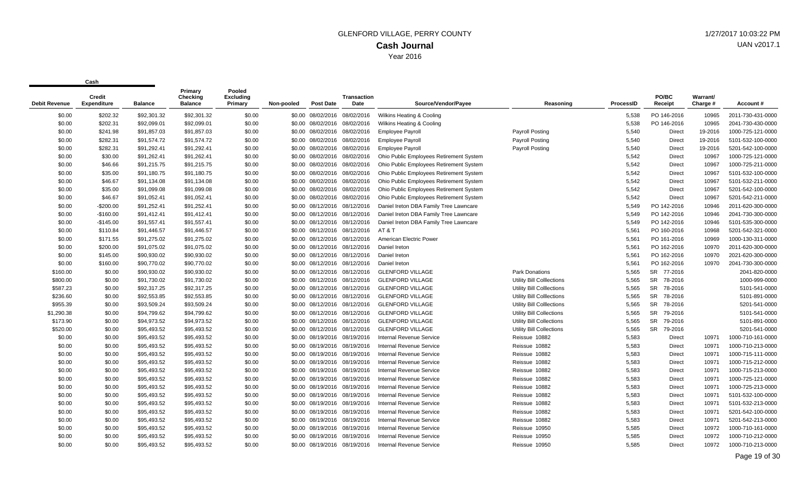| <b>Debit Revenue</b> | <b>Credit</b><br>Expenditure | <b>Balance</b> | Primary<br>Checking<br><b>Balance</b> | Pooled<br>Excludina<br>Primary | Non-pooled | <b>Post Date</b>             | <b>Transaction</b><br>Date | Source/Vendor/Pavee                     | Reasoning                        | ProcessID | PO/BC<br>Receipt     | Warrant/<br>Charge # | Account#          |
|----------------------|------------------------------|----------------|---------------------------------------|--------------------------------|------------|------------------------------|----------------------------|-----------------------------------------|----------------------------------|-----------|----------------------|----------------------|-------------------|
| \$0.00               | \$202.32                     | \$92,301.32    | \$92,301.32                           | \$0.00                         |            | \$0.00 08/02/2016 08/02/2016 |                            | Wilkins Heating & Cooling               |                                  | 5,538     | PO 146-2016          | 10965                | 2011-730-431-0000 |
| \$0.00               | \$202.31                     | \$92,099.01    | \$92,099.01                           | \$0.00                         |            | \$0.00 08/02/2016 08/02/2016 |                            | Wilkins Heating & Cooling               |                                  | 5,538     | PO 146-2016          | 10965                | 2041-730-430-0000 |
| \$0.00               | \$241.98                     | \$91,857.03    | \$91,857.03                           | \$0.00                         |            | \$0.00 08/02/2016 08/02/2016 |                            | <b>Employee Payroll</b>                 | Payroll Posting                  | 5,540     | <b>Direct</b>        | 19-2016              | 1000-725-121-0000 |
| \$0.00               | \$282.31                     | \$91.574.72    | \$91,574.72                           | \$0.00                         |            | \$0.00 08/02/2016 08/02/2016 |                            | <b>Employee Payroll</b>                 | Payroll Posting                  | 5,540     | <b>Direct</b>        | 19-2016              | 5101-532-100-0000 |
| \$0.00               | \$282.31                     | \$91,292.41    | \$91,292.41                           | \$0.00                         |            | \$0.00 08/02/2016 08/02/2016 |                            | <b>Employee Payroll</b>                 | <b>Payroll Posting</b>           | 5,540     | <b>Direct</b>        | 19-2016              | 5201-542-100-0000 |
| \$0.00               | \$30.00                      | \$91,262.41    | \$91,262.41                           | \$0.00                         |            | \$0.00 08/02/2016 08/02/2016 |                            | Ohio Public Employees Retirement System |                                  | 5,542     | Direct               | 10967                | 1000-725-121-0000 |
| \$0.00               | \$46.66                      | \$91,215.75    | \$91,215.75                           | \$0.00                         |            | \$0.00 08/02/2016 08/02/2016 |                            | Ohio Public Employees Retirement System |                                  | 5,542     | Direct               | 10967                | 1000-725-211-0000 |
| \$0.00               | \$35.00                      | \$91,180.75    | \$91,180.75                           | \$0.00                         |            | \$0.00 08/02/2016 08/02/2016 |                            | Ohio Public Employees Retirement System |                                  | 5,542     | Direct               | 10967                | 5101-532-100-0000 |
| \$0.00               | \$46.67                      | \$91,134.08    | \$91,134.08                           | \$0.00                         |            | \$0.00 08/02/2016 08/02/2016 |                            | Ohio Public Employees Retirement System |                                  | 5,542     | Direct               | 10967                | 5101-532-211-0000 |
| \$0.00               | \$35.00                      | \$91,099.08    | \$91,099.08                           | \$0.00                         |            | \$0.00 08/02/2016 08/02/2016 |                            | Ohio Public Employees Retirement System |                                  | 5,542     | Direct               | 10967                | 5201-542-100-0000 |
| \$0.00               | \$46.67                      | \$91,052.41    | \$91,052.41                           | \$0.00                         |            | \$0.00 08/02/2016 08/02/2016 |                            | Ohio Public Employees Retirement System |                                  | 5,542     | <b>Direct</b>        | 10967                | 5201-542-211-0000 |
| \$0.00               | $-$200.00$                   | \$91,252.41    | \$91,252.41                           | \$0.00                         |            | \$0.00 08/12/2016 08/12/2016 |                            | Daniel Ireton DBA Family Tree Lawncare  |                                  | 5,549     | PO 142-2016          | 10946                | 2011-620-300-0000 |
| \$0.00               | $-$160.00$                   | \$91,412.41    | \$91,412.41                           | \$0.00                         |            | \$0.00 08/12/2016 08/12/2016 |                            | Daniel Ireton DBA Family Tree Lawncare  |                                  | 5,549     | PO 142-2016          | 10946                | 2041-730-300-0000 |
| \$0.00               | $-$145.00$                   | \$91,557.41    | \$91,557.41                           | \$0.00                         |            | \$0.00 08/12/2016 08/12/2016 |                            | Daniel Ireton DBA Family Tree Lawncare  |                                  | 5,549     | PO 142-2016          | 10946                | 5101-535-300-0000 |
| \$0.00               | \$110.84                     | \$91,446.57    | \$91,446.57                           | \$0.00                         |            | \$0.00 08/12/2016 08/12/2016 |                            | AT&T                                    |                                  | 5,561     | PO 160-2016          | 10968                | 5201-542-321-0000 |
| \$0.00               | \$171.55                     | \$91,275.02    | \$91,275.02                           | \$0.00                         |            | \$0.00 08/12/2016 08/12/2016 |                            | American Electric Power                 |                                  | 5,561     | PO 161-2016          | 10969                | 1000-130-311-0000 |
| \$0.00               | \$200.00                     | \$91,075.02    | \$91,075.02                           | \$0.00                         |            | \$0.00 08/12/2016 08/12/2016 |                            | Daniel Ireton                           |                                  | 5,561     | PO 162-2016          | 10970                | 2011-620-300-0000 |
| \$0.00               | \$145.00                     | \$90,930.02    | \$90,930.02                           | \$0.00                         |            | \$0.00 08/12/2016 08/12/2016 |                            | Daniel Ireton                           |                                  | 5,561     | PO 162-2016          | 10970                | 2021-620-300-0000 |
| \$0.00               | \$160.00                     | \$90,770.02    | \$90,770.02                           | \$0.00                         |            | \$0.00 08/12/2016 08/12/2016 |                            | Daniel Ireton                           |                                  | 5,561     | PO 162-2016          | 10970                | 2041-730-300-0000 |
| \$160.00             | \$0.00                       | \$90,930.02    | \$90,930.02                           | \$0.00                         |            | \$0.00 08/12/2016 08/12/2016 |                            | <b>GLENFORD VILLAGE</b>                 | <b>Park Donations</b>            | 5.565     | SR 77-2016           |                      | 2041-820-0000     |
| \$800.00             | \$0.00                       | \$91,730.02    | \$91,730.02                           | \$0.00                         |            | \$0.00 08/12/2016 08/12/2016 |                            | <b>GLENFORD VILLAGE</b>                 | <b>Utility Bill Colllections</b> | 5,565     | SR 78-2016           |                      | 1000-999-0000     |
| \$587.23             | \$0.00                       | \$92,317.25    | \$92,317.25                           | \$0.00                         |            | \$0.00 08/12/2016 08/12/2016 |                            | <b>GLENFORD VILLAGE</b>                 | <b>Utility Bill Colllections</b> | 5.565     | SR 78-2016           |                      | 5101-541-0000     |
| \$236.60             | \$0.00                       | \$92.553.85    | \$92,553.85                           | \$0.00                         |            | \$0.00 08/12/2016 08/12/2016 |                            | <b>GLENFORD VILLAGE</b>                 | <b>Utility Bill Colllections</b> | 5,565     | <b>SR</b><br>78-2016 |                      | 5101-891-0000     |
| \$955.39             | \$0.00                       | \$93,509.24    | \$93,509.24                           | \$0.00                         |            | \$0.00 08/12/2016 08/12/2016 |                            | <b>GLENFORD VILLAGE</b>                 | <b>Utility Bill Colllections</b> | 5,565     | <b>SR</b><br>78-2016 |                      | 5201-541-0000     |
| \$1,290.38           | \$0.00                       | \$94,799.62    | \$94,799.62                           | \$0.00                         |            | \$0.00 08/12/2016 08/12/2016 |                            | <b>GLENFORD VILLAGE</b>                 | <b>Utility Bill Collections</b>  | 5,565     | SR 79-2016           |                      | 5101-541-0000     |
| \$173.90             | \$0.00                       | \$94,973.52    | \$94,973.52                           | \$0.00                         |            | \$0.00 08/12/2016 08/12/2016 |                            | <b>GLENFORD VILLAGE</b>                 | Utility Bill Collections         | 5,565     | <b>SR</b><br>79-2016 |                      | 5101-891-0000     |
| \$520.00             | \$0.00                       | \$95,493.52    | \$95,493.52                           | \$0.00                         |            | \$0.00 08/12/2016 08/12/2016 |                            | <b>GLENFORD VILLAGE</b>                 | <b>Utility Bill Collections</b>  | 5,565     | <b>SR</b><br>79-2016 |                      | 5201-541-0000     |
| \$0.00               | \$0.00                       | \$95,493.52    | \$95,493.52                           | \$0.00                         |            | \$0.00 08/19/2016 08/19/2016 |                            | Internal Revenue Service                | Reissue 10882                    | 5,583     | <b>Direct</b>        | 10971                | 1000-710-161-0000 |
| \$0.00               | \$0.00                       | \$95,493.52    | \$95,493.52                           | \$0.00                         |            | \$0.00 08/19/2016 08/19/2016 |                            | Internal Revenue Service                | Reissue 10882                    | 5,583     | <b>Direct</b>        | 10971                | 1000-710-213-0000 |
| \$0.00               | \$0.00                       | \$95,493.52    | \$95,493.52                           | \$0.00                         |            | \$0.00 08/19/2016 08/19/2016 |                            | Internal Revenue Service                | Reissue 10882                    | 5,583     | Direct               | 10971                | 1000-715-111-0000 |
| \$0.00               | \$0.00                       | \$95,493.52    | \$95,493.52                           | \$0.00                         |            | \$0.00 08/19/2016 08/19/2016 |                            | <b>Internal Revenue Service</b>         | Reissue 10882                    | 5,583     | Direct               | 10971                | 1000-715-212-0000 |
| \$0.00               | \$0.00                       | \$95,493.52    | \$95,493.52                           | \$0.00                         |            | \$0.00 08/19/2016 08/19/2016 |                            | <b>Internal Revenue Service</b>         | Reissue 10882                    | 5,583     | Direct               | 10971                | 1000-715-213-0000 |
| \$0.00               | \$0.00                       | \$95,493.52    | \$95,493.52                           | \$0.00                         |            | \$0.00 08/19/2016 08/19/2016 |                            | Internal Revenue Service                | Reissue 10882                    | 5,583     | Direct               | 10971                | 1000-725-121-0000 |
| \$0.00               | \$0.00                       | \$95,493.52    | \$95,493.52                           | \$0.00                         |            | \$0.00 08/19/2016 08/19/2016 |                            | Internal Revenue Service                | Reissue 10882                    | 5,583     | Direct               | 10971                | 1000-725-213-0000 |
| \$0.00               | \$0.00                       | \$95,493.52    | \$95,493.52                           | \$0.00                         |            | \$0.00 08/19/2016 08/19/2016 |                            | Internal Revenue Service                | Reissue 10882                    | 5,583     | <b>Direct</b>        | 10971                | 5101-532-100-0000 |
| \$0.00               | \$0.00                       | \$95,493.52    | \$95,493.52                           | \$0.00                         |            | \$0.00 08/19/2016 08/19/2016 |                            | Internal Revenue Service                | Reissue 10882                    | 5,583     | Direct               | 10971                | 5101-532-213-0000 |
| \$0.00               | \$0.00                       | \$95,493.52    | \$95,493.52                           | \$0.00                         |            | \$0.00 08/19/2016 08/19/2016 |                            | Internal Revenue Service                | Reissue 10882                    | 5,583     | Direct               | 10971                | 5201-542-100-0000 |
| \$0.00               | \$0.00                       | \$95,493.52    | \$95,493.52                           | \$0.00                         |            | \$0.00 08/19/2016 08/19/2016 |                            | <b>Internal Revenue Service</b>         | Reissue 10882                    | 5,583     | Direct               | 10971                | 5201-542-213-0000 |
| \$0.00               | \$0.00                       | \$95,493.52    | \$95,493.52                           | \$0.00                         |            | \$0.00 08/19/2016 08/19/2016 |                            | Internal Revenue Service                | Reissue 10950                    | 5,585     | Direct               | 10972                | 1000-710-161-0000 |
| \$0.00               | \$0.00                       | \$95,493.52    | \$95,493.52                           | \$0.00                         |            | \$0.00 08/19/2016 08/19/2016 |                            | <b>Internal Revenue Service</b>         | Reissue 10950                    | 5,585     | Direct               | 10972                | 1000-710-212-0000 |
| \$0.00               | \$0.00                       | \$95,493.52    | \$95,493.52                           | \$0.00                         |            | \$0.00 08/19/2016 08/19/2016 |                            | <b>Internal Revenue Service</b>         | Reissue 10950                    | 5,585     | <b>Direct</b>        | 10972                | 1000-710-213-0000 |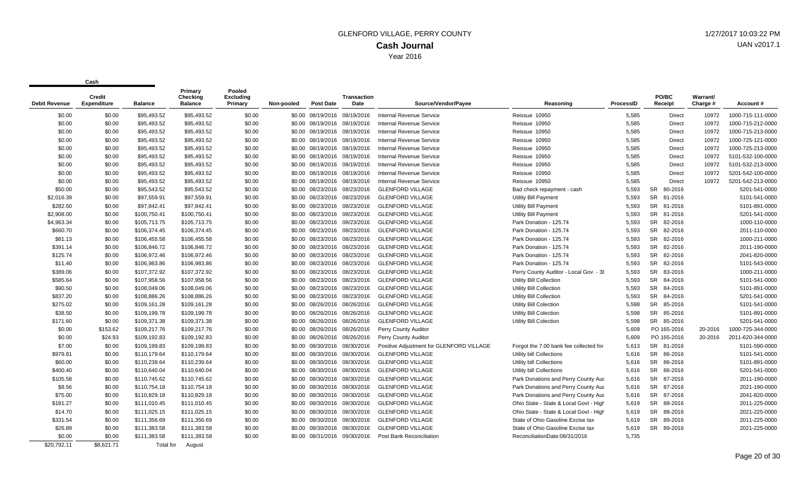| <b>Debit Revenue</b> | Credit<br><b>Expenditure</b> | <b>Balance</b> | Primary<br>Checking<br><b>Balance</b> | Pooled<br><b>Excluding</b><br>Primary | Non-pooled | <b>Post Date</b>             | <b>Transaction</b><br>Date | Source/Vendor/Payee                      | Reasoning                              | ProcessID | PO/BC<br>Receipt     | Warrant/<br>Charge # | Account#          |
|----------------------|------------------------------|----------------|---------------------------------------|---------------------------------------|------------|------------------------------|----------------------------|------------------------------------------|----------------------------------------|-----------|----------------------|----------------------|-------------------|
|                      |                              |                |                                       |                                       |            |                              |                            |                                          |                                        |           |                      |                      |                   |
| \$0.00               | \$0.00                       | \$95,493.52    | \$95,493.52                           | \$0.00                                |            | \$0.00 08/19/2016 08/19/2016 |                            | <b>Internal Revenue Service</b>          | Reissue 10950                          | 5,585     | Direct               | 10972                | 1000-715-111-0000 |
| \$0.00               | \$0.00                       | \$95,493.52    | \$95,493.52                           | \$0.00                                |            | \$0.00 08/19/2016 08/19/2016 |                            | <b>Internal Revenue Service</b>          | Reissue 10950                          | 5,585     | Direct               | 10972                | 1000-715-212-0000 |
| \$0.00               | \$0.00                       | \$95,493.52    | \$95,493.52                           | \$0.00                                |            | \$0.00 08/19/2016 08/19/2016 |                            | Internal Revenue Service                 | Reissue 10950                          | 5,585     | Direct               | 10972                | 1000-715-213-0000 |
| \$0.00               | \$0.00                       | \$95,493.52    | \$95,493.52                           | \$0.00                                |            | \$0.00 08/19/2016 08/19/2016 |                            | Internal Revenue Service                 | Reissue 10950                          | 5,585     | Direct               | 10972                | 1000-725-121-0000 |
| \$0.00               | \$0.00                       | \$95,493.52    | \$95,493.52                           | \$0.00                                |            | \$0.00 08/19/2016 08/19/2016 |                            | <b>Internal Revenue Service</b>          | Reissue 10950                          | 5,585     | Direct               | 10972                | 1000-725-213-0000 |
| \$0.00               | \$0.00                       | \$95,493.52    | \$95,493.52                           | \$0.00                                |            | \$0.00 08/19/2016 08/19/2016 |                            | <b>Internal Revenue Service</b>          | Reissue 10950                          | 5,585     | Direct               | 10972                | 5101-532-100-0000 |
| \$0.00               | \$0.00                       | \$95,493.52    | \$95,493.52                           | \$0.00                                |            | \$0.00 08/19/2016 08/19/2016 |                            | <b>Internal Revenue Service</b>          | Reissue 10950                          | 5,585     | Direct               | 10972                | 5101-532-213-0000 |
| \$0.00               | \$0.00                       | \$95,493.52    | \$95,493.52                           | \$0.00                                |            | \$0.00 08/19/2016 08/19/2016 |                            | <b>Internal Revenue Service</b>          | Reissue 10950                          | 5,585     | Direct               | 10972                | 5201-542-100-0000 |
| \$0.00               | \$0.00                       | \$95,493.52    | \$95,493.52                           | \$0.00                                |            | \$0.00 08/19/2016 08/19/2016 |                            | <b>Internal Revenue Service</b>          | Reissue 10950                          | 5,585     | <b>Direct</b>        | 10972                | 5201-542-213-0000 |
| \$50.00              | \$0.00                       | \$95,543.52    | \$95,543.52                           | \$0.00                                |            | \$0.00 08/23/2016 08/23/2016 |                            | <b>GLENFORD VILLAGE</b>                  | Bad check repayment - cash             | 5,593     | 80-2016<br><b>SR</b> |                      | 5201-541-0000     |
| \$2,016.39           | \$0.00                       | \$97,559.91    | \$97,559.91                           | \$0.00                                |            | \$0.00 08/23/2016 08/23/2016 |                            | <b>GLENFORD VILLAGE</b>                  | Utility Bill Payment                   | 5,593     | SR 81-2016           |                      | 5101-541-0000     |
| \$282.50             | \$0.00                       | \$97,842.41    | \$97,842.41                           | \$0.00                                |            | \$0.00 08/23/2016 08/23/2016 |                            | <b>GLENFORD VILLAGE</b>                  | <b>Utility Bill Payment</b>            | 5,593     | SR 81-2016           |                      | 5101-891-0000     |
| \$2,908.00           | \$0.00                       | \$100,750.41   | \$100,750.41                          | \$0.00                                |            | \$0.00 08/23/2016 08/23/2016 |                            | <b>GLENFORD VILLAGE</b>                  | <b>Utility Bill Payment</b>            | 5,593     | SR 81-2016           |                      | 5201-541-0000     |
| \$4,963.34           | \$0.00                       | \$105,713.75   | \$105,713.75                          | \$0.00                                |            | \$0.00 08/23/2016 08/23/2016 |                            | <b>GLENFORD VILLAGE</b>                  | Park Donation - 125.74                 | 5,593     | SR 82-2016           |                      | 1000-110-0000     |
| \$660.70             | \$0.00                       | \$106,374.45   | \$106,374.45                          | \$0.00                                |            | \$0.00 08/23/2016 08/23/2016 |                            | <b>GLENFORD VILLAGE</b>                  | Park Donation - 125.74                 | 5,593     | 82-2016<br><b>SR</b> |                      | 2011-110-0000     |
| \$81.13              | \$0.00                       | \$106,455.58   | \$106,455.58                          | \$0.00                                |            | \$0.00 08/23/2016 08/23/2016 |                            | <b>GLENFORD VILLAGE</b>                  | Park Donation - 125.74                 | 5,593     | SR 82-2016           |                      | 1000-211-0000     |
| \$391.14             | \$0.00                       | \$106,846.72   | \$106,846.72                          | \$0.00                                |            | \$0.00 08/23/2016 08/23/2016 |                            | <b>GLENFORD VILLAGE</b>                  | Park Donation - 125.74                 | 5,593     | SR 82-2016           |                      | 2011-190-0000     |
| \$125.74             | \$0.00                       | \$106,972.46   | \$106,972.46                          | \$0.00                                |            | \$0.00 08/23/2016 08/23/2016 |                            | <b>GLENFORD VILLAGE</b>                  | Park Donation - 125.74                 | 5,593     | SR 82-2016           |                      | 2041-820-0000     |
| \$11.40              | \$0.00                       | \$106,983.86   | \$106,983.86                          | \$0.00                                |            | \$0.00 08/23/2016 08/23/2016 |                            | <b>GLENFORD VILLAGE</b>                  | Park Donation - 125.74                 | 5,593     | SR 82-2016           |                      | 5101-543-0000     |
| \$389.06             | \$0.00                       | \$107,372.92   | \$107,372.92                          | \$0.00                                |            | \$0.00 08/23/2016 08/23/2016 |                            | <b>GLENFORD VILLAGE</b>                  | Perry County Auditor - Local Gov. - 38 | 5,593     | SR 83-2016           |                      | 1000-211-0000     |
| \$585.64             | \$0.00                       | \$107,958.56   | \$107,958.56                          | \$0.00                                |            | \$0.00 08/23/2016 08/23/2016 |                            | <b>GLENFORD VILLAGE</b>                  | Utility Bill Collection                | 5,593     | <b>SR</b><br>84-2016 |                      | 5101-541-0000     |
| \$90.50              | \$0.00                       | \$108,049.06   | \$108,049.06                          | \$0.00                                |            | \$0.00 08/23/2016 08/23/2016 |                            | <b>GLENFORD VILLAGE</b>                  | <b>Utility Bill Collection</b>         | 5,593     | <b>SR</b><br>84-2016 |                      | 5101-891-0000     |
| \$837.20             | \$0.00                       | \$108,886.26   | \$108,886.26                          | \$0.00                                |            | \$0.00 08/23/2016 08/23/2016 |                            | <b>GLENFORD VILLAGE</b>                  | <b>Utility Bill Collection</b>         | 5,593     | SR 84-2016           |                      | 5201-541-0000     |
| \$275.02             | \$0.00                       | \$109,161.28   | \$109,161.28                          | \$0.00                                |            | \$0.00 08/26/2016 08/26/2016 |                            | <b>GLENFORD VILLAGE</b>                  | <b>Utility Bill Colection</b>          | 5,598     | SR 85-2016           |                      | 5101-541-0000     |
| \$38.50              | \$0.00                       | \$109.199.78   | \$109,199.78                          | \$0.00                                |            | \$0.00 08/26/2016 08/26/2016 |                            | <b>GLENFORD VILLAGE</b>                  | <b>Utility Bill Colection</b>          | 5,598     | SR 85-2016           |                      | 5101-891-0000     |
| \$171.60             | \$0.00                       | \$109,371.38   | \$109,371.38                          | \$0.00                                |            | \$0.00 08/26/2016 08/26/2016 |                            | <b>GLENFORD VILLAGE</b>                  | <b>Utility Bill Colection</b>          | 5,598     | SR 85-2016           |                      | 5201-541-0000     |
| \$0.00               | \$153.62                     | \$109,217.76   | \$109,217.76                          | \$0.00                                |            | \$0.00 08/26/2016 08/26/2016 |                            | Perry County Auditor                     |                                        | 5,609     | PO 165-2016          | 20-2016              | 1000-725-344-0000 |
| \$0.00               | \$24.93                      | \$109,192.83   | \$109,192.83                          | \$0.00                                |            | \$0.00 08/26/2016 08/26/2016 |                            | Perry County Auditor                     |                                        | 5,609     | PO 165-2016          | 20-2016              | 2011-620-344-0000 |
| \$7.00               | \$0.00                       | \$109,199.83   | \$109,199.83                          | \$0.00                                |            | \$0.00 08/30/2016 08/30/2016 |                            | Positive Adjustment for GLENFORD VILLAGE | Forgot the 7.00 bank fee collected for | 5,613     | SR 81-2016           |                      | 5101-590-0000     |
| \$979.81             | \$0.00                       | \$110.179.64   | \$110,179.64                          | \$0.00                                |            | \$0.00 08/30/2016 08/30/2016 |                            | <b>GLENFORD VILLAGE</b>                  | Utility bill Collections               | 5,616     | SR 86-2016           |                      | 5101-541-0000     |
| \$60.00              | \$0.00                       | \$110,239.64   | \$110,239.64                          | \$0.00                                |            | \$0.00 08/30/2016 08/30/2016 |                            | <b>GLENFORD VILLAGE</b>                  | Utility bill Collections               | 5,616     | <b>SR</b><br>86-2016 |                      | 5101-891-0000     |
| \$400.40             | \$0.00                       | \$110.640.04   | \$110,640.04                          | \$0.00                                |            | \$0.00 08/30/2016 08/30/2016 |                            | <b>GLENFORD VILLAGE</b>                  | Utility bill Collections               | 5,616     | <b>SR</b><br>86-2016 |                      | 5201-541-0000     |
| \$105.58             | \$0.00                       | \$110.745.62   | \$110,745.62                          | \$0.00                                |            | \$0.00 08/30/2016 08/30/2016 |                            | <b>GLENFORD VILLAGE</b>                  | Park Donations and Perry County Auc    | 5,616     | SR 87-2016           |                      | 2011-190-0000     |
| \$8.56               | \$0.00                       | \$110.754.18   | \$110,754.18                          | \$0.00                                |            | \$0.00 08/30/2016 08/30/2016 |                            | <b>GLENFORD VILLAGE</b>                  | Park Donations and Perry County Auc    | 5.616     | SR 87-2016           |                      | 2021-190-0000     |
| \$75.00              | \$0.00                       | \$110,829.18   | \$110,829.18                          | \$0.00                                |            | \$0.00 08/30/2016 08/30/2016 |                            | <b>GLENFORD VILLAGE</b>                  | Park Donations and Perry County Auc    | 5,616     | SR 87-2016           |                      | 2041-820-0000     |
| \$181.27             | \$0.00                       | \$111.010.45   | \$111,010.45                          | \$0.00                                |            | \$0.00 08/30/2016 08/30/2016 |                            | <b>GLENFORD VILLAGE</b>                  | Ohio State - State & Local Govt - High | 5,619     | <b>SR</b><br>88-2016 |                      | 2011-225-0000     |
| \$14.70              | \$0.00                       | \$111,025.15   | \$111,025.15                          | \$0.00                                |            | \$0.00 08/30/2016 08/30/2016 |                            | <b>GLENFORD VILLAGE</b>                  | Ohio State - State & Local Govt - High | 5.619     | SR 88-2016           |                      | 2021-225-0000     |
| \$331.54             | \$0.00                       | \$111.356.69   | \$111,356.69                          | \$0.00                                |            | \$0.00 08/30/2016 08/30/2016 |                            | <b>GLENFORD VILLAGE</b>                  | State of Ohio Gasoline Excise tax      | 5,619     | SR 89-2016           |                      | 2011-225-0000     |
| \$26.89              | \$0.00                       | \$111.383.58   | \$111,383.58                          | \$0.00                                |            | \$0.00 08/30/2016 08/30/2016 |                            | <b>GLENFORD VILLAGE</b>                  | State of Ohio Gasoline Excise tax      | 5,619     | SR 89-2016           |                      | 2021-225-0000     |
| \$0.00               | \$0.00                       | \$111.383.58   | \$111.383.58                          | \$0.00                                |            | \$0.00 08/31/2016 09/30/2016 |                            | Post Bank Reconciliation                 | ReconciliationDate:08/31/2016          | 5.735     |                      |                      |                   |
| \$20.792.11          | \$8.621.71                   | Total for      | August                                |                                       |            |                              |                            |                                          |                                        |           |                      |                      |                   |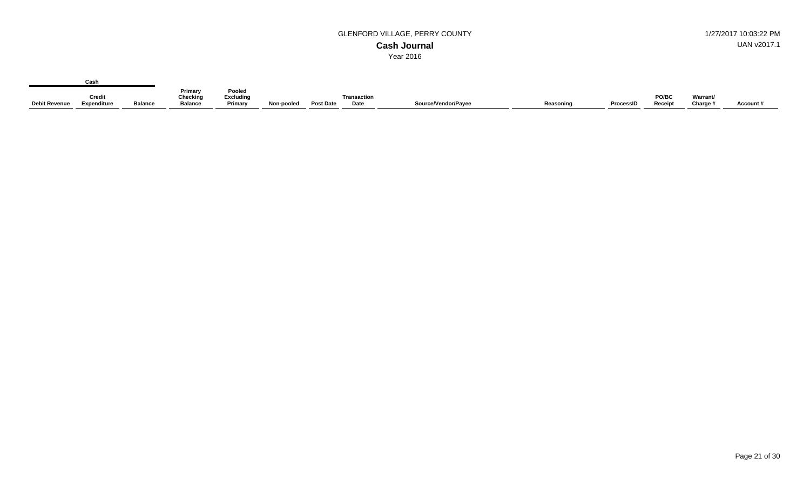**Primary Checking Debit Revenue Balance Expenditure Balance Credit Pooled Excluding Primary Transaction Non-pooled Post Date Date Source/Vendor/Payee Reasoning ProcessID PO/BC Receipt Warrant/ Charge # Account # Cash**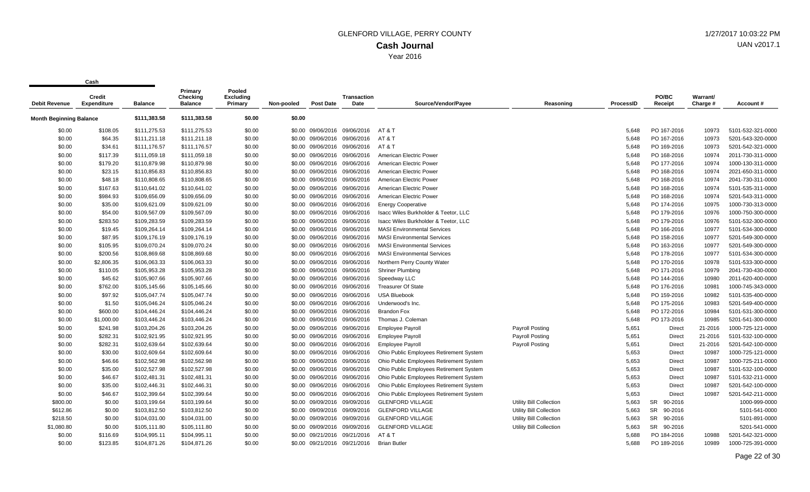| <b>Debit Revenue</b>           | <b>Credit</b><br><b>Expenditure</b> | <b>Balance</b> | Primary<br><b>Checking</b><br><b>Balance</b> | Pooled<br><b>Excluding</b><br>Primary | Non-pooled | <b>Post Date</b>             | <b>Transaction</b><br>Date   | Source/Vendor/Payee                     | Reasoning                      | <b>ProcessID</b> | PO/BC<br>Receipt | Warrant/<br>Charge # | Account #         |
|--------------------------------|-------------------------------------|----------------|----------------------------------------------|---------------------------------------|------------|------------------------------|------------------------------|-----------------------------------------|--------------------------------|------------------|------------------|----------------------|-------------------|
| <b>Month Beginning Balance</b> |                                     | \$111,383.58   | \$111,383.58                                 | \$0.00                                | \$0.00     |                              |                              |                                         |                                |                  |                  |                      |                   |
| \$0.00                         | \$108.05                            | \$111,275.53   | \$111,275.53                                 | \$0.00                                |            |                              | \$0.00 09/06/2016 09/06/2016 | AT & T                                  |                                | 5.648            | PO 167-2016      | 10973                | 5101-532-321-0000 |
| \$0.00                         | \$64.35                             | \$111,211.18   | \$111,211.18                                 | \$0.00                                | \$0.00     | 09/06/2016                   | 09/06/2016                   | AT & T                                  |                                | 5,648            | PO 167-2016      | 10973                | 5201-543-320-0000 |
| \$0.00                         | \$34.61                             | \$111,176.57   | \$111,176.57                                 | \$0.00                                |            |                              | \$0.00 09/06/2016 09/06/2016 | AT & T                                  |                                | 5,648            | PO 169-2016      | 10973                | 5201-542-321-0000 |
| \$0.00                         | \$117.39                            | \$111,059.18   | \$111,059.18                                 | \$0.00                                |            | \$0.00 09/06/2016            | 09/06/2016                   | American Electric Power                 |                                | 5,648            | PO 168-2016      | 10974                | 2011-730-311-0000 |
| \$0.00                         | \$179.20                            | \$110,879.98   | \$110,879.98                                 | \$0.00                                |            | \$0.00 09/06/2016            | 09/06/2016                   | American Electric Power                 |                                | 5,648            | PO 177-2016      | 10974                | 1000-130-311-0000 |
| \$0.00                         | \$23.15                             | \$110,856.83   | \$110,856.83                                 | \$0.00                                |            | \$0.00 09/06/2016            | 09/06/2016                   | American Electric Power                 |                                | 5,648            | PO 168-2016      | 10974                | 2021-650-311-0000 |
| \$0.00                         | \$48.18                             | \$110,808.65   | \$110,808.65                                 | \$0.00                                |            |                              | \$0.00 09/06/2016 09/06/2016 | American Electric Power                 |                                | 5,648            | PO 168-2016      | 10974                | 2041-730-311-0000 |
| \$0.00                         | \$167.63                            | \$110,641.02   | \$110,641.02                                 | \$0.00                                |            | \$0.00 09/06/2016            | 09/06/2016                   | American Electric Power                 |                                | 5,648            | PO 168-2016      | 10974                | 5101-535-311-0000 |
| \$0.00                         | \$984.93                            | \$109,656.09   | \$109,656.09                                 | \$0.00                                |            | \$0.00 09/06/2016            | 09/06/2016                   | American Electric Power                 |                                | 5,648            | PO 168-2016      | 10974                | 5201-543-311-0000 |
| \$0.00                         | \$35.00                             | \$109,621.09   | \$109,621.09                                 | \$0.00                                |            |                              | \$0.00 09/06/2016 09/06/2016 | <b>Energy Cooperative</b>               |                                | 5,648            | PO 174-2016      | 10975                | 1000-730-313-0000 |
| \$0.00                         | \$54.00                             | \$109,567.09   | \$109,567.09                                 | \$0.00                                |            | \$0.00 09/06/2016            | 09/06/2016                   | Isacc Wiles Burkholder & Teetor, LLC    |                                | 5,648            | PO 179-2016      | 10976                | 1000-750-300-0000 |
| \$0.00                         | \$283.50                            | \$109,283.59   | \$109,283.59                                 | \$0.00                                |            |                              | \$0.00 09/06/2016 09/06/2016 | Isacc Wiles Burkholder & Teetor, LLC    |                                | 5,648            | PO 179-2016      | 10976                | 5101-532-300-0000 |
| \$0.00                         | \$19.45                             | \$109,264.14   | \$109,264.14                                 | \$0.00                                |            | \$0.00 09/06/2016            | 09/06/2016                   | <b>MASI Environmental Services</b>      |                                | 5,648            | PO 166-2016      | 10977                | 5101-534-300-0000 |
| \$0.00                         | \$87.95                             | \$109,176.19   | \$109,176.19                                 | \$0.00                                |            |                              | \$0.00 09/06/2016 09/06/2016 | <b>MASI Environmental Services</b>      |                                | 5,648            | PO 158-2016      | 10977                | 5201-549-300-0000 |
| \$0.00                         | \$105.95                            | \$109,070.24   | \$109,070.24                                 | \$0.00                                |            | \$0.00 09/06/2016            | 09/06/2016                   | <b>MASI Environmental Services</b>      |                                | 5,648            | PO 163-2016      | 10977                | 5201-549-300-0000 |
| \$0.00                         | \$200.56                            | \$108,869.68   | \$108,869.68                                 | \$0.00                                | \$0.00     | 09/06/2016                   | 09/06/2016                   | <b>MASI Environmental Services</b>      |                                | 5,648            | PO 178-2016      | 10977                | 5101-534-300-0000 |
| \$0.00                         | \$2,806.35                          | \$106,063.33   | \$106,063.33                                 | \$0.00                                |            | \$0.00 09/06/2016 09/06/2016 |                              | Northern Perry County Water             |                                | 5,648            | PO 170-2016      | 10978                | 5101-533-300-0000 |
| \$0.00                         | \$110.05                            | \$105,953.28   | \$105,953.28                                 | \$0.00                                |            | \$0.00 09/06/2016            | 09/06/2016                   | <b>Shriner Plumbing</b>                 |                                | 5,648            | PO 171-2016      | 10979                | 2041-730-430-0000 |
| \$0.00                         | \$45.62                             | \$105,907.66   | \$105,907.66                                 | \$0.00                                |            |                              | \$0.00 09/06/2016 09/06/2016 | Speedway LLC                            |                                | 5,648            | PO 144-2016      | 10980                | 2011-620-400-0000 |
| \$0.00                         | \$762.00                            | \$105,145.66   | \$105,145.66                                 | \$0.00                                |            | \$0.00 09/06/2016            | 09/06/2016                   | <b>Treasurer Of State</b>               |                                | 5,648            | PO 176-2016      | 10981                | 1000-745-343-0000 |
| \$0.00                         | \$97.92                             | \$105,047.74   | \$105,047.74                                 | \$0.00                                |            |                              | \$0.00 09/06/2016 09/06/2016 | <b>USA Bluebook</b>                     |                                | 5,648            | PO 159-2016      | 10982                | 5101-535-400-0000 |
| \$0.00                         | \$1.50                              | \$105,046.24   | \$105,046.24                                 | \$0.00                                |            |                              | \$0.00 09/06/2016 09/06/2016 | Underwood's Inc.                        |                                | 5,648            | PO 175-2016      | 10983                | 5201-549-400-0000 |
| \$0.00                         | \$600.00                            | \$104,446.24   | \$104,446.24                                 | \$0.00                                |            | \$0.00 09/06/2016            | 09/06/2016                   | <b>Brandon Fox</b>                      |                                | 5,648            | PO 172-2016      | 10984                | 5101-531-300-0000 |
| \$0.00                         | \$1,000.00                          | \$103,446.24   | \$103,446.24                                 | \$0.00                                |            |                              | \$0.00 09/06/2016 09/06/2016 | Thomas J. Coleman                       |                                | 5,648            | PO 173-2016      | 10985                | 5201-541-300-0000 |
| \$0.00                         | \$241.98                            | \$103,204.26   | \$103,204.26                                 | \$0.00                                |            | \$0.00 09/06/2016            | 09/06/2016                   | <b>Employee Payroll</b>                 | <b>Payroll Posting</b>         | 5,651            | Direct           | 21-2016              | 1000-725-121-0000 |
| \$0.00                         | \$282.31                            | \$102,921.95   | \$102,921.95                                 | \$0.00                                |            |                              | \$0.00 09/06/2016 09/06/2016 | <b>Employee Payroll</b>                 | Payroll Posting                | 5,651            | Direct           | 21-2016              | 5101-532-100-0000 |
| \$0.00                         | \$282.31                            | \$102,639.64   | \$102,639.64                                 | \$0.00                                |            | \$0.00 09/06/2016            | 09/06/2016                   | <b>Employee Payroll</b>                 | Payroll Posting                | 5,651            | Direct           | 21-2016              | 5201-542-100-0000 |
| \$0.00                         | \$30.00                             | \$102,609.64   | \$102,609.64                                 | \$0.00                                |            |                              | \$0.00 09/06/2016 09/06/2016 | Ohio Public Employees Retirement System |                                | 5,653            | Direct           | 10987                | 1000-725-121-0000 |
| \$0.00                         | \$46.66                             | \$102,562.98   | \$102,562.98                                 | \$0.00                                |            |                              | \$0.00 09/06/2016 09/06/2016 | Ohio Public Employees Retirement System |                                | 5,653            | Direct           | 10987                | 1000-725-211-0000 |
| \$0.00                         | \$35.00                             | \$102,527.98   | \$102,527.98                                 | \$0.00                                |            | \$0.00 09/06/2016            | 09/06/2016                   | Ohio Public Employees Retirement System |                                | 5,653            | Direct           | 10987                | 5101-532-100-0000 |
| \$0.00                         | \$46.67                             | \$102,481.31   | \$102,481.31                                 | \$0.00                                |            |                              | \$0.00 09/06/2016 09/06/2016 | Ohio Public Employees Retirement System |                                | 5,653            | Direct           | 10987                | 5101-532-211-0000 |
| \$0.00                         | \$35.00                             | \$102,446.31   | \$102,446.31                                 | \$0.00                                |            | \$0.00 09/06/2016            | 09/06/2016                   | Ohio Public Employees Retirement System |                                | 5,653            | Direct           | 10987                | 5201-542-100-0000 |
| \$0.00                         | \$46.67                             | \$102,399.64   | \$102,399.64                                 | \$0.00                                |            | \$0.00 09/06/2016            | 09/06/2016                   | Ohio Public Employees Retirement System |                                | 5,653            | <b>Direct</b>    | 10987                | 5201-542-211-0000 |
| \$800.00                       | \$0.00                              | \$103,199.64   | \$103,199.64                                 | \$0.00                                |            |                              | \$0.00 09/09/2016 09/09/2016 | <b>GLENFORD VILLAGE</b>                 | <b>Utility Bill Collection</b> | 5,663            | SR<br>90-2016    |                      | 1000-999-0000     |
| \$612.86                       | \$0.00                              | \$103,812.50   | \$103,812.50                                 | \$0.00                                |            |                              | \$0.00 09/09/2016 09/09/2016 | <b>GLENFORD VILLAGE</b>                 | <b>Utility Bill Collection</b> | 5,663            | SR<br>90-2016    |                      | 5101-541-0000     |
| \$218.50                       | \$0.00                              | \$104,031.00   | \$104,031.00                                 | \$0.00                                |            | \$0.00 09/09/2016            | 09/09/2016                   | <b>GLENFORD VILLAGE</b>                 | <b>Utility Bill Collection</b> | 5,663            | SR 90-2016       |                      | 5101-891-0000     |
| \$1,080.80                     | \$0.00                              | \$105,111.80   | \$105,111.80                                 | \$0.00                                |            | \$0.00 09/09/2016            | 09/09/2016                   | <b>GLENFORD VILLAGE</b>                 | Utility Bill Collection        | 5,663            | SR 90-2016       |                      | 5201-541-0000     |
| \$0.00                         | \$116.69                            | \$104,995.11   | \$104,995.11                                 | \$0.00                                |            |                              | \$0.00 09/21/2016 09/21/2016 | AT & T                                  |                                | 5,688            | PO 184-2016      | 10988                | 5201-542-321-0000 |
| \$0.00                         | \$123.85                            | \$104,871.26   | \$104,871.26                                 | \$0.00                                |            | \$0.00 09/21/2016            | 09/21/2016                   | <b>Brian Butler</b>                     |                                | 5,688            | PO 189-2016      | 10989                | 1000-725-391-0000 |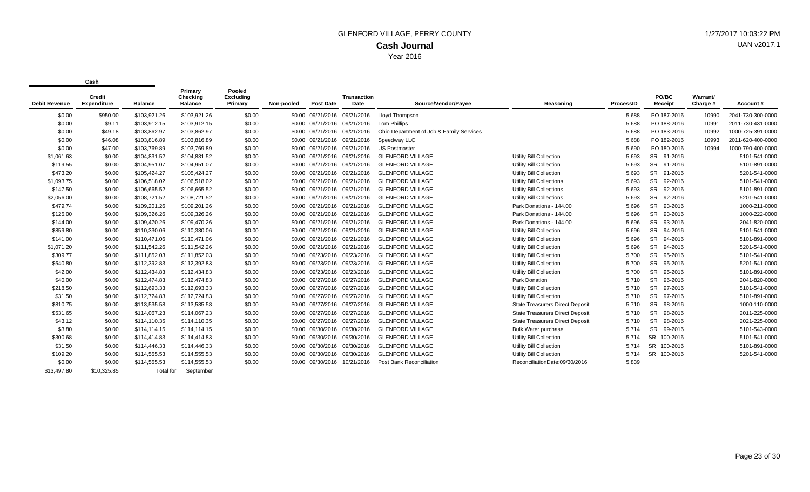| <b>Debit Revenue</b> | Credit<br><b>Expenditure</b> | <b>Balance</b>   | Primary<br>Checking<br><b>Balance</b> | Pooled<br>Excluding<br>Primary | Non-pooled | <b>Post Date</b>             | <b>Transaction</b><br>Date | Source/Vendor/Payee                      | Reasoning                              | ProcessID | PO/BC<br>Receipt     | Warrant/<br>Charge # | Account#          |
|----------------------|------------------------------|------------------|---------------------------------------|--------------------------------|------------|------------------------------|----------------------------|------------------------------------------|----------------------------------------|-----------|----------------------|----------------------|-------------------|
|                      |                              |                  |                                       |                                |            |                              |                            |                                          |                                        |           |                      |                      |                   |
| \$0.00               | \$950.00                     | \$103.921.26     | \$103,921.26                          | \$0.00                         |            | \$0.00 09/21/2016 09/21/2016 |                            | Lloyd Thompson                           |                                        | 5.688     | PO 187-2016          | 10990                | 2041-730-300-0000 |
| \$0.00               | \$9.11                       | \$103.912.15     | \$103,912.15                          | \$0.00                         |            | \$0.00 09/21/2016 09/21/2016 |                            | <b>Tom Phillips</b>                      |                                        | 5,688     | PO 188-2016          | 10991                | 2011-730-431-0000 |
| \$0.00               | \$49.18                      | \$103,862.97     | \$103,862.97                          | \$0.00                         |            | \$0.00 09/21/2016 09/21/2016 |                            | Ohio Department of Job & Family Services |                                        | 5,688     | PO 183-2016          | 10992                | 1000-725-391-0000 |
| \$0.00               | \$46.08                      | \$103.816.89     | \$103,816.89                          | \$0.00                         |            | \$0.00 09/21/2016 09/21/2016 |                            | Speedway LLC                             |                                        | 5,688     | PO 182-2016          | 10993                | 2011-620-400-0000 |
| \$0.00               | \$47.00                      | \$103,769.89     | \$103,769.89                          | \$0.00                         |            | \$0.00 09/21/2016 09/21/2016 |                            | <b>US Postmaster</b>                     |                                        | 5,690     | PO 180-2016          | 10994                | 1000-790-400-0000 |
| \$1,061.63           | \$0.00                       | \$104,831.52     | \$104,831.52                          | \$0.00                         |            | \$0.00 09/21/2016 09/21/2016 |                            | <b>GLENFORD VILLAGE</b>                  | <b>Utility Bill Collection</b>         | 5,693     | SR 91-2016           |                      | 5101-541-0000     |
| \$119.55             | \$0.00                       | \$104,951.07     | \$104,951.07                          | \$0.00                         |            | \$0.00 09/21/2016 09/21/2016 |                            | <b>GLENFORD VILLAGE</b>                  | <b>Utility Bill Collection</b>         | 5,693     | SR 91-2016           |                      | 5101-891-0000     |
| \$473.20             | \$0.00                       | \$105,424.27     | \$105,424.27                          | \$0.00                         |            | \$0.00 09/21/2016 09/21/2016 |                            | <b>GLENFORD VILLAGE</b>                  | <b>Utility Bill Collection</b>         | 5,693     | SR 91-2016           |                      | 5201-541-0000     |
| \$1,093.75           | \$0.00                       | \$106,518.02     | \$106,518.02                          | \$0.00                         |            | \$0.00 09/21/2016 09/21/2016 |                            | <b>GLENFORD VILLAGE</b>                  | <b>Utility Bill Collections</b>        | 5,693     | SR 92-2016           |                      | 5101-541-0000     |
| \$147.50             | \$0.00                       | \$106,665.52     | \$106,665.52                          | \$0.00                         |            | \$0.00 09/21/2016 09/21/2016 |                            | <b>GLENFORD VILLAGE</b>                  | <b>Utility Bill Collections</b>        | 5,693     | SR 92-2016           |                      | 5101-891-0000     |
| \$2,056.00           | \$0.00                       | \$108.721.52     | \$108,721.52                          | \$0.00                         |            | \$0.00 09/21/2016 09/21/2016 |                            | <b>GLENFORD VILLAGE</b>                  | <b>Utility Bill Collections</b>        | 5,693     | SR 92-2016           |                      | 5201-541-0000     |
| \$479.74             | \$0.00                       | \$109,201.26     | \$109,201.26                          | \$0.00                         |            | \$0.00 09/21/2016 09/21/2016 |                            | <b>GLENFORD VILLAGE</b>                  | Park Donations - 144.00                | 5,696     | SR 93-2016           |                      | 1000-211-0000     |
| \$125.00             | \$0.00                       | \$109,326.26     | \$109,326.26                          | \$0.00                         |            | \$0.00 09/21/2016 09/21/2016 |                            | <b>GLENFORD VILLAGE</b>                  | Park Donations - 144.00                | 5,696     | SR 93-2016           |                      | 1000-222-0000     |
| \$144.00             | \$0.00                       | \$109,470.26     | \$109,470.26                          | \$0.00                         |            | \$0.00 09/21/2016 09/21/2016 |                            | <b>GLENFORD VILLAGE</b>                  | Park Donations - 144.00                | 5,696     | SR 93-2016           |                      | 2041-820-0000     |
| \$859.80             | \$0.00                       | \$110,330.06     | \$110,330.06                          | \$0.00                         |            | \$0.00 09/21/2016 09/21/2016 |                            | <b>GLENFORD VILLAGE</b>                  | <b>Utility Bill Collection</b>         | 5,696     | SR 94-2016           |                      | 5101-541-0000     |
| \$141.00             | \$0.00                       | \$110,471.06     | \$110,471.06                          | \$0.00                         |            | \$0.00 09/21/2016 09/21/2016 |                            | <b>GLENFORD VILLAGE</b>                  | <b>Utility Bill Collection</b>         | 5,696     | SR 94-2016           |                      | 5101-891-0000     |
| \$1,071.20           | \$0.00                       | \$111,542.26     | \$111,542.26                          | \$0.00                         |            | \$0.00 09/21/2016 09/21/2016 |                            | <b>GLENFORD VILLAGE</b>                  | <b>Utility Bill Collection</b>         | 5,696     | SR 94-2016           |                      | 5201-541-0000     |
| \$309.77             | \$0.00                       | \$111.852.03     | \$111,852.03                          | \$0.00                         |            | \$0.00 09/23/2016 09/23/2016 |                            | <b>GLENFORD VILLAGE</b>                  | <b>Utility Bill Collection</b>         | 5,700     | SR 95-2016           |                      | 5101-541-0000     |
| \$540.80             | \$0.00                       | \$112,392.83     | \$112,392.83                          | \$0.00                         |            | \$0.00 09/23/2016 09/23/2016 |                            | <b>GLENFORD VILLAGE</b>                  | <b>Utility Bill Collection</b>         | 5,700     | 95-2016<br><b>SR</b> |                      | 5201-541-0000     |
| \$42.00              | \$0.00                       | \$112,434.83     | \$112,434.83                          | \$0.00                         |            | \$0.00 09/23/2016 09/23/2016 |                            | <b>GLENFORD VILLAGE</b>                  | <b>Utility Bill Collection</b>         | 5,700     | <b>SR</b><br>95-2016 |                      | 5101-891-0000     |
| \$40.00              | \$0.00                       | \$112,474.83     | \$112,474.83                          | \$0.00                         |            | \$0.00 09/27/2016 09/27/2016 |                            | <b>GLENFORD VILLAGE</b>                  | Park Donation                          | 5,710     | <b>SR</b><br>96-2016 |                      | 2041-820-0000     |
| \$218.50             | \$0.00                       | \$112,693.33     | \$112,693.33                          | \$0.00                         |            | \$0.00 09/27/2016 09/27/2016 |                            | <b>GLENFORD VILLAGE</b>                  | <b>Utility Bill Collection</b>         | 5,710     | SR 97-2016           |                      | 5101-541-0000     |
| \$31.50              | \$0.00                       | \$112,724.83     | \$112,724.83                          | \$0.00                         |            | \$0.00 09/27/2016 09/27/2016 |                            | <b>GLENFORD VILLAGE</b>                  | <b>Utility Bill Collection</b>         | 5,710     | SR 97-2016           |                      | 5101-891-0000     |
| \$810.75             | \$0.00                       | \$113,535.58     | \$113,535.58                          | \$0.00                         |            | \$0.00 09/27/2016 09/27/2016 |                            | <b>GLENFORD VILLAGE</b>                  | <b>State Treasurers Direct Deposit</b> | 5,710     | <b>SR</b><br>98-2016 |                      | 1000-110-0000     |
| \$531.65             | \$0.00                       | \$114,067.23     | \$114,067.23                          | \$0.00                         |            | \$0.00 09/27/2016 09/27/2016 |                            | <b>GLENFORD VILLAGE</b>                  | <b>State Treasurers Direct Deposit</b> | 5,710     | <b>SR</b><br>98-2016 |                      | 2011-225-0000     |
| \$43.12              | \$0.00                       | \$114,110.35     | \$114,110.35                          | \$0.00                         |            | \$0.00 09/27/2016 09/27/2016 |                            | <b>GLENFORD VILLAGE</b>                  | <b>State Treasurers Direct Deposit</b> | 5,710     | <b>SR</b><br>98-2016 |                      | 2021-225-0000     |
| \$3.80               | \$0.00                       | \$114.114.15     | \$114,114.15                          | \$0.00                         |            | \$0.00 09/30/2016 09/30/2016 |                            | <b>GLENFORD VILLAGE</b>                  | <b>Bulk Water purchase</b>             | 5,714     | <b>SR</b><br>99-2016 |                      | 5101-543-0000     |
| \$300.68             | \$0.00                       | \$114,414.83     | \$114,414.83                          | \$0.00                         |            | \$0.00 09/30/2016 09/30/2016 |                            | <b>GLENFORD VILLAGE</b>                  | <b>Utility Bill Collection</b>         | 5.714     | SR 100-2016          |                      | 5101-541-0000     |
| \$31.50              | \$0.00                       | \$114,446.33     | \$114,446.33                          | \$0.00                         |            | \$0.00 09/30/2016 09/30/2016 |                            | <b>GLENFORD VILLAGE</b>                  | <b>Utility Bill Collection</b>         | 5,714     | SR 100-2016          |                      | 5101-891-0000     |
| \$109.20             | \$0.00                       | \$114,555.53     | \$114,555.53                          | \$0.00                         |            | \$0.00 09/30/2016 09/30/2016 |                            | <b>GLENFORD VILLAGE</b>                  | <b>Utility Bill Collection</b>         | 5,714     | SR 100-2016          |                      | 5201-541-0000     |
| \$0.00               | \$0.00                       | \$114,555.53     | \$114,555.53                          | \$0.00                         |            | \$0.00 09/30/2016            | 10/21/2016                 | <b>Post Bank Reconciliation</b>          | ReconciliationDate:09/30/2016          | 5,839     |                      |                      |                   |
| \$13,497.80          | \$10,325.85                  | <b>Total for</b> | September                             |                                |            |                              |                            |                                          |                                        |           |                      |                      |                   |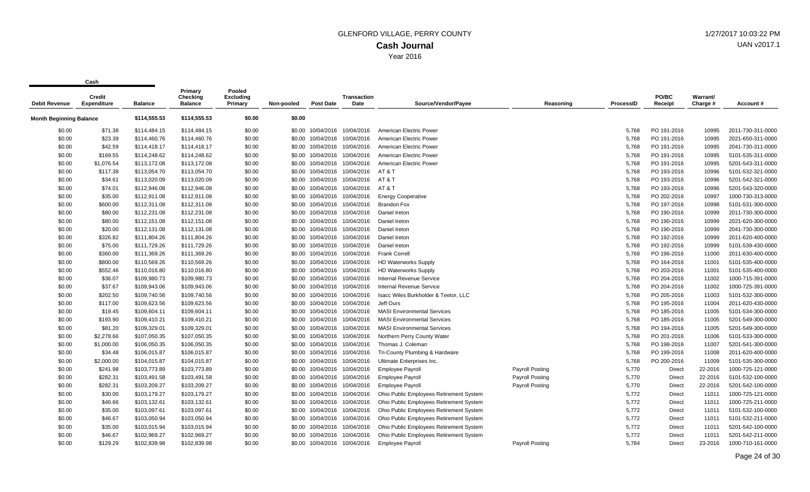| <b>Debit Revenue</b>           | <b>Credit</b><br>Expenditure | <b>Balance</b> | Primary<br>Checking<br><b>Balance</b> | Pooled<br><b>Excluding</b><br>Primary | Non-pooled | <b>Post Date</b>             | <b>Transaction</b><br>Date   | Source/Vendor/Pavee                     | Reasoning              | ProcessID | PO/BC<br>Receipt | Warrant/<br>Charge # | Account#          |
|--------------------------------|------------------------------|----------------|---------------------------------------|---------------------------------------|------------|------------------------------|------------------------------|-----------------------------------------|------------------------|-----------|------------------|----------------------|-------------------|
| <b>Month Beginning Balance</b> |                              | \$114,555.53   | \$114,555.53                          | \$0.00                                | \$0.00     |                              |                              |                                         |                        |           |                  |                      |                   |
| \$0.00                         | \$71.38                      | \$114,484.15   | \$114,484.15                          | \$0.00                                |            | \$0.00 10/04/2016            | 10/04/2016                   | American Electric Power                 |                        | 5.768     | PO 191-2016      | 10995                | 2011-730-311-0000 |
| \$0.00                         | \$23.39                      | \$114,460.76   | \$114,460.76                          | \$0.00                                | \$0.00     | 10/04/2016                   | 10/04/2016                   | American Electric Power                 |                        | 5,768     | PO 191-2016      | 10995                | 2021-650-311-0000 |
| \$0.00                         | \$42.59                      | \$114,418.17   | \$114,418.17                          | \$0.00                                |            |                              | \$0.00 10/04/2016 10/04/2016 | American Electric Power                 |                        | 5,768     | PO 191-2016      | 10995                | 2041-730-311-0000 |
| \$0.00                         | \$169.55                     | \$114,248.62   | \$114,248.62                          | \$0.00                                |            |                              | \$0.00 10/04/2016 10/04/2016 | American Electric Power                 |                        | 5.768     | PO 191-2016      | 10995                | 5101-535-311-0000 |
| \$0.00                         | \$1,076.54                   | \$113,172.08   | \$113,172.08                          | \$0.00                                | \$0.00     | 10/04/2016                   | 10/04/2016                   | American Electric Power                 |                        | 5,768     | PO 191-2016      | 10995                | 5201-543-311-0000 |
| \$0.00                         | \$117.38                     | \$113,054.70   | \$113,054.70                          | \$0.00                                | \$0.00     | 10/04/2016                   | 10/04/2016                   | AT&T                                    |                        | 5,768     | PO 193-2016      | 10996                | 5101-532-321-0000 |
| \$0.00                         | \$34.61                      | \$113,020.09   | \$113,020.09                          | \$0.00                                |            |                              | \$0.00 10/04/2016 10/04/2016 | AT & T                                  |                        | 5,768     | PO 193-2016      | 10996                | 5201-542-321-0000 |
| \$0.00                         | \$74.01                      | \$112,946.08   | \$112,946.08                          | \$0.00                                |            | \$0.00 10/04/2016            | 10/04/2016                   | AT&T                                    |                        | 5,768     | PO 193-2016      | 10996                | 5201-543-320-0000 |
| \$0.00                         | \$35.00                      | \$112,911.08   | \$112,911.08                          | \$0.00                                | \$0.00     | 10/04/2016                   | 10/04/2016                   | <b>Energy Cooperative</b>               |                        | 5,768     | PO 202-2016      | 10997                | 1000-730-313-0000 |
| \$0.00                         | \$600.00                     | \$112,311.08   | \$112,311.08                          | \$0.00                                |            |                              | \$0.00 10/04/2016 10/04/2016 | <b>Brandon Fox</b>                      |                        | 5,768     | PO 197-2016      | 10998                | 5101-531-300-0000 |
| \$0.00                         | \$80.00                      | \$112,231.08   | \$112,231.08                          | \$0.00                                |            | \$0.00 10/04/2016 10/04/2016 |                              | Daniel Ireton                           |                        | 5,768     | PO 190-2016      | 10999                | 2011-730-300-0000 |
| \$0.00                         | \$80.00                      | \$112,151.08   | \$112,151.08                          | \$0.00                                | \$0.00     | 10/04/2016                   | 10/04/2016                   | Daniel Ireton                           |                        | 5,768     | PO 190-2016      | 10999                | 2021-620-300-0000 |
| \$0.00                         | \$20.00                      | \$112,131.08   | \$112,131.08                          | \$0.00                                |            | \$0.00 10/04/2016            | 10/04/2016                   | Daniel Ireton                           |                        | 5,768     | PO 190-2016      | 10999                | 2041-730-300-0000 |
| \$0.00                         | \$326.82                     | \$111,804.26   | \$111,804.26                          | \$0.00                                |            |                              | \$0.00 10/04/2016 10/04/2016 | Daniel Ireton                           |                        | 5,768     | PO 192-2016      | 10999                | 2011-620-400-0000 |
| \$0.00                         | \$75.00                      | \$111,729.26   | \$111,729.26                          | \$0.00                                |            | \$0.00 10/04/2016            | 10/04/2016                   | Daniel Ireton                           |                        | 5,768     | PO 192-2016      | 10999                | 5101-539-430-0000 |
| \$0.00                         | \$360.00                     | \$111,369.26   | \$111,369.26                          | \$0.00                                | \$0.00     |                              | 10/04/2016 10/04/2016        | <b>Frank Correll</b>                    |                        | 5,768     | PO 196-2016      | 11000                | 2011-630-400-0000 |
| \$0.00                         | \$800.00                     | \$110,569.26   | \$110,569.26                          | \$0.00                                |            | \$0.00 10/04/2016 10/04/2016 |                              | <b>HD Waterworks Supply</b>             |                        | 5,768     | PO 164-2016      | 11001                | 5101-535-400-0000 |
| \$0.00                         | \$552.46                     | \$110,016.80   | \$110,016.80                          | \$0.00                                |            | \$0.00 10/04/2016 10/04/2016 |                              | <b>HD Waterworks Supply</b>             |                        | 5,768     | PO 203-2016      | 11001                | 5101-535-400-0000 |
| \$0.00                         | \$36.07                      | \$109,980.73   | \$109,980.73                          | \$0.00                                | \$0.00     | 10/04/2016                   | 10/04/2016                   | <b>Internal Revenue Service</b>         |                        | 5,768     | PO 204-2016      | 11002                | 1000-715-391-0000 |
| \$0.00                         | \$37.67                      | \$109,943.06   | \$109,943.06                          | \$0.00                                | \$0.00     |                              | 10/04/2016 10/04/2016        | <b>Internal Revenue Service</b>         |                        | 5,768     | PO 204-2016      | 11002                | 1000-725-391-0000 |
| \$0.00                         | \$202.50                     | \$109,740.56   | \$109,740.56                          | \$0.00                                |            | \$0.00 10/04/2016 10/04/2016 |                              | Isacc Wiles Burkholder & Teetor, LLC    |                        | 5,768     | PO 205-2016      | 11003                | 5101-532-300-0000 |
| \$0.00                         | \$117.00                     | \$109,623.56   | \$109,623.56                          | \$0.00                                |            | \$0.00 10/04/2016 10/04/2016 |                              | Jeff Ours                               |                        | 5,768     | PO 195-2016      | 11004                | 2011-620-430-0000 |
| \$0.00                         | \$19.45                      | \$109,604.11   | \$109,604.11                          | \$0.00                                | \$0.00     |                              | 10/04/2016 10/04/2016        | <b>MASI Environmental Services</b>      |                        | 5,768     | PO 185-2016      | 11005                | 5101-534-300-0000 |
| \$0.00                         | \$193.90                     | \$109,410.21   | \$109,410.21                          | \$0.00                                |            | \$0.00 10/04/2016 10/04/2016 |                              | <b>MASI Environmental Services</b>      |                        | 5,768     | PO 185-2016      | 11005                | 5201-549-300-0000 |
| \$0.00                         | \$81.20                      | \$109,329.01   | \$109,329.01                          | \$0.00                                | \$0.00     |                              | 10/04/2016 10/04/2016        | <b>MASI Environmental Services</b>      |                        | 5,768     | PO 194-2016      | 11005                | 5201-549-300-0000 |
| \$0.00                         | \$2,278.66                   | \$107,050.35   | \$107,050.35                          | \$0.00                                | \$0.00     | 10/04/2016                   | 10/04/2016                   | Northern Perry County Water             |                        | 5,768     | PO 201-2016      | 11006                | 5101-533-300-0000 |
| \$0.00                         | \$1,000.00                   | \$106,050.35   | \$106,050.35                          | \$0.00                                |            | \$0.00 10/04/2016 10/04/2016 |                              | Thomas J. Coleman                       |                        | 5,768     | PO 198-2016      | 11007                | 5201-541-300-0000 |
| \$0.00                         | \$34.48                      | \$106,015.87   | \$106,015.87                          | \$0.00                                |            | \$0.00 10/04/2016 10/04/2016 |                              | Tri-County Plumbing & Hardware          |                        | 5,768     | PO 199-2016      | 11008                | 2011-620-400-0000 |
| \$0.00                         | \$2,000.00                   | \$104,015.87   | \$104,015.87                          | \$0.00                                | \$0.00     | 10/04/2016 10/04/2016        |                              | Ultimate Enterprises Inc.               |                        | 5,768     | PO 200-2016      | 11009                | 5101-535-300-0000 |
| \$0.00                         | \$241.98                     | \$103,773.89   | \$103,773.89                          | \$0.00                                | \$0.00     | 10/04/2016 10/04/2016        |                              | <b>Employee Payroll</b>                 | <b>Payroll Posting</b> | 5,770     | Direct           | 22-2016              | 1000-725-121-0000 |
| \$0.00                         | \$282.31                     | \$103,491.58   | \$103,491.58                          | \$0.00                                |            | \$0.00 10/04/2016 10/04/2016 |                              | <b>Employee Payroll</b>                 | <b>Payroll Posting</b> | 5,770     | Direct           | 22-2016              | 5101-532-100-0000 |
| \$0.00                         | \$282.31                     | \$103,209.27   | \$103,209.27                          | \$0.00                                |            | \$0.00 10/04/2016 10/04/2016 |                              | <b>Employee Payroll</b>                 | <b>Payroll Posting</b> | 5,770     | Direct           | 22-2016              | 5201-542-100-0000 |
| \$0.00                         | \$30.00                      | \$103,179.27   | \$103,179.27                          | \$0.00                                | \$0.00     | 10/04/2016                   | 10/04/2016                   | Ohio Public Employees Retirement System |                        | 5,772     | <b>Direct</b>    | 11011                | 1000-725-121-0000 |
| \$0.00                         | \$46.66                      | \$103,132.61   | \$103,132.61                          | \$0.00                                |            |                              | \$0.00 10/04/2016 10/04/2016 | Ohio Public Employees Retirement System |                        | 5,772     | Direct           | 11011                | 1000-725-211-0000 |
| \$0.00                         | \$35.00                      | \$103,097.61   | \$103,097.61                          | \$0.00                                |            | \$0.00 10/04/2016 10/04/2016 |                              | Ohio Public Employees Retirement System |                        | 5,772     | Direct           | 11011                | 5101-532-100-0000 |
| \$0.00                         | \$46.67                      | \$103,050.94   | \$103,050.94                          | \$0.00                                |            | \$0.00 10/04/2016 10/04/2016 |                              | Ohio Public Employees Retirement System |                        | 5,772     | Direct           | 11011                | 5101-532-211-0000 |
| \$0.00                         | \$35.00                      | \$103,015.94   | \$103,015.94                          | \$0.00                                | \$0.00     | 10/04/2016                   | 10/04/2016                   | Ohio Public Employees Retirement System |                        | 5,772     | Direct           | 11011                | 5201-542-100-0000 |
| \$0.00                         | \$46.67                      | \$102,969.27   | \$102,969.27                          | \$0.00                                |            | \$0.00 10/04/2016 10/04/2016 |                              | Ohio Public Employees Retirement System |                        | 5,772     | Direct           | 11011                | 5201-542-211-0000 |
| \$0.00                         | \$129.29                     | \$102,839.98   | \$102,839.98                          | \$0.00                                |            | \$0.00 10/04/2016            | 10/04/2016                   | <b>Employee Payroll</b>                 | <b>Payroll Posting</b> | 5,784     | <b>Direct</b>    | 23-2016              | 1000-710-161-0000 |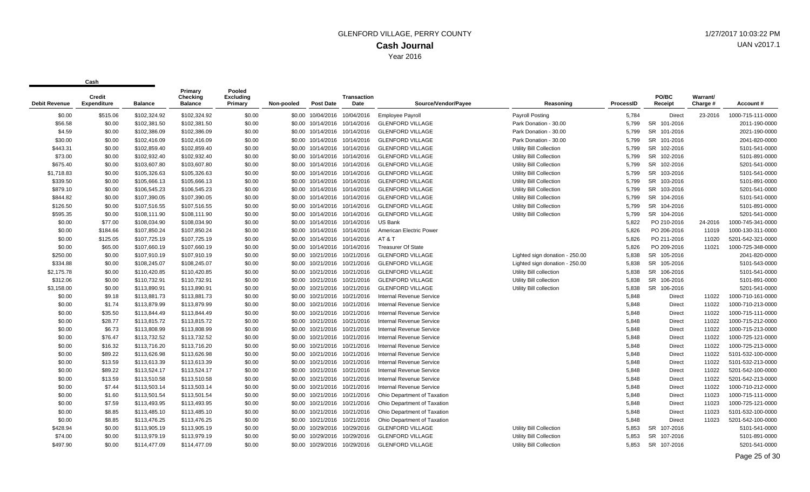| Debit Revenue | Credit<br><b>Expenditure</b> | <b>Balance</b> | Primary<br>Checking<br><b>Balance</b> | Pooled<br><b>Excluding</b><br>Primary | Non-pooled | <b>Post Date</b> | Transaction<br>Date          | Source/Vendor/Payee             | Reasoning                      | ProcessID | PO/BC<br>Receipt | Warrant/<br>Charge # | Account#          |
|---------------|------------------------------|----------------|---------------------------------------|---------------------------------------|------------|------------------|------------------------------|---------------------------------|--------------------------------|-----------|------------------|----------------------|-------------------|
| \$0.00        | \$515.06                     | \$102,324.92   | \$102,324.92                          | \$0.00                                | \$0.00     | 10/04/2016       | 10/04/2016                   | <b>Employee Payroll</b>         | <b>Payroll Posting</b>         | 5,784     | Direct           | 23-2016              | 1000-715-111-0000 |
| \$56.58       | \$0.00                       | \$102,381.50   | \$102,381.50                          | \$0.00                                | \$0.00     |                  | 10/14/2016 10/14/2016        | <b>GLENFORD VILLAGE</b>         | Park Donation - 30.00          | 5.799     | SR 101-2016      |                      | 2011-190-0000     |
| \$4.59        | \$0.00                       | \$102,386.09   | \$102,386.09                          | \$0.00                                |            |                  | \$0.00 10/14/2016 10/14/2016 | <b>GLENFORD VILLAGE</b>         | Park Donation - 30.00          | 5.799     | SR 101-2016      |                      | 2021-190-0000     |
| \$30.00       | \$0.00                       | \$102,416.09   | \$102,416.09                          | \$0.00                                | \$0.00     |                  | 10/14/2016 10/14/2016        | <b>GLENFORD VILLAGE</b>         | Park Donation - 30.00          | 5,799     | SR 101-2016      |                      | 2041-820-0000     |
| \$443.31      | \$0.00                       | \$102,859.40   | \$102,859.40                          | \$0.00                                | \$0.00     | 10/14/2016       | 10/14/2016                   | <b>GLENFORD VILLAGE</b>         | Utility Bill Collection        | 5,799     | SR 102-2016      |                      | 5101-541-0000     |
| \$73.00       | \$0.00                       | \$102,932.40   | \$102,932.40                          | \$0.00                                |            |                  | \$0.00 10/14/2016 10/14/2016 | <b>GLENFORD VILLAGE</b>         | <b>Utility Bill Collection</b> | 5,799     | SR 102-2016      |                      | 5101-891-0000     |
| \$675.40      | \$0.00                       | \$103,607.80   | \$103,607.80                          | \$0.00                                | \$0.00     |                  | 10/14/2016 10/14/2016        | <b>GLENFORD VILLAGE</b>         | Utility Bill Collection        | 5,799     | SR 102-2016      |                      | 5201-541-0000     |
| \$1,718.83    | \$0.00                       | \$105,326.63   | \$105,326.63                          | \$0.00                                | \$0.00     | 10/14/2016       | 10/14/2016                   | <b>GLENFORD VILLAGE</b>         | Utility Bill Collection        | 5.799     | SR 103-2016      |                      | 5101-541-0000     |
| \$339.50      | \$0.00                       | \$105,666.13   | \$105,666.13                          | \$0.00                                | \$0.00     |                  | 10/14/2016 10/14/2016        | <b>GLENFORD VILLAGE</b>         | Utility Bill Collection        | 5.799     | SR 103-2016      |                      | 5101-891-0000     |
| \$879.10      | \$0.00                       | \$106,545.23   | \$106,545.23                          | \$0.00                                | \$0.00     |                  | 10/14/2016 10/14/2016        | <b>GLENFORD VILLAGE</b>         | <b>Utility Bill Collection</b> | 5,799     | SR 103-2016      |                      | 5201-541-0000     |
| \$844.82      | \$0.00                       | \$107,390.05   | \$107,390.05                          | \$0.00                                | \$0.00     |                  | 10/14/2016 10/14/2016        | <b>GLENFORD VILLAGE</b>         | <b>Utility Bill Collection</b> | 5,799     | SR 104-2016      |                      | 5101-541-0000     |
| \$126.50      | \$0.00                       | \$107,516.55   | \$107,516.55                          | \$0.00                                | \$0.00     |                  | 10/14/2016 10/14/2016        | <b>GLENFORD VILLAGE</b>         | Utility Bill Collection        | 5.799     | SR 104-2016      |                      | 5101-891-0000     |
| \$595.35      | \$0.00                       | \$108,111.90   | \$108,111.90                          | \$0.00                                |            |                  | \$0.00 10/14/2016 10/14/2016 | <b>GLENFORD VILLAGE</b>         | <b>Utility Bill Collection</b> | 5,799     | SR 104-2016      |                      | 5201-541-0000     |
| \$0.00        | \$77.00                      | \$108,034.90   | \$108,034.90                          | \$0.00                                | \$0.00     |                  | 10/14/2016 10/14/2016        | <b>US Bank</b>                  |                                | 5,822     | PO 210-2016      | 24-2016              | 1000-745-341-0000 |
| \$0.00        | \$184.66                     | \$107,850.24   | \$107,850.24                          | \$0.00                                | \$0.00     |                  | 10/14/2016 10/14/2016        | American Electric Power         |                                | 5,826     | PO 206-2016      | 11019                | 1000-130-311-0000 |
| \$0.00        | \$125.05                     | \$107,725.19   | \$107,725.19                          | \$0.00                                |            |                  | \$0.00 10/14/2016 10/14/2016 | AT & T                          |                                | 5.826     | PO 211-2016      | 11020                | 5201-542-321-0000 |
| \$0.00        | \$65.00                      | \$107,660.19   | \$107,660.19                          | \$0.00                                | \$0.00     |                  | 10/14/2016 10/14/2016        | <b>Treasurer Of State</b>       |                                | 5,826     | PO 209-2016      | 11021                | 1000-725-348-0000 |
| \$250.00      | \$0.00                       | \$107,910.19   | \$107,910.19                          | \$0.00                                | \$0.00     | 10/21/2016       | 10/21/2016                   | <b>GLENFORD VILLAGE</b>         | Lighted sign donation - 250.00 | 5,838     | SR 105-2016      |                      | 2041-820-0000     |
| \$334.88      | \$0.00                       | \$108,245.07   | \$108,245.07                          | \$0.00                                | \$0.00     |                  | 10/21/2016 10/21/2016        | <b>GLENFORD VILLAGE</b>         | Lighted sign donation - 250.00 | 5,838     | SR 105-2016      |                      | 5101-543-0000     |
| \$2,175.78    | \$0.00                       | \$110,420.85   | \$110,420.85                          | \$0.00                                | \$0.00     |                  | 10/21/2016 10/21/2016        | <b>GLENFORD VILLAGE</b>         | Utility Bill collection        | 5,838     | SR 106-2016      |                      | 5101-541-0000     |
| \$312.06      | \$0.00                       | \$110,732.91   | \$110,732.91                          | \$0.00                                | \$0.00     |                  | 10/21/2016 10/21/2016        | <b>GLENFORD VILLAGE</b>         | Utility Bill collection        | 5.838     | SR 106-2016      |                      | 5101-891-0000     |
| \$3,158.00    | \$0.00                       | \$113,890.91   | \$113.890.91                          | \$0.00                                | \$0.00     |                  | 10/21/2016 10/21/2016        | <b>GLENFORD VILLAGE</b>         | Utility Bill collection        | 5.838     | SR 106-2016      |                      | 5201-541-0000     |
| \$0.00        | \$9.18                       | \$113,881.73   | \$113,881.73                          | \$0.00                                |            |                  | \$0.00 10/21/2016 10/21/2016 | Internal Revenue Service        |                                | 5,848     | <b>Direct</b>    | 11022                | 1000-710-161-0000 |
| \$0.00        | \$1.74                       | \$113,879.99   | \$113,879.99                          | \$0.00                                | \$0.00     |                  | 10/21/2016 10/21/2016        | Internal Revenue Service        |                                | 5,848     | <b>Direct</b>    | 11022                | 1000-710-213-0000 |
| \$0.00        | \$35.50                      | \$113,844.49   | \$113,844.49                          | \$0.00                                | \$0.00     |                  | 10/21/2016 10/21/2016        | <b>Internal Revenue Service</b> |                                | 5,848     | <b>Direct</b>    | 11022                | 1000-715-111-0000 |
| \$0.00        | \$28.77                      | \$113,815.72   | \$113,815.72                          | \$0.00                                | \$0.00     |                  | 10/21/2016 10/21/2016        | <b>Internal Revenue Service</b> |                                | 5,848     | <b>Direct</b>    | 11022                | 1000-715-212-0000 |
| \$0.00        | \$6.73                       | \$113,808.99   | \$113,808.99                          | \$0.00                                | \$0.00     |                  | 10/21/2016 10/21/2016        | <b>Internal Revenue Service</b> |                                | 5,848     | <b>Direct</b>    | 11022                | 1000-715-213-0000 |
| \$0.00        | \$76.47                      | \$113,732.52   | \$113,732.52                          | \$0.00                                | \$0.00     |                  | 10/21/2016 10/21/2016        | <b>Internal Revenue Service</b> |                                | 5,848     | <b>Direct</b>    | 11022                | 1000-725-121-0000 |
| \$0.00        | \$16.32                      | \$113,716.20   | \$113,716.20                          | \$0.00                                |            |                  | \$0.00 10/21/2016 10/21/2016 | <b>Internal Revenue Service</b> |                                | 5,848     | Direct           | 11022                | 1000-725-213-0000 |
| \$0.00        | \$89.22                      | \$113,626.98   | \$113,626.98                          | \$0.00                                | \$0.00     |                  | 10/21/2016 10/21/2016        | Internal Revenue Service        |                                | 5,848     | <b>Direct</b>    | 11022                | 5101-532-100-0000 |
| \$0.00        | \$13.59                      | \$113,613.39   | \$113,613.39                          | \$0.00                                | \$0.00     | 10/21/2016       | 10/21/2016                   | <b>Internal Revenue Service</b> |                                | 5,848     | <b>Direct</b>    | 11022                | 5101-532-213-0000 |
| \$0.00        | \$89.22                      | \$113,524.17   | \$113,524.17                          | \$0.00                                | \$0.00     |                  | 10/21/2016 10/21/2016        | Internal Revenue Service        |                                | 5,848     | Direct           | 11022                | 5201-542-100-0000 |
| \$0.00        | \$13.59                      | \$113,510.58   | \$113,510.58                          | \$0.00                                | \$0.00     |                  | 10/21/2016 10/21/2016        | <b>Internal Revenue Service</b> |                                | 5,848     | Direct           | 11022                | 5201-542-213-0000 |
| \$0.00        | \$7.44                       | \$113,503.14   | \$113,503.14                          | \$0.00                                | \$0.00     |                  | 10/21/2016 10/21/2016        | <b>Internal Revenue Service</b> |                                | 5,848     | <b>Direct</b>    | 11022                | 1000-710-212-0000 |
| \$0.00        | \$1.60                       | \$113,501.54   | \$113,501.54                          | \$0.00                                | \$0.00     |                  | 10/21/2016 10/21/2016        | Ohio Department of Taxation     |                                | 5.848     | <b>Direct</b>    | 11023                | 1000-715-111-0000 |
| \$0.00        | \$7.59                       | \$113,493.95   | \$113,493.95                          | \$0.00                                | \$0.00     |                  | 10/21/2016 10/21/2016        | Ohio Department of Taxation     |                                | 5,848     | Direct           | 11023                | 1000-725-121-0000 |
| \$0.00        | \$8.85                       | \$113,485.10   | \$113,485.10                          | \$0.00                                | \$0.00     |                  | 10/21/2016 10/21/2016        | Ohio Department of Taxation     |                                | 5,848     | Direct           | 11023                | 5101-532-100-0000 |
| \$0.00        | \$8.85                       | \$113,476.25   | \$113,476.25                          | \$0.00                                | \$0.00     |                  | 10/21/2016 10/21/2016        | Ohio Department of Taxation     |                                | 5,848     | <b>Direct</b>    | 11023                | 5201-542-100-0000 |
| \$428.94      | \$0.00                       | \$113,905.19   | \$113,905.19                          | \$0.00                                | \$0.00     |                  | 10/29/2016 10/29/2016        | <b>GLENFORD VILLAGE</b>         | Utility Bill Collection        | 5,853     | SR 107-2016      |                      | 5101-541-0000     |
| \$74.00       | \$0.00                       | \$113,979.19   | \$113,979.19                          | \$0.00                                | \$0.00     |                  | 10/29/2016 10/29/2016        | <b>GLENFORD VILLAGE</b>         | Utility Bill Collection        | 5,853     | SR 107-2016      |                      | 5101-891-0000     |
| \$497.90      | \$0.00                       | \$114,477.09   | \$114,477.09                          | \$0.00                                | \$0.00     | 10/29/2016       | 10/29/2016                   | <b>GLENFORD VILLAGE</b>         | Utility Bill Collection        | 5.853     | SR 107-2016      |                      | 5201-541-0000     |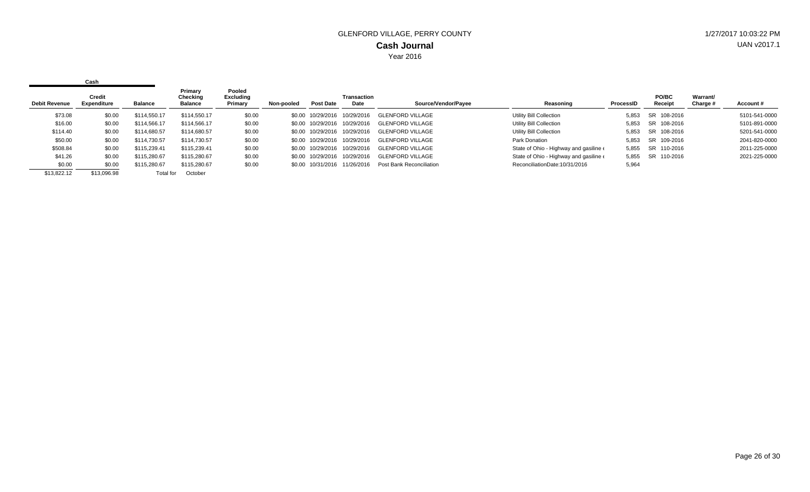|                      | Cash                         |              |                                       |                                |            |                   |                            |                          |                                                 |           |                  |                             |               |
|----------------------|------------------------------|--------------|---------------------------------------|--------------------------------|------------|-------------------|----------------------------|--------------------------|-------------------------------------------------|-----------|------------------|-----------------------------|---------------|
| <b>Debit Revenue</b> | Credit<br><b>Expenditure</b> | Balance      | Primary<br>Checking<br><b>Balance</b> | Pooled<br>Excluding<br>Primary | Non-pooled | <b>Post Date</b>  | <b>Transaction</b><br>Date | Source/Vendor/Payee      | Reasoning                                       | ProcessID | PO/BC<br>Receipt | <b>Warrant/</b><br>Charge # | Account#      |
| \$73.08              | \$0.00                       | \$114,550.17 | \$114,550.17                          | \$0.00                         |            | \$0.00 10/29/2016 | 10/29/2016                 | GLENFORD VILLAGE         | Utility Bill Collection                         | 5.853     | SR 108-2016      |                             | 5101-541-0000 |
| \$16.00              | \$0.00                       | \$114,566.17 | \$114,566.17                          | \$0.00                         |            | \$0.00 10/29/2016 | 10/29/2016                 | <b>GLENFORD VILLAGE</b>  | <b>Utility Bill Collection</b>                  | 5.853     | SR 108-2016      |                             | 5101-891-0000 |
| \$114.40             | \$0.00                       | \$114,680.57 | \$114,680.57                          | \$0.00                         |            | \$0.00 10/29/2016 | 10/29/2016                 | GLENFORD VILLAGE         | <b>Utility Bill Collection</b>                  | 5,853     | SR 108-2016      |                             | 5201-541-0000 |
| \$50.00              | \$0.00                       | \$114.730.57 | \$114,730.57                          | \$0.00                         |            | \$0.00 10/29/2016 | 10/29/2016                 | <b>GLENFORD VILLAGE</b>  | Park Donation                                   | 5.853     | SR 109-2016      |                             | 2041-820-0000 |
| \$508.84             | \$0.00                       | \$115,239.41 | \$115,239.41                          | \$0.00                         |            | \$0.00 10/29/2016 | 10/29/2016                 | <b>GLENFORD VILLAGE</b>  | State of Ohio - Highway and gasiline $\epsilon$ | 5.855     | SR 110-2016      |                             | 2011-225-0000 |
| \$41.26              | \$0.00                       | \$115,280.67 | \$115,280.67                          | \$0.00                         |            | \$0.00 10/29/2016 | 10/29/2016                 | <b>GLENFORD VILLAGE</b>  | State of Ohio - Highway and gasiline $\epsilon$ | 5.855     | SR 110-2016      |                             | 2021-225-0000 |
| \$0.00               | \$0.00                       | \$115,280.67 | \$115,280.67                          | \$0.00                         |            | \$0.00 10/31/2016 | 11/26/2016                 | Post Bank Reconciliation | ReconciliationDate:10/31/2016                   | 5,964     |                  |                             |               |
| \$13.822.12          | \$13.096.98                  | Total for    | October                               |                                |            |                   |                            |                          |                                                 |           |                  |                             |               |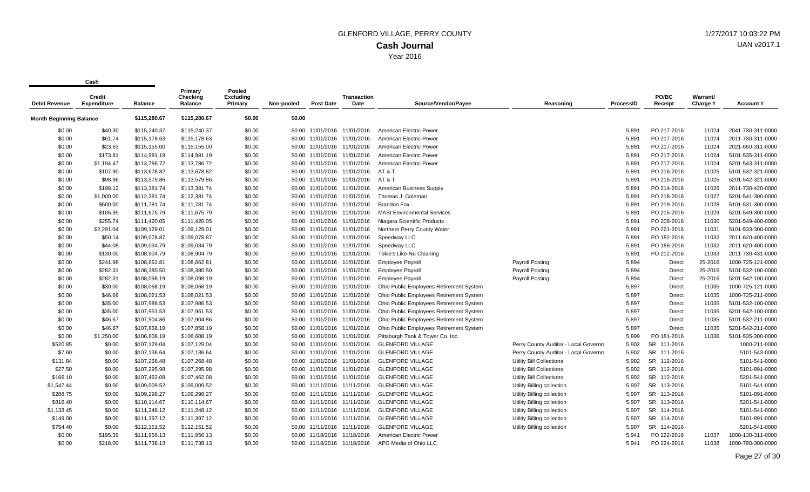**Cash**

 $\mathbf{r}$ 

| <b>Debit Revenue</b>                           | <b>Credit</b><br><b>Expenditure</b> | <b>Balance</b> | Primary<br><b>Checking</b><br><b>Balance</b> | Pooled<br><b>Excluding</b><br>Primary | Non-pooled | <b>Post Date</b>             | <b>Transaction</b><br>Date   | Source/Vendor/Payee                     | Reasoning                            | ProcessID | PO/BC<br>Receipt | Warrant/<br>Charge # | Account#          |
|------------------------------------------------|-------------------------------------|----------------|----------------------------------------------|---------------------------------------|------------|------------------------------|------------------------------|-----------------------------------------|--------------------------------------|-----------|------------------|----------------------|-------------------|
| \$115,280.67<br><b>Month Beginning Balance</b> |                                     | \$115,280.67   | \$0.00                                       | \$0.00                                |            |                              |                              |                                         |                                      |           |                  |                      |                   |
| \$0.00                                         | \$40.30                             | \$115,240.37   | \$115,240.37                                 | \$0.00                                |            |                              | \$0.00 11/01/2016 11/01/2016 | American Electric Power                 |                                      | 5,891     | PO 217-2016      | 11024                | 2041-730-311-0000 |
| \$0.00                                         | \$61.74                             | \$115,178.63   | \$115,178.63                                 | \$0.00                                |            | \$0.00 11/01/2016 11/01/2016 |                              | American Electric Power                 |                                      | 5,891     | PO 217-2016      | 11024                | 2011-730-311-0000 |
| \$0.00                                         | \$23.63                             | \$115,155.00   | \$115,155.00                                 | \$0.00                                |            | \$0.00 11/01/2016 11/01/2016 |                              | American Electric Power                 |                                      | 5,891     | PO 217-2016      | 11024                | 2021-650-311-0000 |
| \$0.00                                         | \$173.81                            | \$114,981.19   | \$114,981.19                                 | \$0.00                                |            | \$0.00 11/01/2016 11/01/2016 |                              | American Electric Power                 |                                      | 5,891     | PO 217-2016      | 11024                | 5101-535-311-0000 |
| \$0.00                                         | \$1,194.47                          | \$113,786.72   | \$113,786.72                                 | \$0.00                                |            | \$0.00 11/01/2016 11/01/2016 |                              | American Electric Power                 |                                      | 5,891     | PO 217-2016      | 11024                | 5201-543-311-0000 |
| \$0.00                                         | \$107.90                            | \$113,678.82   | \$113,678.82                                 | \$0.00                                |            |                              | \$0.00 11/01/2016 11/01/2016 | AT & T                                  |                                      | 5,891     | PO 216-2016      | 11025                | 5101-532-321-0000 |
| \$0.00                                         | \$98.96                             | \$113,579.86   | \$113,579.86                                 | \$0.00                                |            |                              | \$0.00 11/01/2016 11/01/2016 | AT & T                                  |                                      | 5,891     | PO 216-2016      | 11025                | 5201-542-321-0000 |
| \$0.00                                         | \$198.12                            | \$113,381.74   | \$113,381.74                                 | \$0.00                                |            |                              | \$0.00 11/01/2016 11/01/2016 | American Business Supply                |                                      | 5,891     | PO 214-2016      | 11026                | 2011-730-420-0000 |
| \$0.00                                         | \$1,000.00                          | \$112,381.74   | \$112,381.74                                 | \$0.00                                |            | \$0.00 11/01/2016 11/01/2016 |                              | Thomas J. Coleman                       |                                      | 5,891     | PO 218-2016      | 11027                | 5201-541-300-0000 |
| \$0.00                                         | \$600.00                            | \$111,781.74   | \$111,781.74                                 | \$0.00                                |            | \$0.00 11/01/2016 11/01/2016 |                              | <b>Brandon Fox</b>                      |                                      | 5,891     | PO 219-2016      | 11028                | 5101-531-300-0000 |
| \$0.00                                         | \$105.95                            | \$111,675.79   | \$111,675.79                                 | \$0.00                                |            | \$0.00 11/01/2016 11/01/2016 |                              | <b>MASI Environmental Services</b>      |                                      | 5,891     | PO 215-2016      | 11029                | 5201-549-300-0000 |
| \$0.00                                         | \$255.74                            | \$111,420.05   | \$111,420.05                                 | \$0.00                                |            | \$0.00 11/01/2016 11/01/2016 |                              | Niagara Scientific Products             |                                      | 5,891     | PO 208-2016      | 11030                | 5201-549-400-0000 |
| \$0.00                                         | \$2,291.04                          | \$109,129.01   | \$109,129.01                                 | \$0.00                                |            | \$0.00 11/01/2016 11/01/2016 |                              | Northern Perry County Water             |                                      | 5,891     | PO 221-2016      | 11031                | 5101-533-300-0000 |
| \$0.00                                         | \$50.14                             | \$109,078.87   | \$109,078.87                                 | \$0.00                                |            | \$0.00 11/01/2016 11/01/2016 |                              | Speedway LLC                            |                                      | 5,891     | PO 182-2016      | 11032                | 2011-620-400-0000 |
| \$0.00                                         | \$44.08                             | \$109,034.79   | \$109,034.79                                 | \$0.00                                |            | \$0.00 11/01/2016 11/01/2016 |                              | Speedway LLC                            |                                      | 5,891     | PO 186-2016      | 11032                | 2011-620-400-0000 |
| \$0.00                                         | \$130.00                            | \$108,904.79   | \$108,904.79                                 | \$0.00                                |            | \$0.00 11/01/2016 11/01/2016 |                              | Tokie's Like-Nu Cleaning                |                                      | 5,891     | PO 212-2016      | 11033                | 2011-730-431-0000 |
| \$0.00                                         | \$241.98                            | \$108,662.81   | \$108,662.81                                 | \$0.00                                |            | \$0.00 11/01/2016 11/01/2016 |                              | <b>Employee Payroll</b>                 | <b>Payroll Posting</b>               | 5,894     | Direct           | 25-2016              | 1000-725-121-0000 |
| \$0.00                                         | \$282.31                            | \$108,380.50   | \$108,380.50                                 | \$0.00                                |            | \$0.00 11/01/2016 11/01/2016 |                              | <b>Employee Payroll</b>                 | Payroll Posting                      | 5,894     | Direct           | 25-2016              | 5101-532-100-0000 |
| \$0.00                                         | \$282.31                            | \$108,098.19   | \$108,098.19                                 | \$0.00                                |            | \$0.00 11/01/2016 11/01/2016 |                              | <b>Employee Payroll</b>                 | Payroll Posting                      | 5,894     | Direct           | 25-2016              | 5201-542-100-0000 |
| \$0.00                                         | \$30.00                             | \$108,068.19   | \$108,068.19                                 | \$0.00                                | \$0.00     |                              | 11/01/2016 11/01/2016        | Ohio Public Employees Retirement System |                                      | 5,897     | Direct           | 11035                | 1000-725-121-0000 |
| \$0.00                                         | \$46.66                             | \$108,021.53   | \$108,021.53                                 | \$0.00                                |            | \$0.00 11/01/2016 11/01/2016 |                              | Ohio Public Employees Retirement System |                                      | 5,897     | Direct           | 11035                | 1000-725-211-0000 |
| \$0.00                                         | \$35.00                             | \$107,986.53   | \$107,986.53                                 | \$0.00                                |            | \$0.00 11/01/2016 11/01/2016 |                              | Ohio Public Employees Retirement System |                                      | 5,897     | Direct           | 11035                | 5101-532-100-0000 |
| \$0.00                                         | \$35.00                             | \$107,951.53   | \$107,951.53                                 | \$0.00                                |            | \$0.00 11/01/2016 11/01/2016 |                              | Ohio Public Employees Retirement System |                                      | 5,897     | Direct           | 11035                | 5201-542-100-0000 |
| \$0.00                                         | \$46.67                             | \$107,904.86   | \$107,904.86                                 | \$0.00                                |            | \$0.00 11/01/2016 11/01/2016 |                              | Ohio Public Employees Retirement System |                                      | 5,897     | Direct           | 11035                | 5101-532-211-0000 |
| \$0.00                                         | \$46.67                             | \$107,858.19   | \$107,858.19                                 | \$0.00                                |            | \$0.00 11/01/2016 11/01/2016 |                              | Ohio Public Employees Retirement System |                                      | 5,897     | <b>Direct</b>    | 11035                | 5201-542-211-0000 |
| \$0.00                                         | \$1,250.00                          | \$106,608.19   | \$106,608.19                                 | \$0.00                                |            | \$0.00 11/01/2016 11/01/2016 |                              | Pittsburgh Tank & Tower Co. Inc.        |                                      | 5,899     | PO 181-2016      | 11036                | 5101-535-300-0000 |
| \$520.85                                       | \$0.00                              | \$107,129.04   | \$107,129.04                                 | \$0.00                                |            | \$0.00 11/01/2016 11/01/2016 |                              | <b>GLENFORD VILLAGE</b>                 | Perry County Auditor - Local Governm | 5,902     | SR 111-2016      |                      | 1000-211-0000     |
| \$7.60                                         | \$0.00                              | \$107,136.64   | \$107,136.64                                 | \$0.00                                |            | \$0.00 11/01/2016 11/01/2016 |                              | <b>GLENFORD VILLAGE</b>                 | Perry County Auditor - Local Governm | 5,902     | SR 111-2016      |                      | 5101-543-0000     |
| \$131.84                                       | \$0.00                              | \$107,268.48   | \$107,268.48                                 | \$0.00                                |            | \$0.00 11/01/2016 11/01/2016 |                              | <b>GLENFORD VILLAGE</b>                 | Utility Bill Collections             | 5,902     | SR 112-2016      |                      | 5101-541-0000     |
| \$27.50                                        | \$0.00                              | \$107,295.98   | \$107,295.98                                 | \$0.00                                |            | \$0.00 11/01/2016 11/01/2016 |                              | <b>GLENFORD VILLAGE</b>                 | Utility Bill Collections             | 5,902     | SR 112-2016      |                      | 5101-891-0000     |
| \$166.10                                       | \$0.00                              | \$107,462.08   | \$107,462.08                                 | \$0.00                                |            | \$0.00 11/01/2016 11/01/2016 |                              | <b>GLENFORD VILLAGE</b>                 | Utility Bill Collections             | 5,902     | SR 112-2016      |                      | 5201-541-0000     |
| \$1,547.44                                     | \$0.00                              | \$109,009.52   | \$109,009.52                                 | \$0.00                                |            | \$0.00 11/11/2016 11/11/2016 |                              | <b>GLENFORD VILLAGE</b>                 | Utility Billing collection           | 5,907     | SR 113-2016      |                      | 5101-541-0000     |
| \$288.75                                       | \$0.00                              | \$109,298.27   | \$109,298.27                                 | \$0.00                                |            | \$0.00 11/11/2016 11/11/2016 |                              | <b>GLENFORD VILLAGE</b>                 | Utility Billing collection           | 5,907     | SR 113-2016      |                      | 5101-891-0000     |
| \$816.40                                       | \$0.00                              | \$110,114.67   | \$110,114.67                                 | \$0.00                                |            | \$0.00 11/11/2016 11/11/2016 |                              | <b>GLENFORD VILLAGE</b>                 | Utility Billing collection           | 5,907     | SR 113-2016      |                      | 5201-541-0000     |
| \$1,133.45                                     | \$0.00                              | \$111,248.12   | \$111,248.12                                 | \$0.00                                |            | \$0.00 11/11/2016 11/11/2016 |                              | <b>GLENFORD VILLAGE</b>                 | Utility Billing collection           | 5,907     | SR 114-2016      |                      | 5101-541-0000     |
| \$149.00                                       | \$0.00                              | \$111,397.12   | \$111,397.12                                 | \$0.00                                |            | \$0.00 11/11/2016 11/11/2016 |                              | <b>GLENFORD VILLAGE</b>                 | Utility Billing collection           | 5,907     | SR 114-2016      |                      | 5101-891-0000     |
| \$754.40                                       | \$0.00                              | \$112,151.52   | \$112,151.52                                 | \$0.00                                |            | \$0.00 11/11/2016 11/11/2016 |                              | <b>GLENFORD VILLAGE</b>                 | Utility Billing collection           | 5,907     | SR 114-2016      |                      | 5201-541-0000     |
| \$0.00                                         | \$195.39                            | \$111,956.13   | \$111,956.13                                 | \$0.00                                |            | \$0.00 11/18/2016 11/18/2016 |                              | American Electric Power                 |                                      | 5,941     | PO 222-2016      | 11037                | 1000-130-311-0000 |
| \$0.00                                         | \$218.00                            | \$111,738.13   | \$111,738.13                                 | \$0.00                                |            |                              | \$0.00 11/18/2016 11/18/2016 | APG Media of Ohio LLC                   |                                      | 5,941     | PO 224-2016      | 11038                | 1000-790-300-0000 |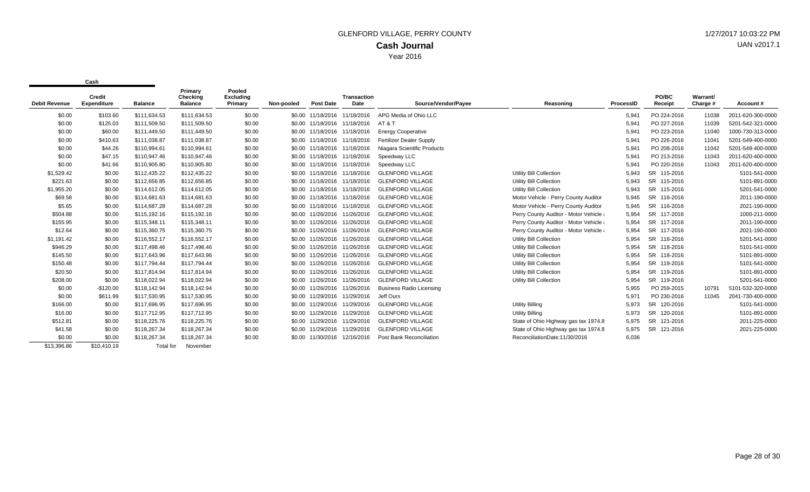|                      | Credit             |                  | Primary<br>Checking | Pooled<br><b>Excluding</b> |            |                              | Transaction                  |                                 |                                        |           | PO/BC                 | Warrant/ |                   |
|----------------------|--------------------|------------------|---------------------|----------------------------|------------|------------------------------|------------------------------|---------------------------------|----------------------------------------|-----------|-----------------------|----------|-------------------|
| <b>Debit Revenue</b> | <b>Expenditure</b> | <b>Balance</b>   | <b>Balance</b>      | Primary                    | Non-pooled | <b>Post Date</b>             | <b>Date</b>                  | Source/Vendor/Payee             | Reasoning                              | ProcessID | Receipt               | Charge # | Account#          |
| \$0.00               | \$103.60           | \$111,634.53     | \$111,634.53        | \$0.00                     |            |                              | \$0.00 11/18/2016 11/18/2016 | APG Media of Ohio LLC           |                                        | 5,941     | PO 224-2016           | 11038    | 2011-620-300-0000 |
| \$0.00               | \$125.03           | \$111,509.50     | \$111,509.50        | \$0.00                     |            | \$0.00 11/18/2016 11/18/2016 |                              | AT & T                          |                                        | 5,941     | PO 227-2016           | 11039    | 5201-542-321-0000 |
| \$0.00               | \$60.00            | \$111,449.50     | \$111,449.50        | \$0.00                     |            | \$0.00 11/18/2016 11/18/2016 |                              | <b>Energy Cooperative</b>       |                                        | 5,941     | PO 223-2016           | 11040    | 1000-730-313-0000 |
| \$0.00               | \$410.63           | \$111,038.87     | \$111,038.87        | \$0.00                     |            | \$0.00 11/18/2016            | 11/18/2016                   | <b>Fertilizer Dealer Supply</b> |                                        | 5,941     | PO 226-2016           | 11041    | 5201-549-400-0000 |
| \$0.00               | \$44.26            | \$110,994.61     | \$110,994.61        | \$0.00                     |            | \$0.00 11/18/2016 11/18/2016 |                              | Niagara Scientific Products     |                                        | 5,941     | PO 208-2016           | 11042    | 5201-549-400-0000 |
| \$0.00               | \$47.15            | \$110,947.46     | \$110,947.46        | \$0.00                     |            | \$0.00 11/18/2016 11/18/2016 |                              | Speedway LLC                    |                                        | 5,941     | PO 213-2016           | 11043    | 2011-620-400-0000 |
| \$0.00               | \$41.66            | \$110,905.80     | \$110,905.80        | \$0.00                     |            | \$0.00 11/18/2016            | 11/18/2016                   | Speedway LLC                    |                                        | 5,941     | PO 220-2016           | 11043    | 2011-620-400-0000 |
| \$1,529.42           | \$0.00             | \$112,435.22     | \$112,435.22        | \$0.00                     |            | \$0.00 11/18/2016            | 11/18/2016                   | <b>GLENFORD VILLAGE</b>         | Utility Bill Collection                | 5,943     | SR 115-2016           |          | 5101-541-0000     |
| \$221.63             | \$0.00             | \$112,656.85     | \$112,656.85        | \$0.00                     |            | \$0.00 11/18/2016 11/18/2016 |                              | <b>GLENFORD VILLAGE</b>         | Utility Bill Collection                | 5,943     | SR 115-2016           |          | 5101-891-0000     |
| \$1,955.20           | \$0.00             | \$114,612.05     | \$114,612.05        | \$0.00                     |            | \$0.00 11/18/2016 11/18/2016 |                              | <b>GLENFORD VILLAGE</b>         | Utility Bill Collection                | 5,943     | SR 115-2016           |          | 5201-541-0000     |
| \$69.58              | \$0.00             | \$114,681.63     | \$114,681.63        | \$0.00                     |            | \$0.00 11/18/2016 11/18/2016 |                              | <b>GLENFORD VILLAGE</b>         | Motor Vehicle - Perry County Auditor   | 5,945     | SR 116-2016           |          | 2011-190-0000     |
| \$5.65               | \$0.00             | \$114,687.28     | \$114,687.28        | \$0.00                     | \$0.00     | 11/18/2016 11/18/2016        |                              | <b>GLENFORD VILLAGE</b>         | Motor Vehicle - Perry County Auditor   | 5,945     | <b>SR</b><br>116-2016 |          | 2021-190-0000     |
| \$504.88             | \$0.00             | \$115,192.16     | \$115,192.16        | \$0.00                     |            | \$0.00 11/26/2016 11/26/2016 |                              | <b>GLENFORD VILLAGE</b>         | Perry County Auditor - Motor Vehicle a | 5,954     | <b>SR</b><br>117-2016 |          | 1000-211-0000     |
| \$155.95             | \$0.00             | \$115,348.11     | \$115,348.11        | \$0.00                     | \$0.00     | 11/26/2016 11/26/2016        |                              | <b>GLENFORD VILLAGE</b>         | Perry County Auditor - Motor Vehicle a | 5,954     | <b>SR</b><br>117-2016 |          | 2011-190-0000     |
| \$12.64              | \$0.00             | \$115,360.75     | \$115,360.75        | \$0.00                     |            | \$0.00 11/26/2016 11/26/2016 |                              | <b>GLENFORD VILLAGE</b>         | Perry County Auditor - Motor Vehicle a | 5,954     | SR 117-2016           |          | 2021-190-0000     |
| \$1,191.42           | \$0.00             | \$116,552.17     | \$116,552.17        | \$0.00                     |            | \$0.00 11/26/2016 11/26/2016 |                              | <b>GLENFORD VILLAGE</b>         | Utility Bill Collection                | 5,954     | SR 118-2016           |          | 5201-541-0000     |
| \$946.29             | \$0.00             | \$117.498.46     | \$117,498,46        | \$0.00                     | \$0.00     | 11/26/2016 11/26/2016        |                              | <b>GLENFORD VILLAGE</b>         | <b>Utility Bill Collection</b>         | 5.954     | SR.<br>118-2016       |          | 5101-541-0000     |
| \$145.50             | \$0.00             | \$117,643.96     | \$117,643.96        | \$0.00                     | \$0.00     | 11/26/2016                   | 11/26/2016                   | <b>GLENFORD VILLAGE</b>         | Utility Bill Collection                | 5,954     | SR 118-2016           |          | 5101-891-0000     |
| \$150.48             | \$0.00             | \$117,794.44     | \$117,794.44        | \$0.00                     |            | \$0.00 11/26/2016 11/26/2016 |                              | <b>GLENFORD VILLAGE</b>         | Utility Bill Collection                | 5,954     | SR 119-2016           |          | 5101-541-0000     |
| \$20.50              | \$0.00             | \$117.814.94     | \$117.814.94        | \$0.00                     |            | \$0.00 11/26/2016 11/26/2016 |                              | <b>GLENFORD VILLAGE</b>         | Utility Bill Collection                | 5.954     | <b>SR</b><br>119-2016 |          | 5101-891-0000     |
| \$208.00             | \$0.00             | \$118,022.94     | \$118,022.94        | \$0.00                     |            | \$0.00 11/26/2016 11/26/2016 |                              | <b>GLENFORD VILLAGE</b>         | Utility Bill Collection                | 5,954     | SR 119-2016           |          | 5201-541-0000     |
| \$0.00               | $-$120.00$         | \$118,142.94     | \$118,142.94        | \$0.00                     |            | \$0.00 11/26/2016 11/26/2016 |                              | <b>Business Radio Licensing</b> |                                        | 5,955     | PO 259-2015           | 10791    | 5101-532-320-0000 |
| \$0.00               | \$611.99           | \$117,530.95     | \$117,530.95        | \$0.00                     | \$0.00     | 11/29/2016 11/29/2016        |                              | Jeff Ours                       |                                        | 5,971     | PO 230-2016           | 11045    | 2041-730-400-0000 |
| \$166.00             | \$0.00             | \$117,696.95     | \$117,696.95        | \$0.00                     | \$0.00     | 11/29/2016 11/29/2016        |                              | <b>GLENFORD VILLAGE</b>         | <b>Utility Billing</b>                 | 5,973     | <b>SR</b><br>120-2016 |          | 5101-541-0000     |
| \$16.00              | \$0.00             | \$117,712.95     | \$117,712.95        | \$0.00                     |            | \$0.00 11/29/2016 11/29/2016 |                              | <b>GLENFORD VILLAGE</b>         | Utility Billing                        | 5,973     | SR 120-2016           |          | 5101-891-0000     |
| \$512.81             | \$0.00             | \$118,225.76     | \$118,225.76        | \$0.00                     |            | \$0.00 11/29/2016 11/29/2016 |                              | <b>GLENFORD VILLAGE</b>         | State of Ohio Highway gas tax 1974.8   | 5,975     | <b>SR</b><br>121-2016 |          | 2011-225-0000     |
| \$41.58              | \$0.00             | \$118,267.34     | \$118,267.34        | \$0.00                     |            | \$0.00 11/29/2016 11/29/2016 |                              | <b>GLENFORD VILLAGE</b>         | State of Ohio Highway gas tax 1974.8   | 5,975     | SR 121-2016           |          | 2021-225-0000     |
| \$0.00               | \$0.00             | \$118,267.34     | \$118,267.34        | \$0.00                     | \$0.00     | 11/30/2016                   | 12/16/2016                   | Post Bank Reconciliation        | ReconciliationDate:11/30/2016          | 6,036     |                       |          |                   |
| \$13,396.86          | \$10,410.19        | <b>Total</b> for | November            |                            |            |                              |                              |                                 |                                        |           |                       |          |                   |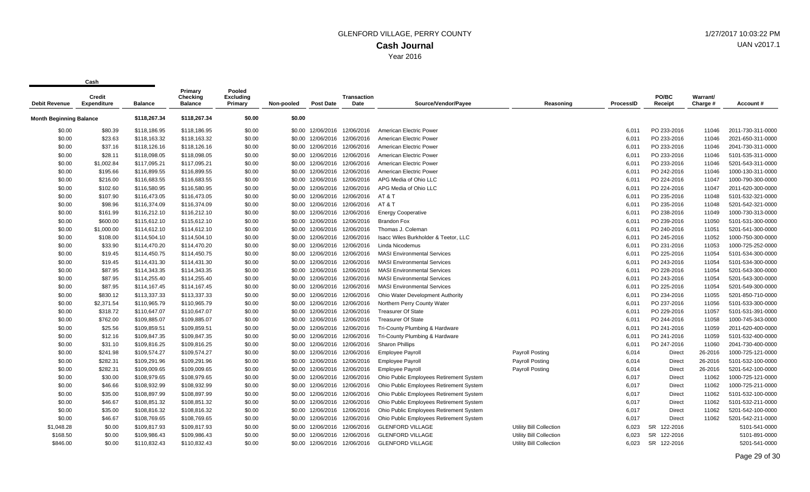| <b>Debit Revenue</b>           | <b>Credit</b><br><b>Expenditure</b> | <b>Balance</b> | Primary<br><b>Checking</b><br><b>Balance</b> | Pooled<br><b>Excluding</b><br>Primary | Non-pooled | <b>Post Date</b>             | <b>Transaction</b><br>Date   | Source/Vendor/Payee                     | Reasoning               | ProcessID | PO/BC<br>Receipt | Warrant/<br>Charge # | Account #         |
|--------------------------------|-------------------------------------|----------------|----------------------------------------------|---------------------------------------|------------|------------------------------|------------------------------|-----------------------------------------|-------------------------|-----------|------------------|----------------------|-------------------|
| <b>Month Beginning Balance</b> |                                     | \$118,267.34   | \$118,267.34                                 | \$0.00                                | \$0.00     |                              |                              |                                         |                         |           |                  |                      |                   |
| \$0.00                         | \$80.39                             | \$118,186.95   | \$118,186.95                                 | \$0.00                                |            | \$0.00 12/06/2016            | 12/06/2016                   | American Electric Power                 |                         | 6.011     | PO 233-2016      | 11046                | 2011-730-311-0000 |
| \$0.00                         | \$23.63                             | \$118,163.32   | \$118,163.32                                 | \$0.00                                | \$0.00     | 12/06/2016                   | 12/06/2016                   | American Electric Power                 |                         | 6,011     | PO 233-2016      | 11046                | 2021-650-311-0000 |
| \$0.00                         | \$37.16                             | \$118,126.16   | \$118,126.16                                 | \$0.00                                | \$0.00     |                              | 12/06/2016 12/06/2016        | American Electric Power                 |                         | 6,011     | PO 233-2016      | 11046                | 2041-730-311-0000 |
| \$0.00                         | \$28.11                             | \$118,098.05   | \$118,098.05                                 | \$0.00                                | \$0.00     |                              | 12/06/2016 12/06/2016        | American Electric Power                 |                         | 6,011     | PO 233-2016      | 11046                | 5101-535-311-0000 |
| \$0.00                         | \$1,002.84                          | \$117,095.21   | \$117,095.21                                 | \$0.00                                | \$0.00     |                              | 12/06/2016 12/06/2016        | American Electric Power                 |                         | 6,011     | PO 233-2016      | 11046                | 5201-543-311-0000 |
| \$0.00                         | \$195.66                            | \$116,899.55   | \$116,899.55                                 | \$0.00                                | \$0.00     |                              | 12/06/2016 12/06/2016        | American Electric Power                 |                         | 6,011     | PO 242-2016      | 11046                | 1000-130-311-0000 |
| \$0.00                         | \$216.00                            | \$116,683.55   | \$116,683.55                                 | \$0.00                                |            |                              | \$0.00 12/06/2016 12/06/2016 | APG Media of Ohio LLC                   |                         | 6,011     | PO 224-2016      | 11047                | 1000-790-300-0000 |
| \$0.00                         | \$102.60                            | \$116,580.95   | \$116,580.95                                 | \$0.00                                |            |                              | \$0.00 12/06/2016 12/06/2016 | APG Media of Ohio LLC                   |                         | 6,011     | PO 224-2016      | 11047                | 2011-620-300-0000 |
| \$0.00                         | \$107.90                            | \$116,473.05   | \$116,473.05                                 | \$0.00                                | \$0.00     | 12/06/2016                   | 12/06/2016                   | AT&T                                    |                         | 6,011     | PO 235-2016      | 11048                | 5101-532-321-0000 |
| \$0.00                         | \$98.96                             | \$116,374.09   | \$116,374.09                                 | \$0.00                                | \$0.00     |                              | 12/06/2016 12/06/2016        | AT&T                                    |                         | 6,011     | PO 235-2016      | 11048                | 5201-542-321-0000 |
| \$0.00                         | \$161.99                            | \$116,212.10   | \$116,212.10                                 | \$0.00                                |            | \$0.00 12/06/2016            | 12/06/2016                   | <b>Energy Cooperative</b>               |                         | 6,011     | PO 238-2016      | 11049                | 1000-730-313-0000 |
| \$0.00                         | \$600.00                            | \$115,612.10   | \$115,612.10                                 | \$0.00                                | \$0.00     | 12/06/2016                   | 12/06/2016                   | <b>Brandon Fox</b>                      |                         | 6,011     | PO 239-2016      | 11050                | 5101-531-300-0000 |
| \$0.00                         | \$1,000.00                          | \$114,612.10   | \$114,612.10                                 | \$0.00                                | \$0.00     | 12/06/2016                   | 12/06/2016                   | Thomas J. Coleman                       |                         | 6,011     | PO 240-2016      | 11051                | 5201-541-300-0000 |
| \$0.00                         | \$108.00                            | \$114,504.10   | \$114,504.10                                 | \$0.00                                |            |                              | \$0.00 12/06/2016 12/06/2016 | Isacc Wiles Burkholder & Teetor, LLC    |                         | 6,011     | PO 245-2016      | 11052                | 1000-750-300-0000 |
| \$0.00                         | \$33.90                             | \$114,470.20   | \$114,470.20                                 | \$0.00                                | \$0.00     |                              | 12/06/2016 12/06/2016        | Linda Nicodemus                         |                         | 6,011     | PO 231-2016      | 11053                | 1000-725-252-0000 |
| \$0.00                         | \$19.45                             | \$114,450.75   | \$114,450.75                                 | \$0.00                                | \$0.00     |                              | 12/06/2016 12/06/2016        | <b>MASI Environmental Services</b>      |                         | 6,011     | PO 225-2016      | 11054                | 5101-534-300-0000 |
| \$0.00                         | \$19.45                             | \$114,431.30   | \$114,431.30                                 | \$0.00                                | \$0.00     |                              | 12/06/2016 12/06/2016        | <b>MASI Environmental Services</b>      |                         | 6,011     | PO 243-2016      | 11054                | 5101-534-300-0000 |
| \$0.00                         | \$87.95                             | \$114,343.35   | \$114,343.35                                 | \$0.00                                |            |                              | \$0.00 12/06/2016 12/06/2016 | <b>MASI Environmental Services</b>      |                         | 6,011     | PO 228-2016      | 11054                | 5201-543-300-0000 |
| \$0.00                         | \$87.95                             | \$114,255.40   | \$114,255.40                                 | \$0.00                                | \$0.00     | 12/06/2016                   | 12/06/2016                   | <b>MASI Environmental Services</b>      |                         | 6,011     | PO 243-2016      | 11054                | 5201-543-300-0000 |
| \$0.00                         | \$87.95                             | \$114,167.45   | \$114,167.45                                 | \$0.00                                | \$0.00     |                              | 12/06/2016 12/06/2016        | <b>MASI Environmental Services</b>      |                         | 6,011     | PO 225-2016      | 11054                | 5201-549-300-0000 |
| \$0.00                         | \$830.12                            | \$113,337.33   | \$113,337.33                                 | \$0.00                                |            |                              | \$0.00 12/06/2016 12/06/2016 | Ohio Water Development Authority        |                         | 6,011     | PO 234-2016      | 11055                | 5201-850-710-0000 |
| \$0.00                         | \$2,371.54                          | \$110,965.79   | \$110,965.79                                 | \$0.00                                |            |                              | \$0.00 12/06/2016 12/06/2016 | Northern Perry County Water             |                         | 6,011     | PO 237-2016      | 11056                | 5101-533-300-0000 |
| \$0.00                         | \$318.72                            | \$110,647.07   | \$110,647.07                                 | \$0.00                                | \$0.00     |                              | 12/06/2016 12/06/2016        | <b>Treasurer Of State</b>               |                         | 6,011     | PO 229-2016      | 11057                | 5101-531-391-0000 |
| \$0.00                         | \$762.00                            | \$109,885.07   | \$109,885.07                                 | \$0.00                                |            | \$0.00 12/06/2016 12/06/2016 |                              | <b>Treasurer Of State</b>               |                         | 6,011     | PO 244-2016      | 11058                | 1000-745-343-0000 |
| \$0.00                         | \$25.56                             | \$109,859.51   | \$109,859.51                                 | \$0.00                                |            |                              | \$0.00 12/06/2016 12/06/2016 | Tri-County Plumbing & Hardware          |                         | 6,011     | PO 241-2016      | 11059                | 2011-620-400-0000 |
| \$0.00                         | \$12.16                             | \$109,847.35   | \$109,847.35                                 | \$0.00                                | \$0.00     | 12/06/2016                   | 12/06/2016                   | Tri-County Plumbing & Hardware          |                         | 6,011     | PO 241-2016      | 11059                | 5101-532-400-0000 |
| \$0.00                         | \$31.10                             | \$109,816.25   | \$109,816.25                                 | \$0.00                                | \$0.00     | 12/06/2016                   | 12/06/2016                   | <b>Sharon Phillips</b>                  |                         | 6,011     | PO 247-2016      | 11060                | 2041-730-400-0000 |
| \$0.00                         | \$241.98                            | \$109,574.27   | \$109,574.27                                 | \$0.00                                |            |                              | \$0.00 12/06/2016 12/06/2016 | <b>Employee Payroll</b>                 | <b>Payroll Posting</b>  | 6,014     | Direct           | 26-2016              | 1000-725-121-0000 |
| \$0.00                         | \$282.31                            | \$109,291.96   | \$109,291.96                                 | \$0.00                                |            |                              | \$0.00 12/06/2016 12/06/2016 | <b>Employee Payroll</b>                 | <b>Payroll Posting</b>  | 6,014     | Direct           | 26-2016              | 5101-532-100-0000 |
| \$0.00                         | \$282.31                            | \$109,009.65   | \$109,009.65                                 | \$0.00                                | \$0.00     | 12/06/2016                   | 12/06/2016                   | <b>Employee Payroll</b>                 | <b>Payroll Posting</b>  | 6,014     | Direct           | 26-2016              | 5201-542-100-0000 |
| \$0.00                         | \$30.00                             | \$108,979.65   | \$108,979.65                                 | \$0.00                                |            |                              | \$0.00 12/06/2016 12/06/2016 | Ohio Public Employees Retirement System |                         | 6,017     | Direct           | 11062                | 1000-725-121-0000 |
| \$0.00                         | \$46.66                             | \$108,932.99   | \$108,932.99                                 | \$0.00                                | \$0.00     |                              | 12/06/2016 12/06/2016        | Ohio Public Employees Retirement System |                         | 6,017     | Direct           | 11062                | 1000-725-211-0000 |
| \$0.00                         | \$35.00                             | \$108,897.99   | \$108,897.99                                 | \$0.00                                | \$0.00     | 12/06/2016                   | 12/06/2016                   | Ohio Public Employees Retirement System |                         | 6,017     | Direct           | 11062                | 5101-532-100-0000 |
| \$0.00                         | \$46.67                             | \$108,851.32   | \$108,851.32                                 | \$0.00                                | \$0.00     | 12/06/2016                   | 12/06/2016                   | Ohio Public Employees Retirement System |                         | 6,017     | Direct           | 11062                | 5101-532-211-0000 |
| \$0.00                         | \$35.00                             | \$108,816.32   | \$108,816.32                                 | \$0.00                                |            |                              | \$0.00 12/06/2016 12/06/2016 | Ohio Public Employees Retirement System |                         | 6,017     | Direct           | 11062                | 5201-542-100-0000 |
| \$0.00                         | \$46.67                             | \$108,769.65   | \$108,769.65                                 | \$0.00                                | \$0.00     |                              | 12/06/2016 12/06/2016        | Ohio Public Employees Retirement System |                         | 6,017     | Direct           | 11062                | 5201-542-211-0000 |
| \$1,048.28                     | \$0.00                              | \$109,817.93   | \$109,817.93                                 | \$0.00                                | \$0.00     | 12/06/2016                   | 12/06/2016                   | <b>GLENFORD VILLAGE</b>                 | Utility Bill Collection | 6,023     | SR<br>122-2016   |                      | 5101-541-0000     |
| \$168.50                       | \$0.00                              | \$109,986.43   | \$109,986.43                                 | \$0.00                                |            | \$0.00 12/06/2016            | 12/06/2016                   | <b>GLENFORD VILLAGE</b>                 | Utility Bill Collection | 6,023     | SR 122-2016      |                      | 5101-891-0000     |
| \$846.00                       | \$0.00                              | \$110,832.43   | \$110,832.43                                 | \$0.00                                |            |                              | \$0.00 12/06/2016 12/06/2016 | <b>GLENFORD VILLAGE</b>                 | Utility Bill Collection | 6,023     | SR<br>122-2016   |                      | 5201-541-0000     |